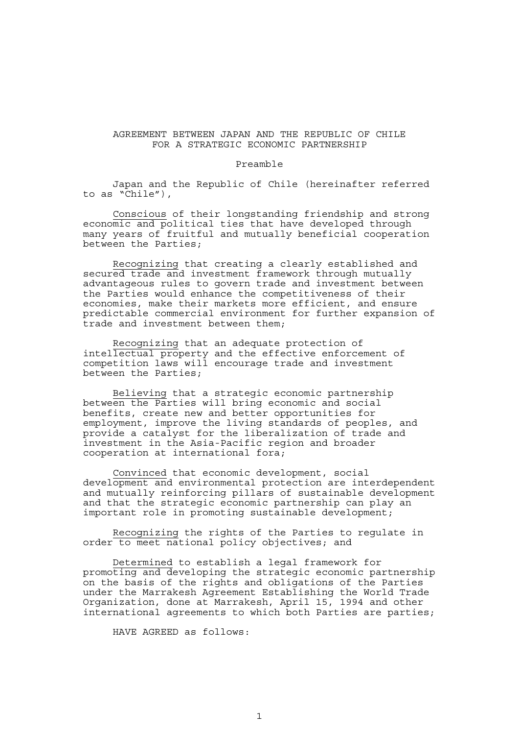## AGREEMENT BETWEEN JAPAN AND THE REPUBLIC OF CHILE FOR A STRATEGIC ECONOMIC PARTNERSHIP

#### Preamble

 Japan and the Republic of Chile (hereinafter referred to as "Chile"),

 Conscious of their longstanding friendship and strong economic and political ties that have developed through many years of fruitful and mutually beneficial cooperation between the Parties;

 Recognizing that creating a clearly established and secured trade and investment framework through mutually advantageous rules to govern trade and investment between the Parties would enhance the competitiveness of their economies, make their markets more efficient, and ensure predictable commercial environment for further expansion of trade and investment between them;

 Recognizing that an adequate protection of intellectual property and the effective enforcement of competition laws will encourage trade and investment between the Parties;

 Believing that a strategic economic partnership between the Parties will bring economic and social benefits, create new and better opportunities for employment, improve the living standards of peoples, and provide a catalyst for the liberalization of trade and investment in the Asia-Pacific region and broader cooperation at international fora;

 Convinced that economic development, social development and environmental protection are interdependent and mutually reinforcing pillars of sustainable development and that the strategic economic partnership can play an important role in promoting sustainable development;

 Recognizing the rights of the Parties to regulate in order to meet national policy objectives; and

 Determined to establish a legal framework for promoting and developing the strategic economic partnership on the basis of the rights and obligations of the Parties under the Marrakesh Agreement Establishing the World Trade Organization, done at Marrakesh, April 15, 1994 and other international agreements to which both Parties are parties;

HAVE AGREED as follows: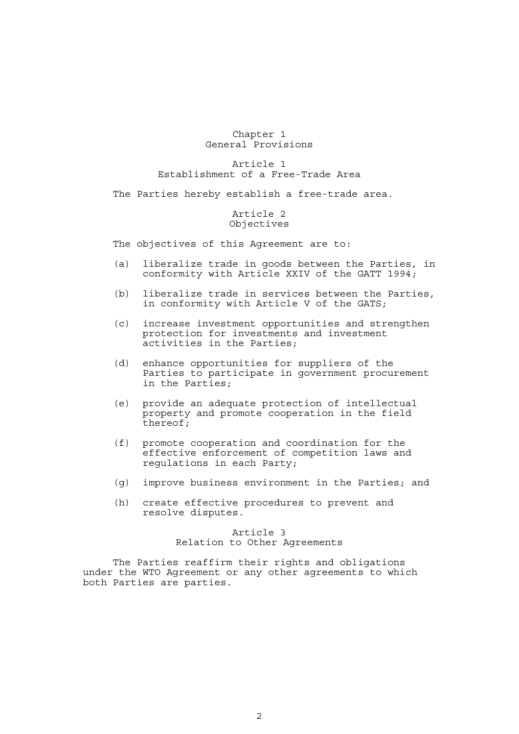#### Chapter 1 General Provisions

## Article 1 Establishment of a Free-Trade Area

The Parties hereby establish a free-trade area.

## Article 2 Objectives

The objectives of this Agreement are to:

- (a) liberalize trade in goods between the Parties, in conformity with Article XXIV of the GATT 1994;
- (b) liberalize trade in services between the Parties, in conformity with Article V of the GATS;
- (c) increase investment opportunities and strengthen protection for investments and investment activities in the Parties;
- (d) enhance opportunities for suppliers of the Parties to participate in government procurement in the Parties;
- (e) provide an adequate protection of intellectual property and promote cooperation in the field thereof;
- (f) promote cooperation and coordination for the effective enforcement of competition laws and regulations in each Party;
- (g) improve business environment in the Parties; and
- (h) create effective procedures to prevent and resolve disputes.

## Article 3 Relation to Other Agreements

 The Parties reaffirm their rights and obligations under the WTO Agreement or any other agreements to which both Parties are parties.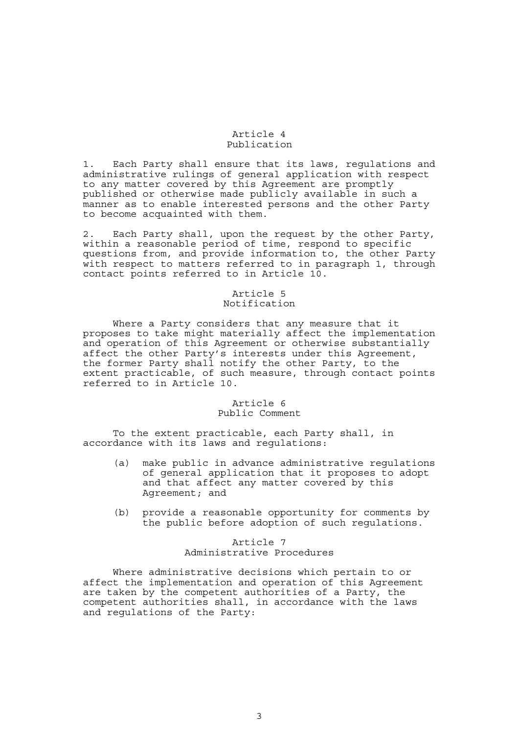#### Article 4 Publication

1. Each Party shall ensure that its laws, regulations and administrative rulings of general application with respect to any matter covered by this Agreement are promptly published or otherwise made publicly available in such a manner as to enable interested persons and the other Party to become acquainted with them.

2. Each Party shall, upon the request by the other Party, within a reasonable period of time, respond to specific questions from, and provide information to, the other Party with respect to matters referred to in paragraph 1, through contact points referred to in Article 10.

# Article 5 Notification

 Where a Party considers that any measure that it proposes to take might materially affect the implementation and operation of this Agreement or otherwise substantially affect the other Party's interests under this Agreement, the former Party shall notify the other Party, to the extent practicable, of such measure, through contact points referred to in Article 10.

# Article 6

# Public Comment

 To the extent practicable, each Party shall, in accordance with its laws and regulations:

- (a) make public in advance administrative regulations of general application that it proposes to adopt and that affect any matter covered by this Agreement; and
- (b) provide a reasonable opportunity for comments by the public before adoption of such regulations.

# Article 7 Administrative Procedures

 Where administrative decisions which pertain to or affect the implementation and operation of this Agreement are taken by the competent authorities of a Party, the competent authorities shall, in accordance with the laws and regulations of the Party: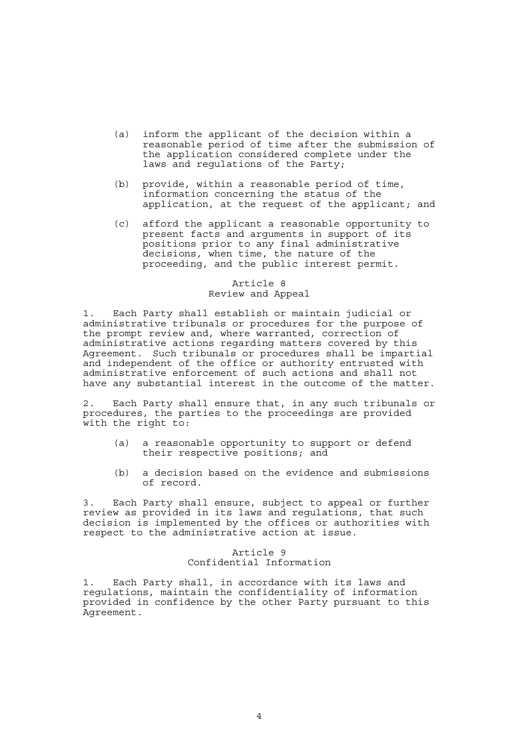- (a) inform the applicant of the decision within a reasonable period of time after the submission of the application considered complete under the laws and regulations of the Party;
- (b) provide, within a reasonable period of time, information concerning the status of the application, at the request of the applicant; and
- (c) afford the applicant a reasonable opportunity to present facts and arguments in support of its positions prior to any final administrative decisions, when time, the nature of the proceeding, and the public interest permit.

## Article 8 Review and Appeal

1. Each Party shall establish or maintain judicial or administrative tribunals or procedures for the purpose of the prompt review and, where warranted, correction of administrative actions regarding matters covered by this Agreement. Such tribunals or procedures shall be impartial and independent of the office or authority entrusted with administrative enforcement of such actions and shall not have any substantial interest in the outcome of the matter.

2. Each Party shall ensure that, in any such tribunals or procedures, the parties to the proceedings are provided with the right to:

- (a) a reasonable opportunity to support or defend their respective positions; and
- (b) a decision based on the evidence and submissions of record.

3. Each Party shall ensure, subject to appeal or further review as provided in its laws and regulations, that such decision is implemented by the offices or authorities with respect to the administrative action at issue.

> Article 9 Confidential Information

1. Each Party shall, in accordance with its laws and regulations, maintain the confidentiality of information provided in confidence by the other Party pursuant to this Agreement.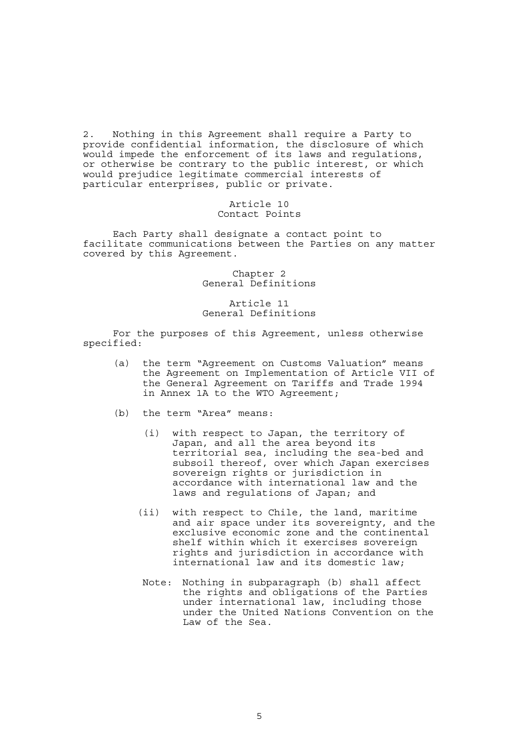2. Nothing in this Agreement shall require a Party to provide confidential information, the disclosure of which would impede the enforcement of its laws and regulations, or otherwise be contrary to the public interest, or which would prejudice legitimate commercial interests of particular enterprises, public or private.

> Article 10 Contact Points

 Each Party shall designate a contact point to facilitate communications between the Parties on any matter covered by this Agreement.

> Chapter 2 General Definitions

> Article 11 General Definitions

 For the purposes of this Agreement, unless otherwise specified:

- (a) the term "Agreement on Customs Valuation" means the Agreement on Implementation of Article VII of the General Agreement on Tariffs and Trade 1994 in Annex 1A to the WTO Agreement;
- (b) the term "Area" means:
	- (i) with respect to Japan, the territory of Japan, and all the area beyond its territorial sea, including the sea-bed and subsoil thereof, over which Japan exercises sovereign rights or jurisdiction in accordance with international law and the laws and regulations of Japan; and
	- (ii) with respect to Chile, the land, maritime and air space under its sovereignty, and the exclusive economic zone and the continental shelf within which it exercises sovereign rights and jurisdiction in accordance with international law and its domestic law;
	- Note: Nothing in subparagraph (b) shall affect the rights and obligations of the Parties under international law, including those under the United Nations Convention on the Law of the Sea.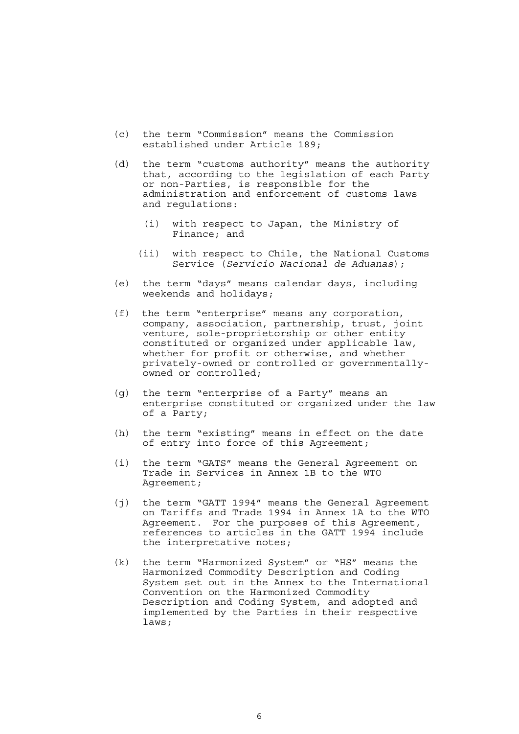- (c) the term "Commission" means the Commission established under Article 189;
- (d) the term "customs authority" means the authority that, according to the legislation of each Party or non-Parties, is responsible for the administration and enforcement of customs laws and regulations:
	- (i) with respect to Japan, the Ministry of Finance; and
	- (ii) with respect to Chile, the National Customs Service (*Servicio Nacional de Aduanas*);
- (e) the term "days" means calendar days, including weekends and holidays;
- (f) the term "enterprise" means any corporation, company, association, partnership, trust, joint venture, sole-proprietorship or other entity constituted or organized under applicable law, whether for profit or otherwise, and whether privately-owned or controlled or governmentallyowned or controlled;
- (g) the term "enterprise of a Party" means an enterprise constituted or organized under the law of a Party;
- (h) the term "existing" means in effect on the date of entry into force of this Agreement;
- (i) the term "GATS" means the General Agreement on Trade in Services in Annex 1B to the WTO Agreement;
- (j) the term "GATT 1994" means the General Agreement on Tariffs and Trade 1994 in Annex 1A to the WTO Agreement. For the purposes of this Agreement, references to articles in the GATT 1994 include the interpretative notes;
- (k) the term "Harmonized System" or "HS" means the Harmonized Commodity Description and Coding System set out in the Annex to the International Convention on the Harmonized Commodity Description and Coding System, and adopted and implemented by the Parties in their respective laws;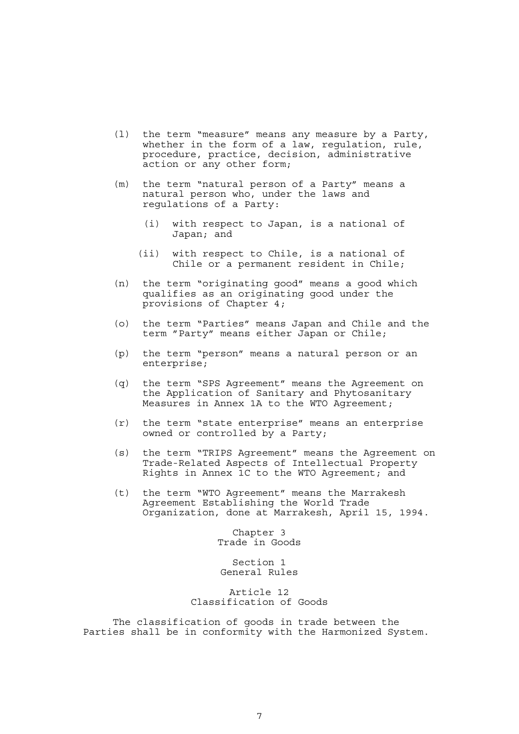- (l) the term "measure" means any measure by a Party, whether in the form of a law, requlation, rule, procedure, practice, decision, administrative action or any other form;
- (m) the term "natural person of a Party" means a natural person who, under the laws and regulations of a Party:
	- (i) with respect to Japan, is a national of Japan; and
	- (ii) with respect to Chile, is a national of Chile or a permanent resident in Chile;
- (n) the term "originating good" means a good which qualifies as an originating good under the provisions of Chapter 4;
- (o) the term "Parties" means Japan and Chile and the term "Party" means either Japan or Chile;
- (p) the term "person" means a natural person or an enterprise;
- (q) the term "SPS Agreement" means the Agreement on the Application of Sanitary and Phytosanitary Measures in Annex 1A to the WTO Agreement;
- (r) the term "state enterprise" means an enterprise owned or controlled by a Party;
- (s) the term "TRIPS Agreement" means the Agreement on Trade-Related Aspects of Intellectual Property Rights in Annex 1C to the WTO Agreement; and
- (t) the term "WTO Agreement" means the Marrakesh Agreement Establishing the World Trade Organization, done at Marrakesh, April 15, 1994.

Chapter 3 Trade in Goods

Section 1 General Rules

Article 12 Classification of Goods

 The classification of goods in trade between the Parties shall be in conformity with the Harmonized System.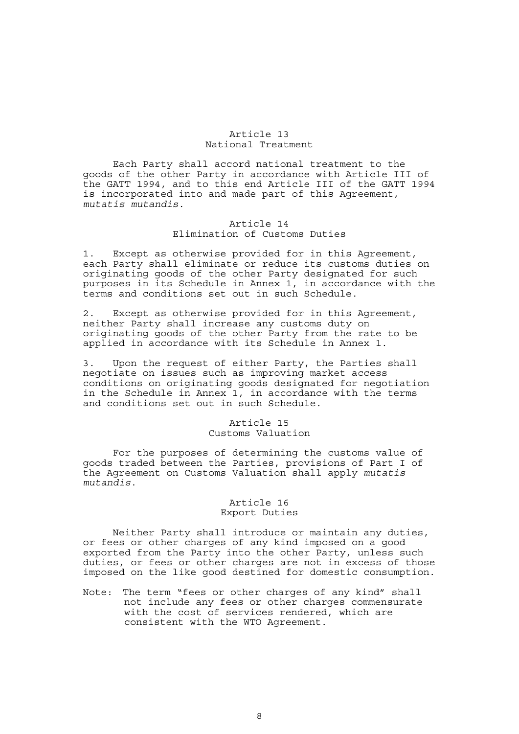#### Article 13 National Treatment

 Each Party shall accord national treatment to the goods of the other Party in accordance with Article III of the GATT 1994, and to this end Article III of the GATT 1994 is incorporated into and made part of this Agreement, *mutatis mutandis*.

# Article 14 Elimination of Customs Duties

1. Except as otherwise provided for in this Agreement, each Party shall eliminate or reduce its customs duties on originating goods of the other Party designated for such purposes in its Schedule in Annex 1, in accordance with the terms and conditions set out in such Schedule.

2. Except as otherwise provided for in this Agreement, neither Party shall increase any customs duty on originating goods of the other Party from the rate to be applied in accordance with its Schedule in Annex 1.

3. Upon the request of either Party, the Parties shall negotiate on issues such as improving market access conditions on originating goods designated for negotiation in the Schedule in Annex 1, in accordance with the terms and conditions set out in such Schedule.

#### Article 15 Customs Valuation

 For the purposes of determining the customs value of goods traded between the Parties, provisions of Part I of the Agreement on Customs Valuation shall apply *mutatis mutandis*.

#### Article 16 Export Duties

 Neither Party shall introduce or maintain any duties, or fees or other charges of any kind imposed on a good exported from the Party into the other Party, unless such duties, or fees or other charges are not in excess of those imposed on the like good destined for domestic consumption.

Note: The term "fees or other charges of any kind" shall not include any fees or other charges commensurate with the cost of services rendered, which are consistent with the WTO Agreement.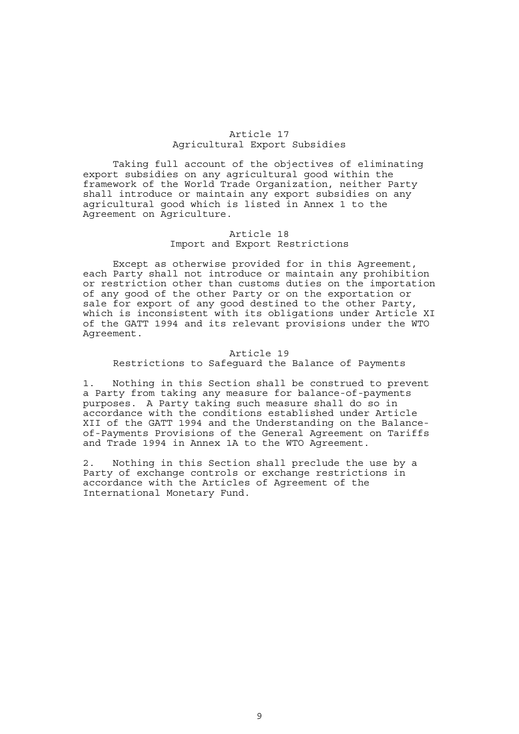#### Article 17 Agricultural Export Subsidies

 Taking full account of the objectives of eliminating export subsidies on any agricultural good within the framework of the World Trade Organization, neither Party shall introduce or maintain any export subsidies on any agricultural good which is listed in Annex 1 to the Agreement on Agriculture.

# Article 18 Import and Export Restrictions

 Except as otherwise provided for in this Agreement, each Party shall not introduce or maintain any prohibition or restriction other than customs duties on the importation of any good of the other Party or on the exportation or sale for export of any good destined to the other Party, which is inconsistent with its obligations under Article XI of the GATT 1994 and its relevant provisions under the WTO Agreement.

## Article 19 Restrictions to Safeguard the Balance of Payments

1. Nothing in this Section shall be construed to prevent a Party from taking any measure for balance-of-payments purposes. A Party taking such measure shall do so in accordance with the conditions established under Article XII of the GATT 1994 and the Understanding on the Balanceof-Payments Provisions of the General Agreement on Tariffs and Trade 1994 in Annex 1A to the WTO Agreement.

2. Nothing in this Section shall preclude the use by a Party of exchange controls or exchange restrictions in accordance with the Articles of Agreement of the International Monetary Fund.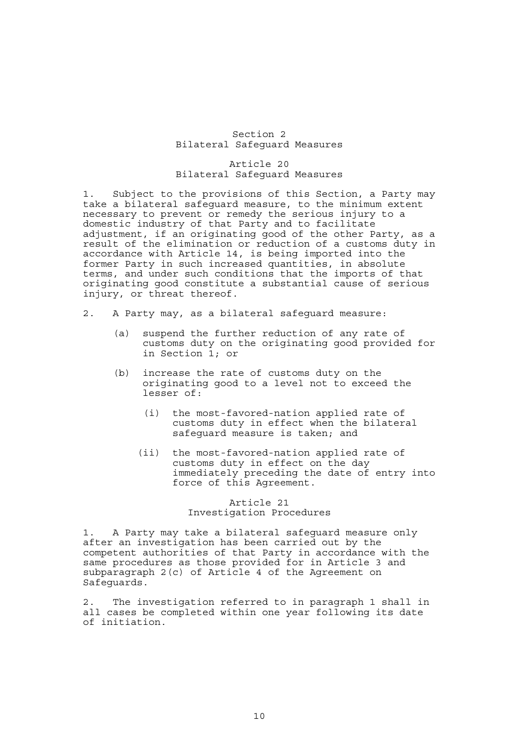#### Section 2 Bilateral Safeguard Measures

#### Article 20 Bilateral Safeguard Measures

1. Subject to the provisions of this Section, a Party may take a bilateral safeguard measure, to the minimum extent necessary to prevent or remedy the serious injury to a domestic industry of that Party and to facilitate adjustment, if an originating good of the other Party, as a result of the elimination or reduction of a customs duty in accordance with Article 14, is being imported into the former Party in such increased quantities, in absolute terms, and under such conditions that the imports of that originating good constitute a substantial cause of serious injury, or threat thereof.

- 2. A Party may, as a bilateral safeguard measure:
	- (a) suspend the further reduction of any rate of customs duty on the originating good provided for in Section 1; or
	- (b) increase the rate of customs duty on the originating good to a level not to exceed the lesser of:
		- (i) the most-favored-nation applied rate of customs duty in effect when the bilateral safeguard measure is taken; and
		- (ii) the most-favored-nation applied rate of customs duty in effect on the day immediately preceding the date of entry into force of this Agreement.

# Article 21 Investigation Procedures

1. A Party may take a bilateral safeguard measure only after an investigation has been carried out by the competent authorities of that Party in accordance with the same procedures as those provided for in Article 3 and subparagraph 2(c) of Article 4 of the Agreement on Safeguards.

2. The investigation referred to in paragraph 1 shall in all cases be completed within one year following its date of initiation.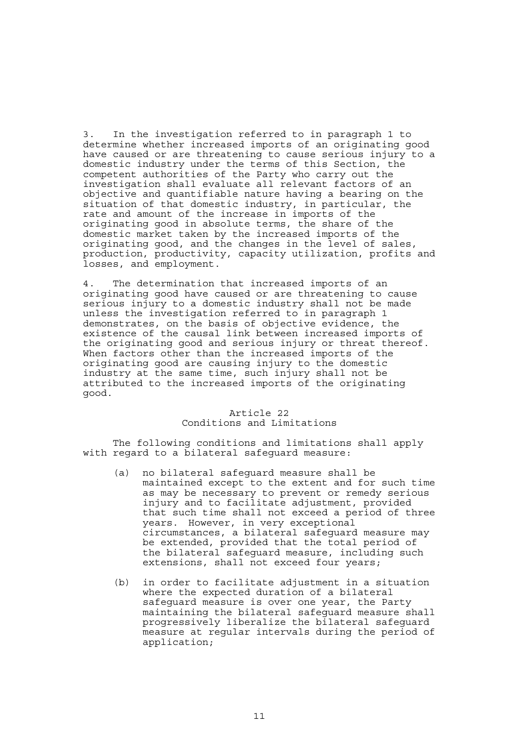3. In the investigation referred to in paragraph 1 to determine whether increased imports of an originating good have caused or are threatening to cause serious injury to a domestic industry under the terms of this Section, the competent authorities of the Party who carry out the investigation shall evaluate all relevant factors of an objective and quantifiable nature having a bearing on the situation of that domestic industry, in particular, the rate and amount of the increase in imports of the originating good in absolute terms, the share of the domestic market taken by the increased imports of the originating good, and the changes in the level of sales, production, productivity, capacity utilization, profits and losses, and employment.

4. The determination that increased imports of an originating good have caused or are threatening to cause serious injury to a domestic industry shall not be made unless the investigation referred to in paragraph 1 demonstrates, on the basis of objective evidence, the existence of the causal link between increased imports of the originating good and serious injury or threat thereof. When factors other than the increased imports of the originating good are causing injury to the domestic industry at the same time, such injury shall not be attributed to the increased imports of the originating good.

# Article 22 Conditions and Limitations

 The following conditions and limitations shall apply with regard to a bilateral safeguard measure:

- (a) no bilateral safeguard measure shall be maintained except to the extent and for such time as may be necessary to prevent or remedy serious injury and to facilitate adjustment, provided that such time shall not exceed a period of three years. However, in very exceptional circumstances, a bilateral safeguard measure may be extended, provided that the total period of the bilateral safeguard measure, including such extensions, shall not exceed four years;
- (b) in order to facilitate adjustment in a situation where the expected duration of a bilateral safeguard measure is over one year, the Party maintaining the bilateral safeguard measure shall progressively liberalize the bilateral safeguard measure at regular intervals during the period of application;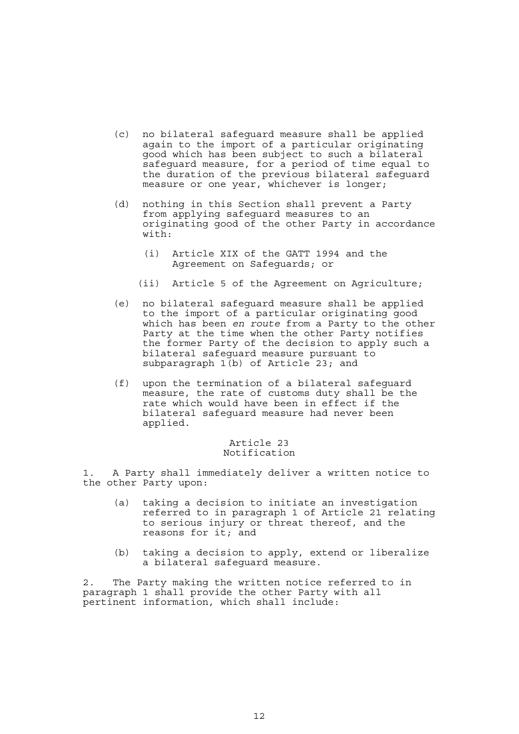- (c) no bilateral safeguard measure shall be applied again to the import of a particular originating good which has been subject to such a bilateral safeguard measure, for a period of time equal to the duration of the previous bilateral safeguard measure or one year, whichever is longer;
- (d) nothing in this Section shall prevent a Party from applying safeguard measures to an originating good of the other Party in accordance with:
	- (i) Article XIX of the GATT 1994 and the Agreement on Safeguards; or
	- (ii) Article 5 of the Agreement on Agriculture;
- (e) no bilateral safeguard measure shall be applied to the import of a particular originating good which has been *en route* from a Party to the other Party at the time when the other Party notifies the former Party of the decision to apply such a bilateral safeguard measure pursuant to subparagraph  $1(b)$  of Article 23; and
- (f) upon the termination of a bilateral safeguard measure, the rate of customs duty shall be the rate which would have been in effect if the bilateral safeguard measure had never been applied.

#### Article 23 Notification

1. A Party shall immediately deliver a written notice to the other Party upon:

- (a) taking a decision to initiate an investigation referred to in paragraph 1 of Article 21 relating to serious injury or threat thereof, and the reasons for it; and
- (b) taking a decision to apply, extend or liberalize a bilateral safeguard measure.

2. The Party making the written notice referred to in paragraph 1 shall provide the other Party with all pertinent information, which shall include: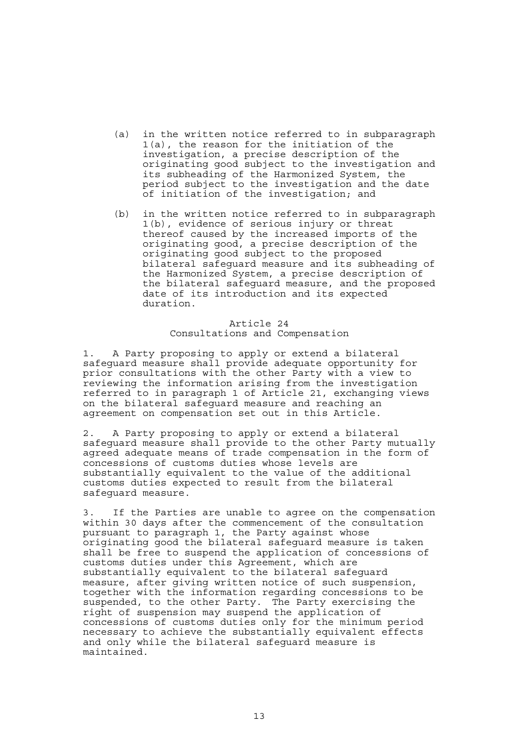- (a) in the written notice referred to in subparagraph 1(a), the reason for the initiation of the investigation, a precise description of the originating good subject to the investigation and its subheading of the Harmonized System, the period subject to the investigation and the date of initiation of the investigation; and
- (b) in the written notice referred to in subparagraph 1(b), evidence of serious injury or threat thereof caused by the increased imports of the originating good, a precise description of the originating good subject to the proposed bilateral safeguard measure and its subheading of the Harmonized System, a precise description of the bilateral safeguard measure, and the proposed date of its introduction and its expected duration.

## Article 24 Consultations and Compensation

1. A Party proposing to apply or extend a bilateral safeguard measure shall provide adequate opportunity for prior consultations with the other Party with a view to reviewing the information arising from the investigation referred to in paragraph 1 of Article 21, exchanging views on the bilateral safeguard measure and reaching an agreement on compensation set out in this Article.

2. A Party proposing to apply or extend a bilateral safeguard measure shall provide to the other Party mutually agreed adequate means of trade compensation in the form of concessions of customs duties whose levels are substantially equivalent to the value of the additional customs duties expected to result from the bilateral safeguard measure.

3. If the Parties are unable to agree on the compensation within 30 days after the commencement of the consultation pursuant to paragraph 1, the Party against whose originating good the bilateral safeguard measure is taken shall be free to suspend the application of concessions of customs duties under this Agreement, which are substantially equivalent to the bilateral safeguard measure, after giving written notice of such suspension, together with the information regarding concessions to be suspended, to the other Party. The Party exercising the right of suspension may suspend the application of concessions of customs duties only for the minimum period necessary to achieve the substantially equivalent effects and only while the bilateral safeguard measure is maintained.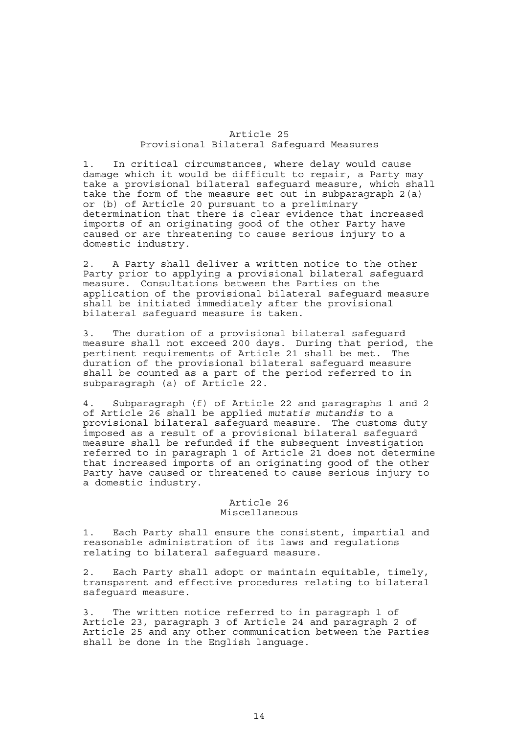#### Article 25 Provisional Bilateral Safeguard Measures

1. In critical circumstances, where delay would cause damage which it would be difficult to repair, a Party may take a provisional bilateral safeguard measure, which shall take the form of the measure set out in subparagraph 2(a) or (b) of Article 20 pursuant to a preliminary determination that there is clear evidence that increased imports of an originating good of the other Party have caused or are threatening to cause serious injury to a domestic industry.

2. A Party shall deliver a written notice to the other Party prior to applying a provisional bilateral safeguard measure. Consultations between the Parties on the application of the provisional bilateral safeguard measure shall be initiated immediately after the provisional bilateral safeguard measure is taken.

3. The duration of a provisional bilateral safeguard measure shall not exceed 200 days. During that period, the pertinent requirements of Article 21 shall be met. The duration of the provisional bilateral safeguard measure shall be counted as a part of the period referred to in subparagraph (a) of Article 22.

4. Subparagraph (f) of Article 22 and paragraphs 1 and 2 of Article 26 shall be applied *mutatis mutandis* to a provisional bilateral safeguard measure. The customs duty imposed as a result of a provisional bilateral safeguard measure shall be refunded if the subsequent investigation referred to in paragraph 1 of Article 21 does not determine that increased imports of an originating good of the other Party have caused or threatened to cause serious injury to a domestic industry.

# Article 26 Miscellaneous

1. Each Party shall ensure the consistent, impartial and reasonable administration of its laws and regulations relating to bilateral safeguard measure.

2. Each Party shall adopt or maintain equitable, timely, transparent and effective procedures relating to bilateral safeguard measure.

3. The written notice referred to in paragraph 1 of Article 23, paragraph 3 of Article 24 and paragraph 2 of Article 25 and any other communication between the Parties shall be done in the English language.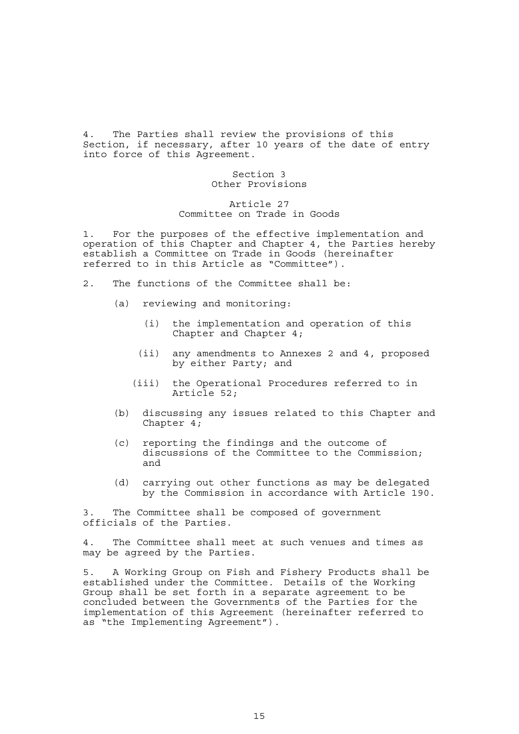4. The Parties shall review the provisions of this Section, if necessary, after 10 years of the date of entry into force of this Agreement.

# Section 3 Other Provisions

## Article 27 Committee on Trade in Goods

1. For the purposes of the effective implementation and operation of this Chapter and Chapter 4, the Parties hereby establish a Committee on Trade in Goods (hereinafter referred to in this Article as "Committee").

- 2. The functions of the Committee shall be:
	- (a) reviewing and monitoring:
		- (i) the implementation and operation of this Chapter and Chapter 4;
		- (ii) any amendments to Annexes 2 and 4, proposed by either Party; and
		- (iii) the Operational Procedures referred to in Article 52;
	- (b) discussing any issues related to this Chapter and Chapter 4;
	- (c) reporting the findings and the outcome of discussions of the Committee to the Commission; and
	- (d) carrying out other functions as may be delegated by the Commission in accordance with Article 190.

3. The Committee shall be composed of government officials of the Parties.

4. The Committee shall meet at such venues and times as may be agreed by the Parties.

5. A Working Group on Fish and Fishery Products shall be established under the Committee. Details of the Working Group shall be set forth in a separate agreement to be concluded between the Governments of the Parties for the implementation of this Agreement (hereinafter referred to as "the Implementing Agreement").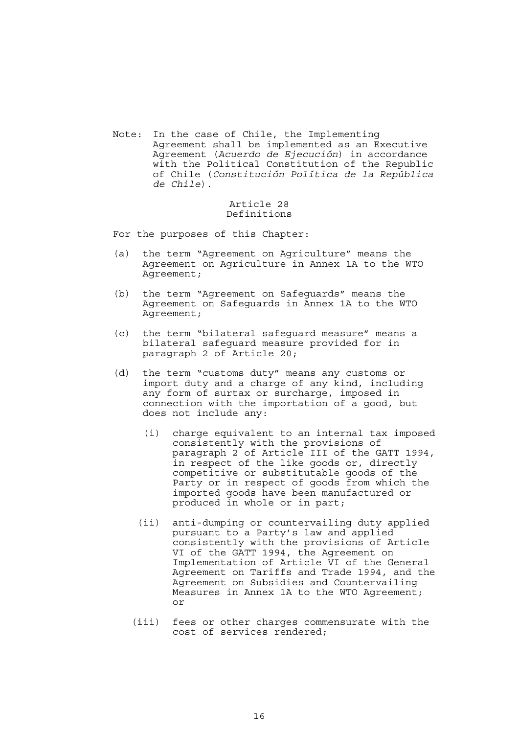Note: In the case of Chile, the Implementing Agreement shall be implemented as an Executive Agreement (*Acuerdo de Ejecución*) in accordance with the Political Constitution of the Republic of Chile (*Constitución Política de la República de Chile*).

## Article 28 Definitions

For the purposes of this Chapter:

- (a) the term "Agreement on Agriculture" means the Agreement on Agriculture in Annex 1A to the WTO Agreement;
- (b) the term "Agreement on Safeguards" means the Agreement on Safeguards in Annex 1A to the WTO Agreement;
- (c) the term "bilateral safeguard measure" means a bilateral safeguard measure provided for in paragraph 2 of Article 20;
- (d) the term "customs duty" means any customs or import duty and a charge of any kind, including any form of surtax or surcharge, imposed in connection with the importation of a good, but does not include any:
	- (i) charge equivalent to an internal tax imposed consistently with the provisions of paragraph 2 of Article III of the GATT 1994, in respect of the like goods or, directly competitive or substitutable goods of the Party or in respect of goods from which the imported goods have been manufactured or produced in whole or in part;
	- (ii) anti-dumping or countervailing duty applied pursuant to a Party's law and applied consistently with the provisions of Article VI of the GATT 1994, the Agreement on Implementation of Article VI of the General Agreement on Tariffs and Trade 1994, and the Agreement on Subsidies and Countervailing Measures in Annex 1A to the WTO Agreement; or
	- (iii) fees or other charges commensurate with the cost of services rendered;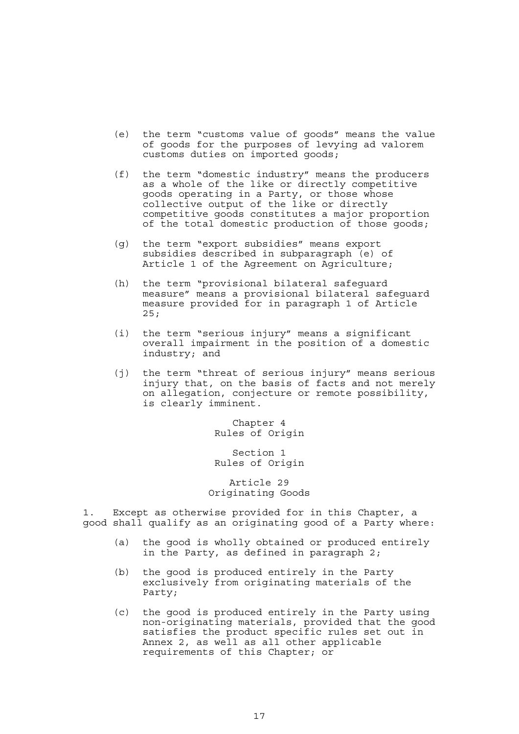- (e) the term "customs value of goods" means the value of goods for the purposes of levying ad valorem customs duties on imported goods;
- (f) the term "domestic industry" means the producers as a whole of the like or directly competitive goods operating in a Party, or those whose collective output of the like or directly competitive goods constitutes a major proportion of the total domestic production of those goods;
- (g) the term "export subsidies" means export subsidies described in subparagraph (e) of Article 1 of the Agreement on Agriculture;
- (h) the term "provisional bilateral safeguard measure" means a provisional bilateral safeguard measure provided for in paragraph 1 of Article 25;
- (i) the term "serious injury" means a significant overall impairment in the position of a domestic industry; and
- (j) the term "threat of serious injury" means serious injury that, on the basis of facts and not merely on allegation, conjecture or remote possibility, is clearly imminent.

Chapter 4 Rules of Origin

Section 1 Rules of Origin

Article 29 Originating Goods

1. Except as otherwise provided for in this Chapter, a good shall qualify as an originating good of a Party where:

- (a) the good is wholly obtained or produced entirely in the Party, as defined in paragraph 2;
- (b) the good is produced entirely in the Party exclusively from originating materials of the Party;
- (c) the good is produced entirely in the Party using non-originating materials, provided that the good satisfies the product specific rules set out in Annex 2, as well as all other applicable requirements of this Chapter; or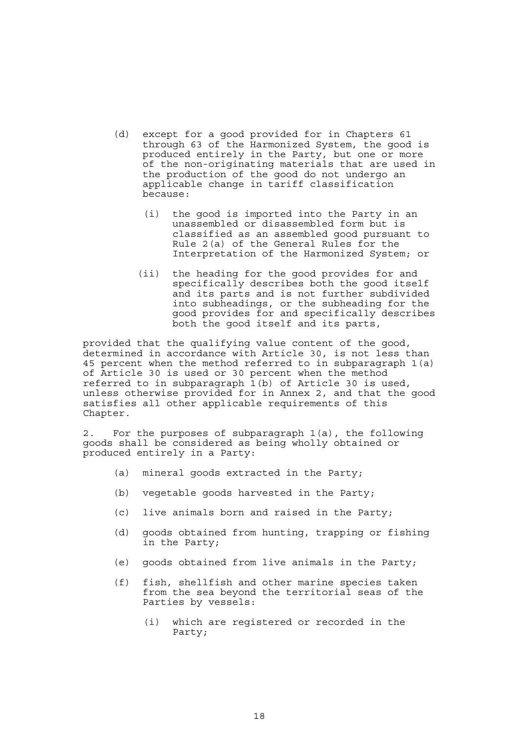- (d) except for a good provided for in Chapters 61 through 63 of the Harmonized System, the good is produced entirely in the Party, but one or more of the non-originating materials that are used in the production of the good do not undergo an applicable change in tariff classification because:
	- (i) the good is imported into the Party in an unassembled or disassembled form but is classified as an assembled good pursuant to Rule 2(a) of the General Rules for the Interpretation of the Harmonized System; or
	- (ii) the heading for the good provides for and specifically describes both the good itself and its parts and is not further subdivided into subheadings, or the subheading for the good provides for and specifically describes both the good itself and its parts,

provided that the qualifying value content of the good, determined in accordance with Article 30, is not less than 45 percent when the method referred to in subparagraph 1(a) of Article 30 is used or 30 percent when the method referred to in subparagraph 1(b) of Article 30 is used, unless otherwise provided for in Annex 2, and that the good satisfies all other applicable requirements of this Chapter.

2. For the purposes of subparagraph 1(a), the following goods shall be considered as being wholly obtained or produced entirely in a Party:

- (a) mineral goods extracted in the Party;
- (b) vegetable goods harvested in the Party;
- (c) live animals born and raised in the Party;
- (d) goods obtained from hunting, trapping or fishing in the Party;
- (e) goods obtained from live animals in the Party;
- (f) fish, shellfish and other marine species taken from the sea beyond the territorial seas of the Parties by vessels:
	- (i) which are registered or recorded in the Party;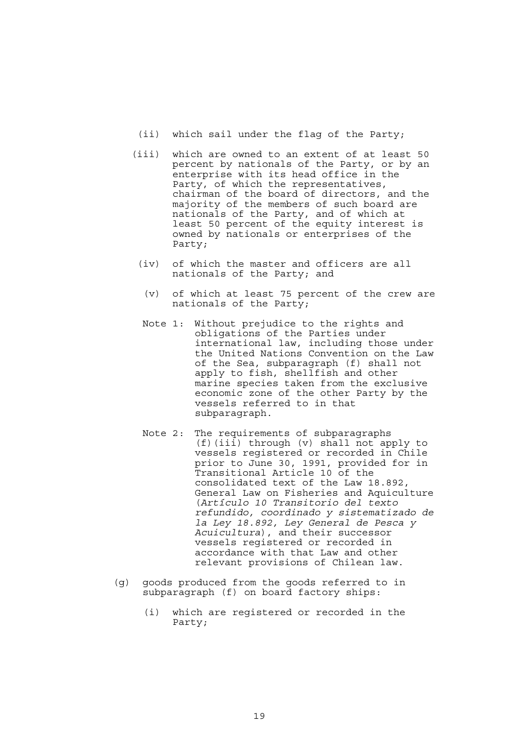- (ii) which sail under the flag of the Party;
- (iii) which are owned to an extent of at least 50 percent by nationals of the Party, or by an enterprise with its head office in the Party, of which the representatives, chairman of the board of directors, and the majority of the members of such board are nationals of the Party, and of which at least 50 percent of the equity interest is owned by nationals or enterprises of the Party;
	- (iv) of which the master and officers are all nationals of the Party; and
		- (v) of which at least 75 percent of the crew are nationals of the Party;
	- Note 1: Without prejudice to the rights and obligations of the Parties under international law, including those under the United Nations Convention on the Law of the Sea, subparagraph (f) shall not apply to fish, shellfish and other marine species taken from the exclusive economic zone of the other Party by the vessels referred to in that subparagraph.
	- Note 2: The requirements of subparagraphs (f)(iii) through (v) shall not apply to vessels registered or recorded in Chile prior to June 30, 1991, provided for in Transitional Article 10 of the consolidated text of the Law 18.892, General Law on Fisheries and Aquiculture (*Artículo 10 Transitorio del texto refundido, coordinado y sistematizado de la Ley 18.892, Ley General de Pesca y Acuicultura*), and their successor vessels registered or recorded in accordance with that Law and other relevant provisions of Chilean law.
- (g) goods produced from the goods referred to in subparagraph (f) on board factory ships:
	- (i) which are registered or recorded in the Party;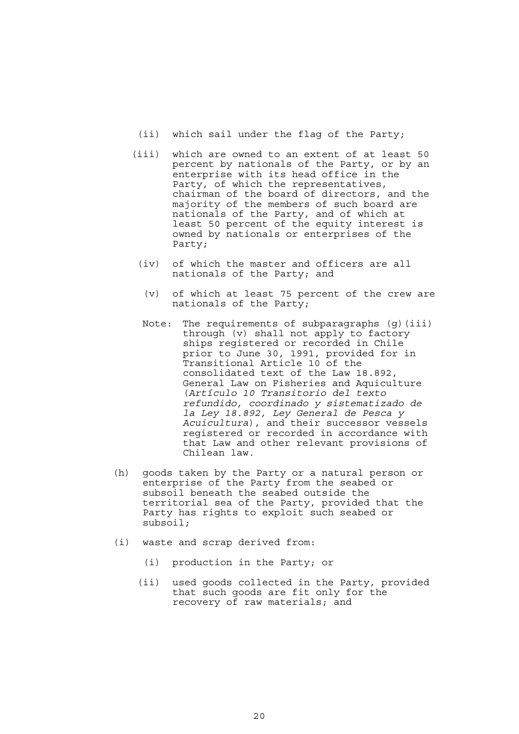- (ii) which sail under the flag of the Party;
- (iii) which are owned to an extent of at least 50 percent by nationals of the Party, or by an enterprise with its head office in the Party, of which the representatives, chairman of the board of directors, and the majority of the members of such board are nationals of the Party, and of which at least 50 percent of the equity interest is owned by nationals or enterprises of the Party;
	- (iv) of which the master and officers are all nationals of the Party; and
		- (v) of which at least 75 percent of the crew are nationals of the Party;
	- Note: The requirements of subparagraphs (g)(iii) through (v) shall not apply to factory ships registered or recorded in Chile prior to June 30, 1991, provided for in Transitional Article 10 of the consolidated text of the Law 18.892, General Law on Fisheries and Aquiculture (*Artículo 10 Transitorio del texto refundido, coordinado y sistematizado de la Ley 18.892, Ley General de Pesca y Acuicultura*), and their successor vessels registered or recorded in accordance with that Law and other relevant provisions of Chilean law.
- (h) goods taken by the Party or a natural person or enterprise of the Party from the seabed or subsoil beneath the seabed outside the territorial sea of the Party, provided that the Party has rights to exploit such seabed or subsoil;
- (i) waste and scrap derived from:
	- (i) production in the Party; or
	- (ii) used goods collected in the Party, provided that such goods are fit only for the recovery of raw materials; and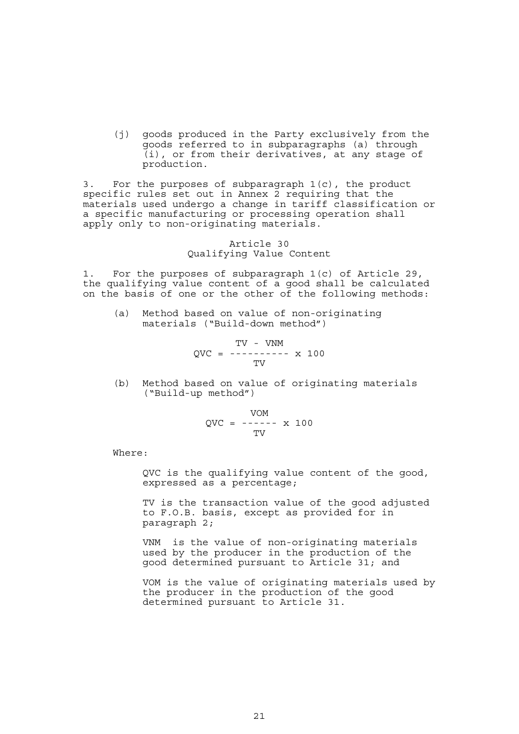(j) goods produced in the Party exclusively from the goods referred to in subparagraphs (a) through (i), or from their derivatives, at any stage of production.

3. For the purposes of subparagraph 1(c), the product specific rules set out in Annex 2 requiring that the materials used undergo a change in tariff classification or a specific manufacturing or processing operation shall apply only to non-originating materials.

## Article 30 Qualifying Value Content

1. For the purposes of subparagraph 1(c) of Article 29, the qualifying value content of a good shall be calculated on the basis of one or the other of the following methods:

 (a) Method based on value of non-originating materials ("Build-down method")

$$
QVC = \begin{array}{cc} TV - VNM \\ - - - - - - - - - \times 100 \\ TV \end{array}
$$

 (b) Method based on value of originating materials ("Build-up method")

$$
QVC = \begin{array}{cc} VOM \\ - \text{---} & x \quad 100 \\ TV \end{array}
$$

Where:

 QVC is the qualifying value content of the good, expressed as a percentage;

 TV is the transaction value of the good adjusted to F.O.B. basis, except as provided for in paragraph 2;

 VNM is the value of non-originating materials used by the producer in the production of the good determined pursuant to Article 31; and

 VOM is the value of originating materials used by the producer in the production of the good determined pursuant to Article 31.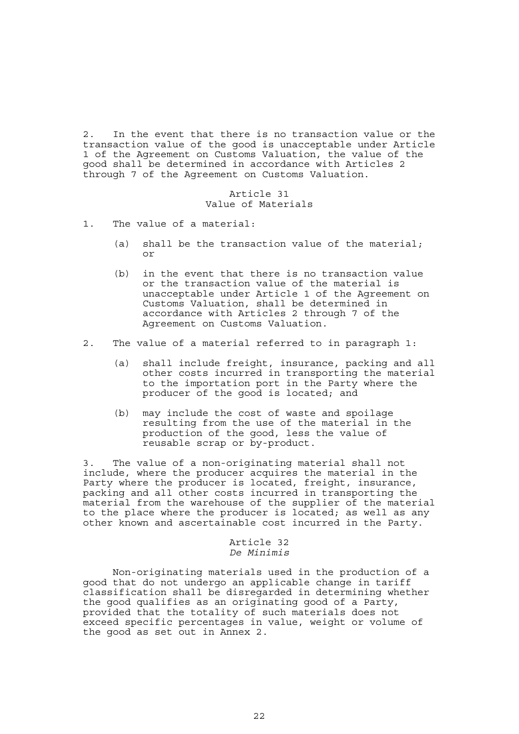2. In the event that there is no transaction value or the transaction value of the good is unacceptable under Article 1 of the Agreement on Customs Valuation, the value of the good shall be determined in accordance with Articles 2 through 7 of the Agreement on Customs Valuation.

#### Article 31 Value of Materials

- 1. The value of a material:
	- (a) shall be the transaction value of the material; or
	- (b) in the event that there is no transaction value or the transaction value of the material is unacceptable under Article 1 of the Agreement on Customs Valuation, shall be determined in accordance with Articles 2 through 7 of the Agreement on Customs Valuation.
- 2. The value of a material referred to in paragraph 1:
	- (a) shall include freight, insurance, packing and all other costs incurred in transporting the material to the importation port in the Party where the producer of the good is located; and
	- (b) may include the cost of waste and spoilage resulting from the use of the material in the production of the good, less the value of reusable scrap or by-product.

3. The value of a non-originating material shall not include, where the producer acquires the material in the Party where the producer is located, freight, insurance, packing and all other costs incurred in transporting the material from the warehouse of the supplier of the material to the place where the producer is located; as well as any other known and ascertainable cost incurred in the Party.

#### Article 32 *De Minimis*

 Non-originating materials used in the production of a good that do not undergo an applicable change in tariff classification shall be disregarded in determining whether the good qualifies as an originating good of a Party, provided that the totality of such materials does not exceed specific percentages in value, weight or volume of the good as set out in Annex 2.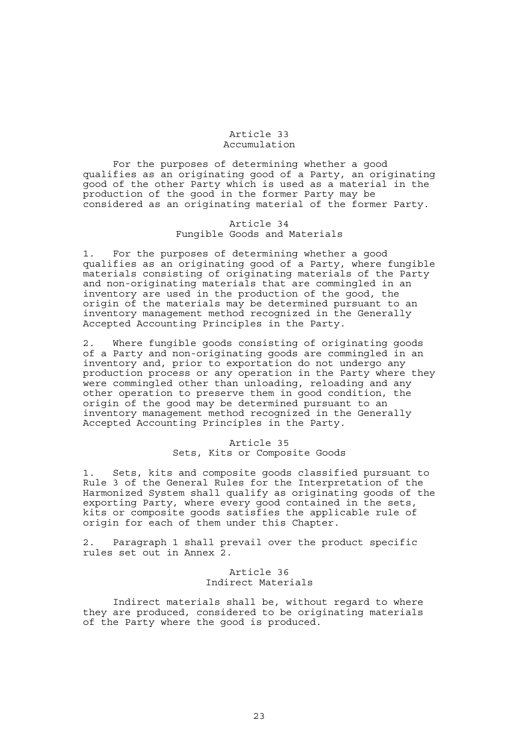#### Article 33 Accumulation

 For the purposes of determining whether a good qualifies as an originating good of a Party, an originating good of the other Party which is used as a material in the production of the good in the former Party may be considered as an originating material of the former Party.

# Article 34 Fungible Goods and Materials

1. For the purposes of determining whether a good qualifies as an originating good of a Party, where fungible materials consisting of originating materials of the Party and non-originating materials that are commingled in an inventory are used in the production of the good, the origin of the materials may be determined pursuant to an inventory management method recognized in the Generally Accepted Accounting Principles in the Party.

2. Where fungible goods consisting of originating goods of a Party and non-originating goods are commingled in an inventory and, prior to exportation do not undergo any production process or any operation in the Party where they were commingled other than unloading, reloading and any other operation to preserve them in good condition, the origin of the good may be determined pursuant to an inventory management method recognized in the Generally Accepted Accounting Principles in the Party.

# Article 35 Sets, Kits or Composite Goods

1. Sets, kits and composite goods classified pursuant to Rule 3 of the General Rules for the Interpretation of the Harmonized System shall qualify as originating goods of the exporting Party, where every good contained in the sets, kits or composite goods satisfies the applicable rule of origin for each of them under this Chapter.

2. Paragraph 1 shall prevail over the product specific rules set out in Annex 2.

# Article 36 Indirect Materials

 Indirect materials shall be, without regard to where they are produced, considered to be originating materials of the Party where the good is produced.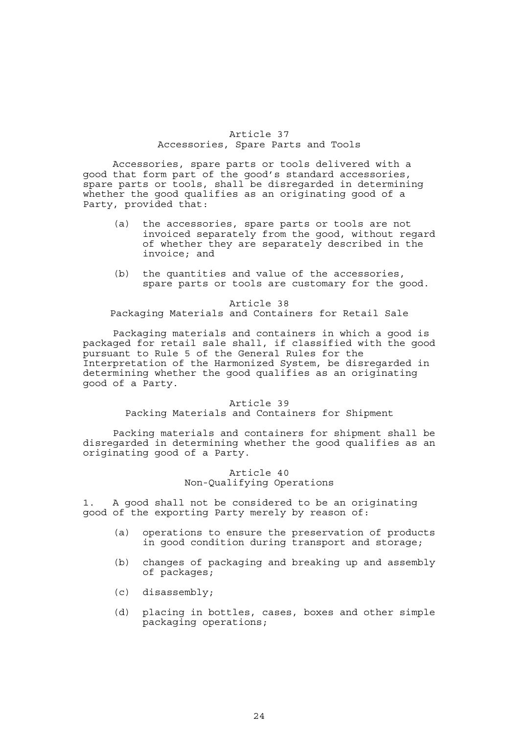#### Article 37 Accessories, Spare Parts and Tools

 Accessories, spare parts or tools delivered with a good that form part of the good's standard accessories, spare parts or tools, shall be disregarded in determining whether the good qualifies as an originating good of a Party, provided that:

- (a) the accessories, spare parts or tools are not invoiced separately from the good, without regard of whether they are separately described in the invoice; and
- (b) the quantities and value of the accessories, spare parts or tools are customary for the good.

Article 38 Packaging Materials and Containers for Retail Sale

 Packaging materials and containers in which a good is packaged for retail sale shall, if classified with the good pursuant to Rule 5 of the General Rules for the Interpretation of the Harmonized System, be disregarded in determining whether the good qualifies as an originating good of a Party.

#### Article 39

Packing Materials and Containers for Shipment

 Packing materials and containers for shipment shall be disregarded in determining whether the good qualifies as an originating good of a Party.

#### Article 40 Non-Qualifying Operations

1. A good shall not be considered to be an originating good of the exporting Party merely by reason of:

- (a) operations to ensure the preservation of products in good condition during transport and storage;
- (b) changes of packaging and breaking up and assembly of packages;
- (c) disassembly;
- (d) placing in bottles, cases, boxes and other simple packaging operations;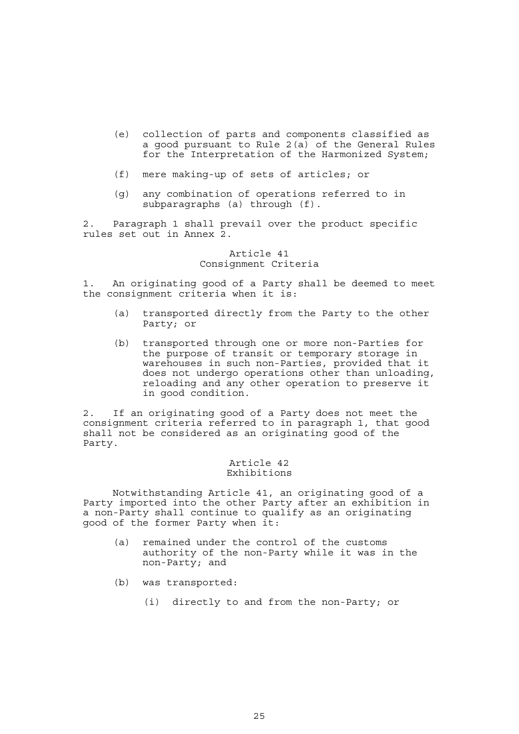- (e) collection of parts and components classified as a good pursuant to Rule 2(a) of the General Rules for the Interpretation of the Harmonized System;
- (f) mere making-up of sets of articles; or
- (g) any combination of operations referred to in subparagraphs (a) through (f).

2. Paragraph 1 shall prevail over the product specific rules set out in Annex 2.

#### Article 41 Consignment Criteria

1. An originating good of a Party shall be deemed to meet the consignment criteria when it is:

- (a) transported directly from the Party to the other Party; or
- (b) transported through one or more non-Parties for the purpose of transit or temporary storage in warehouses in such non-Parties, provided that it does not undergo operations other than unloading, reloading and any other operation to preserve it in good condition.

2. If an originating good of a Party does not meet the consignment criteria referred to in paragraph 1, that good shall not be considered as an originating good of the Party.

# Article 42 Exhibitions

 Notwithstanding Article 41, an originating good of a Party imported into the other Party after an exhibition in a non-Party shall continue to qualify as an originating good of the former Party when it:

- (a) remained under the control of the customs authority of the non-Party while it was in the non-Party; and
- (b) was transported:
	- (i) directly to and from the non-Party; or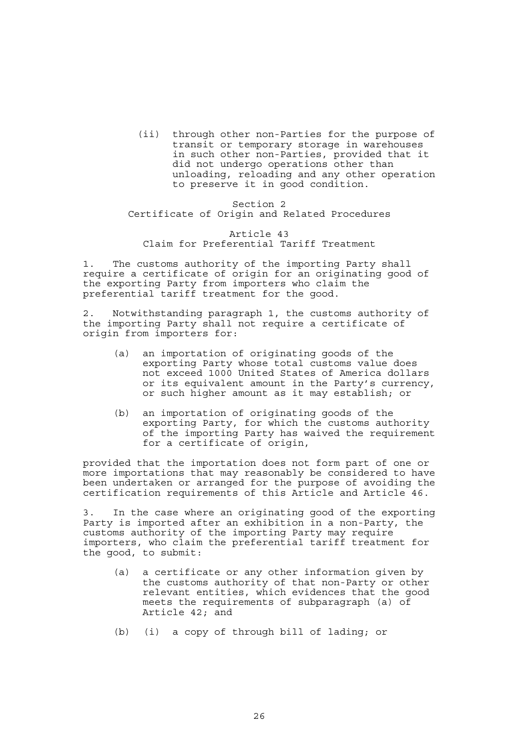(ii) through other non-Parties for the purpose of transit or temporary storage in warehouses in such other non-Parties, provided that it did not undergo operations other than unloading, reloading and any other operation to preserve it in good condition.

Section 2 Certificate of Origin and Related Procedures

Article 43 Claim for Preferential Tariff Treatment

1. The customs authority of the importing Party shall require a certificate of origin for an originating good of the exporting Party from importers who claim the preferential tariff treatment for the good.

2. Notwithstanding paragraph 1, the customs authority of the importing Party shall not require a certificate of origin from importers for:

- (a) an importation of originating goods of the exporting Party whose total customs value does not exceed 1000 United States of America dollars or its equivalent amount in the Party's currency, or such higher amount as it may establish; or
- (b) an importation of originating goods of the exporting Party, for which the customs authority of the importing Party has waived the requirement for a certificate of origin,

provided that the importation does not form part of one or more importations that may reasonably be considered to have been undertaken or arranged for the purpose of avoiding the certification requirements of this Article and Article 46.

3. In the case where an originating good of the exporting Party is imported after an exhibition in a non-Party, the customs authority of the importing Party may require importers, who claim the preferential tariff treatment for the good, to submit:

- (a) a certificate or any other information given by the customs authority of that non-Party or other relevant entities, which evidences that the good meets the requirements of subparagraph (a) of Article 42; and
- (b) (i) a copy of through bill of lading; or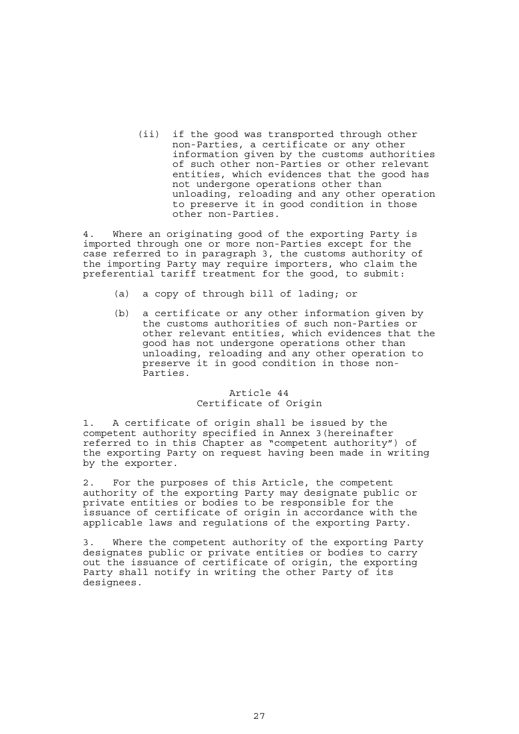(ii) if the good was transported through other non-Parties, a certificate or any other information given by the customs authorities of such other non-Parties or other relevant entities, which evidences that the good has not undergone operations other than unloading, reloading and any other operation to preserve it in good condition in those other non-Parties.

4. Where an originating good of the exporting Party is imported through one or more non-Parties except for the case referred to in paragraph 3, the customs authority of the importing Party may require importers, who claim the preferential tariff treatment for the good, to submit:

- (a) a copy of through bill of lading; or
- (b) a certificate or any other information given by the customs authorities of such non-Parties or other relevant entities, which evidences that the good has not undergone operations other than unloading, reloading and any other operation to preserve it in good condition in those non-Parties.

#### Article 44 Certificate of Origin

1. A certificate of origin shall be issued by the competent authority specified in Annex 3(hereinafter referred to in this Chapter as "competent authority") of the exporting Party on request having been made in writing by the exporter.

2. For the purposes of this Article, the competent authority of the exporting Party may designate public or private entities or bodies to be responsible for the issuance of certificate of origin in accordance with the applicable laws and regulations of the exporting Party.

3. Where the competent authority of the exporting Party designates public or private entities or bodies to carry out the issuance of certificate of origin, the exporting Party shall notify in writing the other Party of its designees.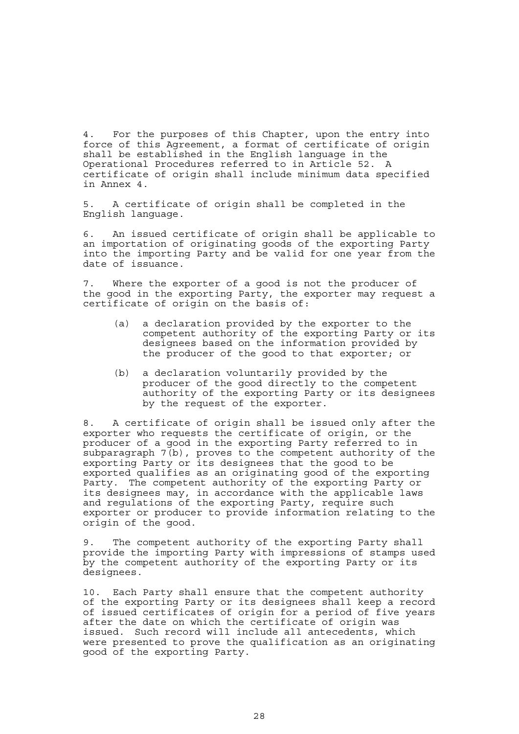4. For the purposes of this Chapter, upon the entry into force of this Agreement, a format of certificate of origin shall be established in the English language in the Operational Procedures referred to in Article 52. A certificate of origin shall include minimum data specified in Annex 4.

5. A certificate of origin shall be completed in the English language.

6. An issued certificate of origin shall be applicable to an importation of originating goods of the exporting Party into the importing Party and be valid for one year from the date of issuance.

7. Where the exporter of a good is not the producer of the good in the exporting Party, the exporter may request a certificate of origin on the basis of:

- (a) a declaration provided by the exporter to the competent authority of the exporting Party or its designees based on the information provided by the producer of the good to that exporter; or
- (b) a declaration voluntarily provided by the producer of the good directly to the competent authority of the exporting Party or its designees by the request of the exporter.

8. A certificate of origin shall be issued only after the exporter who requests the certificate of origin, or the producer of a good in the exporting Party referred to in subparagraph 7(b), proves to the competent authority of the exporting Party or its designees that the good to be exported qualifies as an originating good of the exporting Party. The competent authority of the exporting Party or its designees may, in accordance with the applicable laws and regulations of the exporting Party, require such exporter or producer to provide information relating to the origin of the good.

9. The competent authority of the exporting Party shall provide the importing Party with impressions of stamps used by the competent authority of the exporting Party or its designees.

10. Each Party shall ensure that the competent authority of the exporting Party or its designees shall keep a record of issued certificates of origin for a period of five years after the date on which the certificate of origin was issued. Such record will include all antecedents, which were presented to prove the qualification as an originating good of the exporting Party.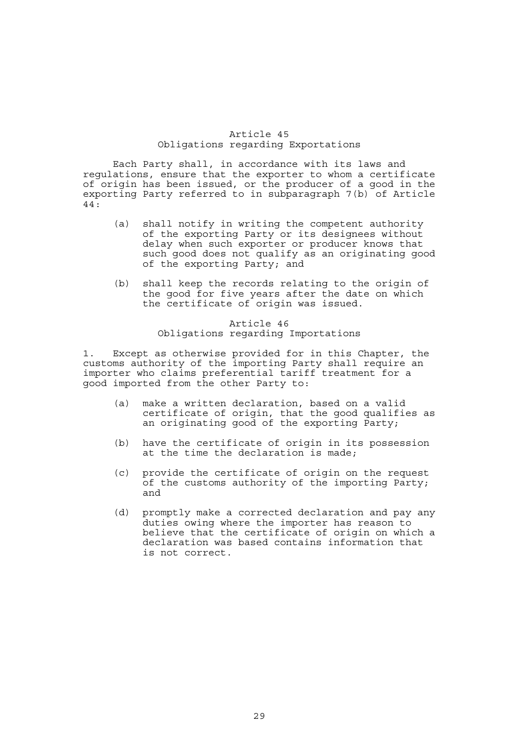## Article 45 Obligations regarding Exportations

 Each Party shall, in accordance with its laws and regulations, ensure that the exporter to whom a certificate of origin has been issued, or the producer of a good in the exporting Party referred to in subparagraph 7(b) of Article 44:

- (a) shall notify in writing the competent authority of the exporting Party or its designees without delay when such exporter or producer knows that such good does not qualify as an originating good of the exporting Party; and
- (b) shall keep the records relating to the origin of the good for five years after the date on which the certificate of origin was issued.

# Article 46 Obligations regarding Importations

1. Except as otherwise provided for in this Chapter, the customs authority of the importing Party shall require an importer who claims preferential tariff treatment for a good imported from the other Party to:

- (a) make a written declaration, based on a valid certificate of origin, that the good qualifies as an originating good of the exporting Party;
- (b) have the certificate of origin in its possession at the time the declaration is made;
- (c) provide the certificate of origin on the request of the customs authority of the importing Party; and
- (d) promptly make a corrected declaration and pay any duties owing where the importer has reason to believe that the certificate of origin on which a declaration was based contains information that is not correct.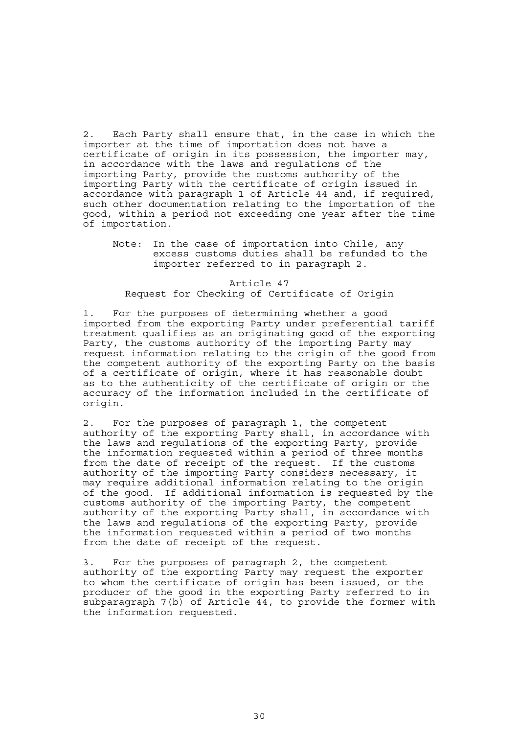2. Each Party shall ensure that, in the case in which the importer at the time of importation does not have a certificate of origin in its possession, the importer may, in accordance with the laws and regulations of the importing Party, provide the customs authority of the importing Party with the certificate of origin issued in accordance with paragraph 1 of Article 44 and, if required, such other documentation relating to the importation of the good, within a period not exceeding one year after the time of importation.

## Note: In the case of importation into Chile, any excess customs duties shall be refunded to the importer referred to in paragraph 2.

#### Article 47 Request for Checking of Certificate of Origin

1. For the purposes of determining whether a good imported from the exporting Party under preferential tariff treatment qualifies as an originating good of the exporting Party, the customs authority of the importing Party may request information relating to the origin of the good from the competent authority of the exporting Party on the basis of a certificate of origin, where it has reasonable doubt as to the authenticity of the certificate of origin or the accuracy of the information included in the certificate of origin.

2. For the purposes of paragraph 1, the competent authority of the exporting Party shall, in accordance with the laws and regulations of the exporting Party, provide the information requested within a period of three months from the date of receipt of the request. If the customs authority of the importing Party considers necessary, it may require additional information relating to the origin of the good. If additional information is requested by the customs authority of the importing Party, the competent authority of the exporting Party shall, in accordance with the laws and regulations of the exporting Party, provide the information requested within a period of two months from the date of receipt of the request.

3. For the purposes of paragraph 2, the competent authority of the exporting Party may request the exporter to whom the certificate of origin has been issued, or the producer of the good in the exporting Party referred to in subparagraph  $7(b)$  of Article  $44$ , to provide the former with the information requested.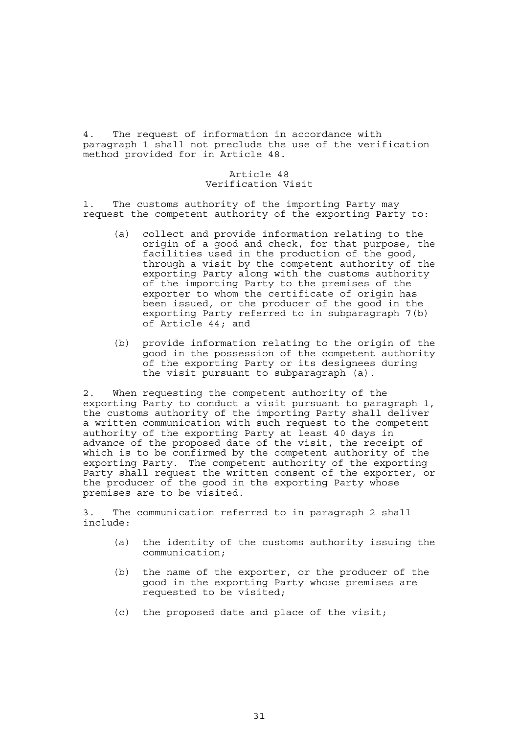4. The request of information in accordance with paragraph 1 shall not preclude the use of the verification method provided for in Article 48.

# Article 48 Verification Visit

1. The customs authority of the importing Party may request the competent authority of the exporting Party to:

- (a) collect and provide information relating to the origin of a good and check, for that purpose, the facilities used in the production of the good, through a visit by the competent authority of the exporting Party along with the customs authority of the importing Party to the premises of the exporter to whom the certificate of origin has been issued, or the producer of the good in the exporting Party referred to in subparagraph 7(b) of Article 44; and
- (b) provide information relating to the origin of the good in the possession of the competent authority of the exporting Party or its designees during the visit pursuant to subparagraph (a).

2. When requesting the competent authority of the exporting Party to conduct a visit pursuant to paragraph 1, the customs authority of the importing Party shall deliver a written communication with such request to the competent authority of the exporting Party at least 40 days in advance of the proposed date of the visit, the receipt of which is to be confirmed by the competent authority of the exporting Party. The competent authority of the exporting Party shall request the written consent of the exporter, or the producer of the good in the exporting Party whose premises are to be visited.

3. The communication referred to in paragraph 2 shall include:

- (a) the identity of the customs authority issuing the communication;
- (b) the name of the exporter, or the producer of the good in the exporting Party whose premises are requested to be visited;
- (c) the proposed date and place of the visit;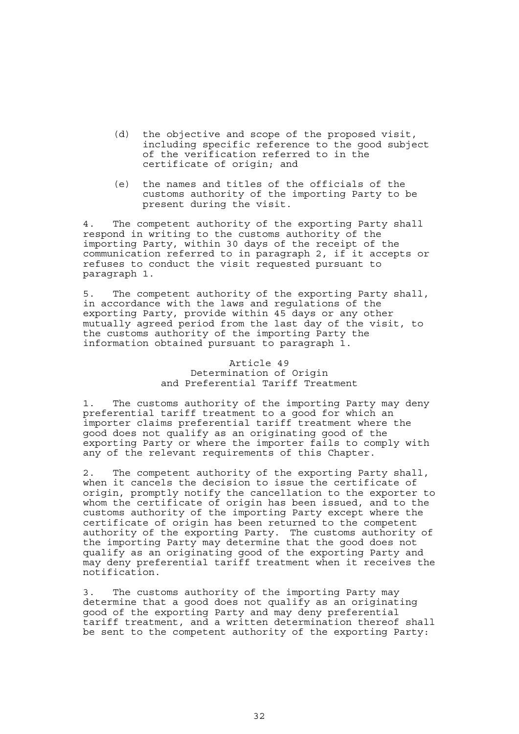- (d) the objective and scope of the proposed visit, including specific reference to the good subject of the verification referred to in the certificate of origin; and
- (e) the names and titles of the officials of the customs authority of the importing Party to be present during the visit.

4. The competent authority of the exporting Party shall respond in writing to the customs authority of the importing Party, within 30 days of the receipt of the communication referred to in paragraph 2, if it accepts or refuses to conduct the visit requested pursuant to paragraph 1.

5. The competent authority of the exporting Party shall, in accordance with the laws and regulations of the exporting Party, provide within 45 days or any other mutually agreed period from the last day of the visit, to the customs authority of the importing Party the information obtained pursuant to paragraph 1.

> Article 49 Determination of Origin and Preferential Tariff Treatment

1. The customs authority of the importing Party may deny preferential tariff treatment to a good for which an importer claims preferential tariff treatment where the good does not qualify as an originating good of the exporting Party or where the importer fails to comply with any of the relevant requirements of this Chapter.

2. The competent authority of the exporting Party shall, when it cancels the decision to issue the certificate of origin, promptly notify the cancellation to the exporter to whom the certificate of origin has been issued, and to the customs authority of the importing Party except where the certificate of origin has been returned to the competent authority of the exporting Party. The customs authority of the importing Party may determine that the good does not qualify as an originating good of the exporting Party and may deny preferential tariff treatment when it receives the notification.

3. The customs authority of the importing Party may determine that a good does not qualify as an originating good of the exporting Party and may deny preferential tariff treatment, and a written determination thereof shall be sent to the competent authority of the exporting Party: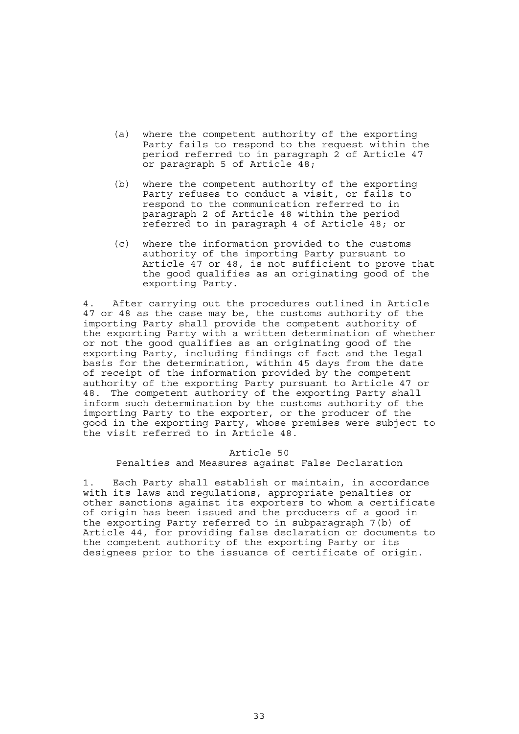- (a) where the competent authority of the exporting Party fails to respond to the request within the period referred to in paragraph 2 of Article 47 or paragraph 5 of Article 48;
- (b) where the competent authority of the exporting Party refuses to conduct a visit, or fails to respond to the communication referred to in paragraph 2 of Article 48 within the period referred to in paragraph 4 of Article 48; or
- (c) where the information provided to the customs authority of the importing Party pursuant to Article 47 or 48, is not sufficient to prove that the good qualifies as an originating good of the exporting Party.

4. After carrying out the procedures outlined in Article 47 or 48 as the case may be, the customs authority of the importing Party shall provide the competent authority of the exporting Party with a written determination of whether or not the good qualifies as an originating good of the exporting Party, including findings of fact and the legal basis for the determination, within 45 days from the date of receipt of the information provided by the competent authority of the exporting Party pursuant to Article 47 or 48. The competent authority of the exporting Party shall inform such determination by the customs authority of the importing Party to the exporter, or the producer of the good in the exporting Party, whose premises were subject to the visit referred to in Article 48.

# Article 50 Penalties and Measures against False Declaration

1. Each Party shall establish or maintain, in accordance with its laws and regulations, appropriate penalties or other sanctions against its exporters to whom a certificate of origin has been issued and the producers of a good in the exporting Party referred to in subparagraph 7(b) of Article 44, for providing false declaration or documents to the competent authority of the exporting Party or its designees prior to the issuance of certificate of origin.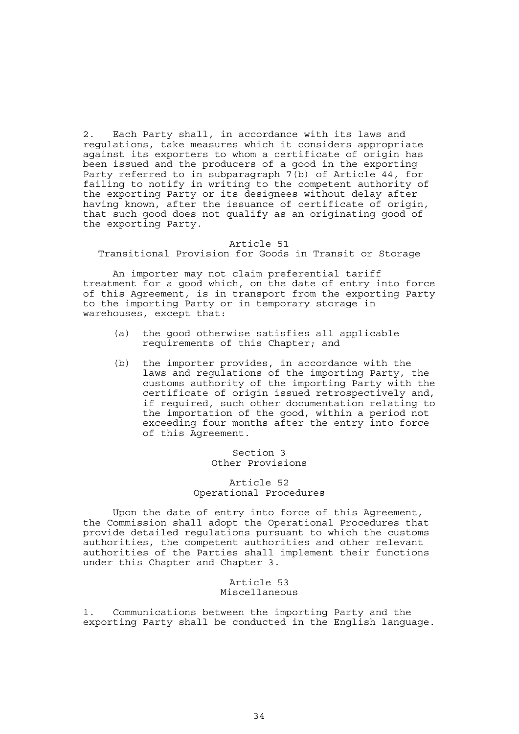2. Each Party shall, in accordance with its laws and regulations, take measures which it considers appropriate against its exporters to whom a certificate of origin has been issued and the producers of a good in the exporting Party referred to in subparagraph 7(b) of Article 44, for failing to notify in writing to the competent authority of the exporting Party or its designees without delay after having known, after the issuance of certificate of origin, that such good does not qualify as an originating good of the exporting Party.

#### Article 51

Transitional Provision for Goods in Transit or Storage

 An importer may not claim preferential tariff treatment for a good which, on the date of entry into force of this Agreement, is in transport from the exporting Party to the importing Party or in temporary storage in warehouses, except that:

- (a) the good otherwise satisfies all applicable requirements of this Chapter; and
- (b) the importer provides, in accordance with the laws and regulations of the importing Party, the customs authority of the importing Party with the certificate of origin issued retrospectively and, if required, such other documentation relating to the importation of the good, within a period not exceeding four months after the entry into force of this Agreement.

Section 3 Other Provisions

Article 52 Operational Procedures

 Upon the date of entry into force of this Agreement, the Commission shall adopt the Operational Procedures that provide detailed regulations pursuant to which the customs authorities, the competent authorities and other relevant authorities of the Parties shall implement their functions under this Chapter and Chapter 3.

#### Article 53 Miscellaneous

1. Communications between the importing Party and the exporting Party shall be conducted in the English language.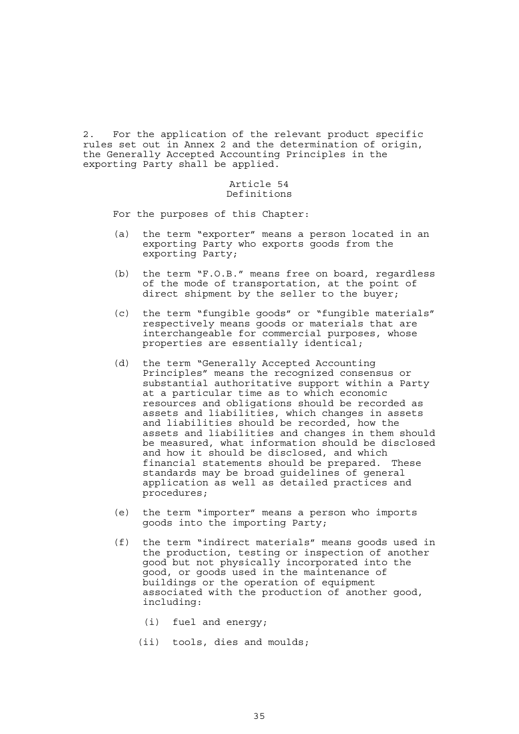2. For the application of the relevant product specific rules set out in Annex 2 and the determination of origin, the Generally Accepted Accounting Principles in the exporting Party shall be applied.

#### Article 54 Definitions

For the purposes of this Chapter:

- (a) the term "exporter" means a person located in an exporting Party who exports goods from the exporting Party;
- (b) the term "F.O.B." means free on board, regardless of the mode of transportation, at the point of direct shipment by the seller to the buyer;
- (c) the term "fungible goods" or "fungible materials" respectively means goods or materials that are interchangeable for commercial purposes, whose properties are essentially identical;
- (d) the term "Generally Accepted Accounting Principles" means the recognized consensus or substantial authoritative support within a Party at a particular time as to which economic resources and obligations should be recorded as assets and liabilities, which changes in assets and liabilities should be recorded, how the assets and liabilities and changes in them should be measured, what information should be disclosed and how it should be disclosed, and which financial statements should be prepared. These standards may be broad guidelines of general application as well as detailed practices and procedures;
- (e) the term "importer" means a person who imports goods into the importing Party;
- (f) the term "indirect materials" means goods used in the production, testing or inspection of another good but not physically incorporated into the good, or goods used in the maintenance of buildings or the operation of equipment associated with the production of another good, including:
	- (i) fuel and energy;
	- (ii) tools, dies and moulds;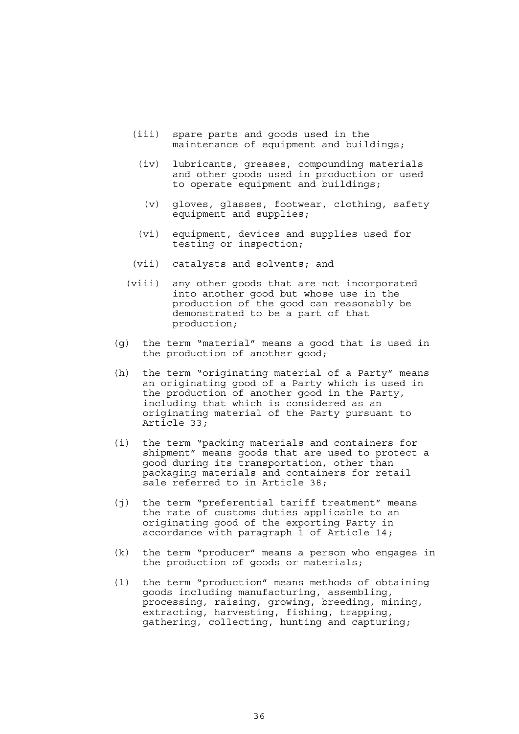- (iii) spare parts and goods used in the maintenance of equipment and buildings;
	- (iv) lubricants, greases, compounding materials and other goods used in production or used to operate equipment and buildings;
	- (v) gloves, glasses, footwear, clothing, safety equipment and supplies;
- (vi) equipment, devices and supplies used for testing or inspection;
- (vii) catalysts and solvents; and
- (viii) any other goods that are not incorporated into another good but whose use in the production of the good can reasonably be demonstrated to be a part of that production;
- (g) the term "material" means a good that is used in the production of another good;
- (h) the term "originating material of a Party" means an originating good of a Party which is used in the production of another good in the Party, including that which is considered as an originating material of the Party pursuant to Article 33;
- (i) the term "packing materials and containers for shipment" means goods that are used to protect a good during its transportation, other than packaging materials and containers for retail sale referred to in Article 38;
- (j) the term "preferential tariff treatment" means the rate of customs duties applicable to an originating good of the exporting Party in accordance with paragraph 1 of Article 14;
- (k) the term "producer" means a person who engages in the production of goods or materials;
- (l) the term "production" means methods of obtaining goods including manufacturing, assembling, processing, raising, growing, breeding, mining, extracting, harvesting, fishing, trapping, gathering, collecting, hunting and capturing;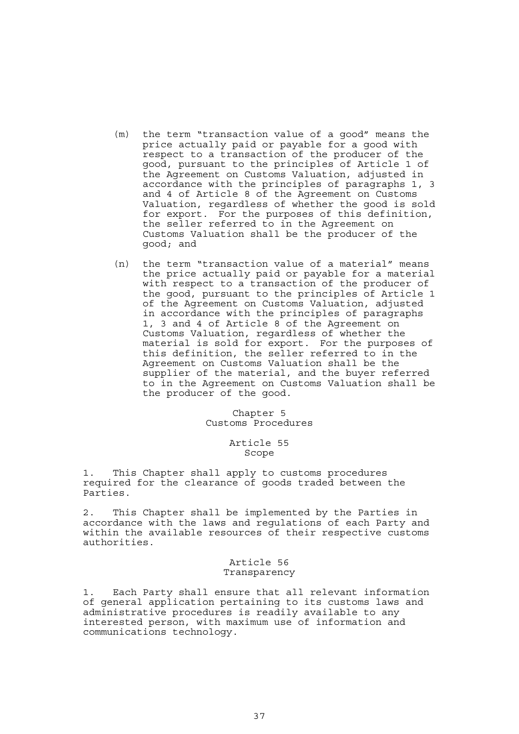- (m) the term "transaction value of a good" means the price actually paid or payable for a good with respect to a transaction of the producer of the good, pursuant to the principles of Article 1 of the Agreement on Customs Valuation, adjusted in accordance with the principles of paragraphs 1, 3 and 4 of Article 8 of the Agreement on Customs Valuation, regardless of whether the good is sold for export. For the purposes of this definition, the seller referred to in the Agreement on Customs Valuation shall be the producer of the good; and
- (n) the term "transaction value of a material" means the price actually paid or payable for a material with respect to a transaction of the producer of the good, pursuant to the principles of Article 1 of the Agreement on Customs Valuation, adjusted in accordance with the principles of paragraphs 1, 3 and 4 of Article 8 of the Agreement on Customs Valuation, regardless of whether the material is sold for export. For the purposes of this definition, the seller referred to in the Agreement on Customs Valuation shall be the supplier of the material, and the buyer referred to in the Agreement on Customs Valuation shall be the producer of the good.

# Chapter 5 Customs Procedures

# Article 55 Scope

1. This Chapter shall apply to customs procedures required for the clearance of goods traded between the Parties.

2. This Chapter shall be implemented by the Parties in accordance with the laws and regulations of each Party and within the available resources of their respective customs authorities.

### Article 56 Transparency

1. Each Party shall ensure that all relevant information of general application pertaining to its customs laws and administrative procedures is readily available to any interested person, with maximum use of information and communications technology.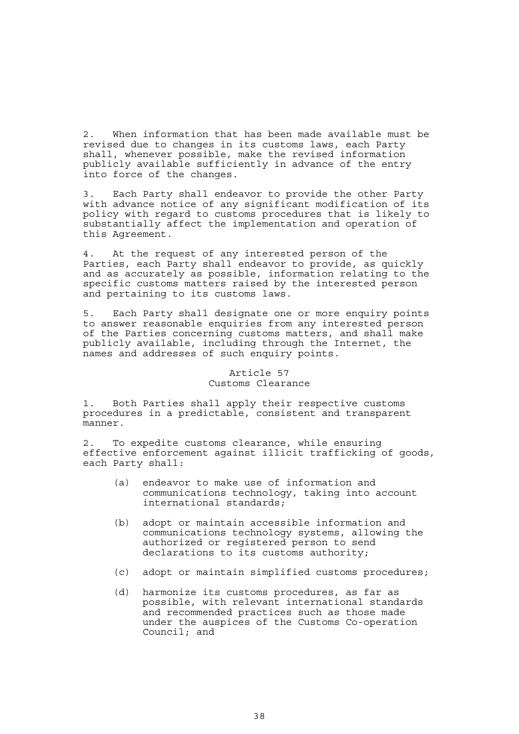2. When information that has been made available must be revised due to changes in its customs laws, each Party shall, whenever possible, make the revised information publicly available sufficiently in advance of the entry into force of the changes.

3. Each Party shall endeavor to provide the other Party with advance notice of any significant modification of its policy with regard to customs procedures that is likely to substantially affect the implementation and operation of this Agreement.

4. At the request of any interested person of the Parties, each Party shall endeavor to provide, as quickly and as accurately as possible, information relating to the specific customs matters raised by the interested person and pertaining to its customs laws.

5. Each Party shall designate one or more enquiry points to answer reasonable enquiries from any interested person of the Parties concerning customs matters, and shall make publicly available, including through the Internet, the names and addresses of such enquiry points.

# Article 57 Customs Clearance

1. Both Parties shall apply their respective customs procedures in a predictable, consistent and transparent manner.

2. To expedite customs clearance, while ensuring effective enforcement against illicit trafficking of goods, each Party shall:

- (a) endeavor to make use of information and communications technology, taking into account international standards;
- (b) adopt or maintain accessible information and communications technology systems, allowing the authorized or registered person to send declarations to its customs authority;
- (c) adopt or maintain simplified customs procedures;
- (d) harmonize its customs procedures, as far as possible, with relevant international standards and recommended practices such as those made under the auspices of the Customs Co-operation Council; and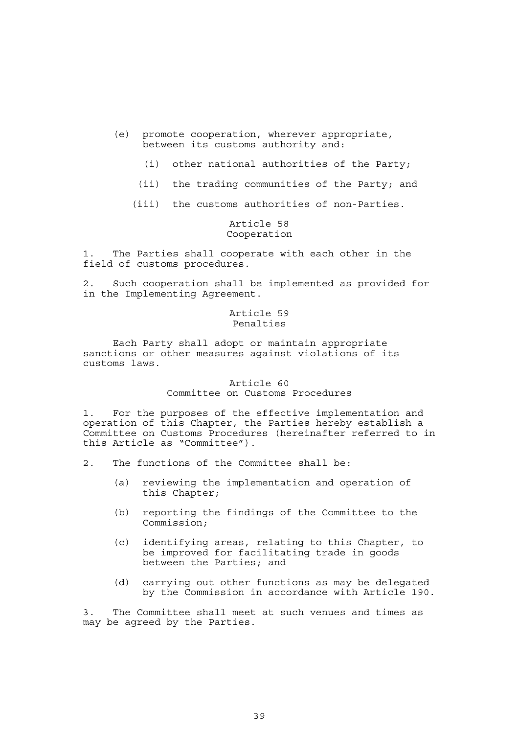- (e) promote cooperation, wherever appropriate, between its customs authority and:
	- (i) other national authorities of the Party;
	- (ii) the trading communities of the Party; and
	- (iii) the customs authorities of non-Parties.

# Article 58 Cooperation

1. The Parties shall cooperate with each other in the field of customs procedures.

2. Such cooperation shall be implemented as provided for in the Implementing Agreement.

# Article 59 Penalties

 Each Party shall adopt or maintain appropriate sanctions or other measures against violations of its customs laws.

### Article 60 Committee on Customs Procedures

1. For the purposes of the effective implementation and operation of this Chapter, the Parties hereby establish a Committee on Customs Procedures (hereinafter referred to in this Article as "Committee").

- 2. The functions of the Committee shall be:
	- (a) reviewing the implementation and operation of this Chapter;
	- (b) reporting the findings of the Committee to the Commission;
- (c) identifying areas, relating to this Chapter, to be improved for facilitating trade in goods between the Parties; and
	- (d) carrying out other functions as may be delegated by the Commission in accordance with Article 190.

3. The Committee shall meet at such venues and times as may be agreed by the Parties.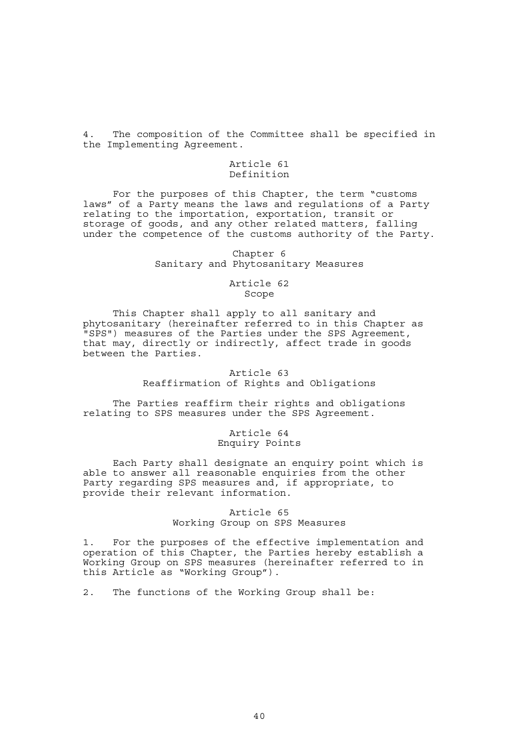4. The composition of the Committee shall be specified in the Implementing Agreement.

## Article 61 Definition

 For the purposes of this Chapter, the term "customs laws" of a Party means the laws and regulations of a Party relating to the importation, exportation, transit or storage of goods, and any other related matters, falling under the competence of the customs authority of the Party.

### Chapter 6 Sanitary and Phytosanitary Measures

## Article 62 Scope

 This Chapter shall apply to all sanitary and phytosanitary (hereinafter referred to in this Chapter as "SPS") measures of the Parties under the SPS Agreement, that may, directly or indirectly, affect trade in goods between the Parties.

> Article 63 Reaffirmation of Rights and Obligations

 The Parties reaffirm their rights and obligations relating to SPS measures under the SPS Agreement.

# Article 64 Enquiry Points

 Each Party shall designate an enquiry point which is able to answer all reasonable enquiries from the other Party regarding SPS measures and, if appropriate, to provide their relevant information.

# Article 65 Working Group on SPS Measures

1. For the purposes of the effective implementation and operation of this Chapter, the Parties hereby establish a Working Group on SPS measures (hereinafter referred to in this Article as "Working Group").

2. The functions of the Working Group shall be: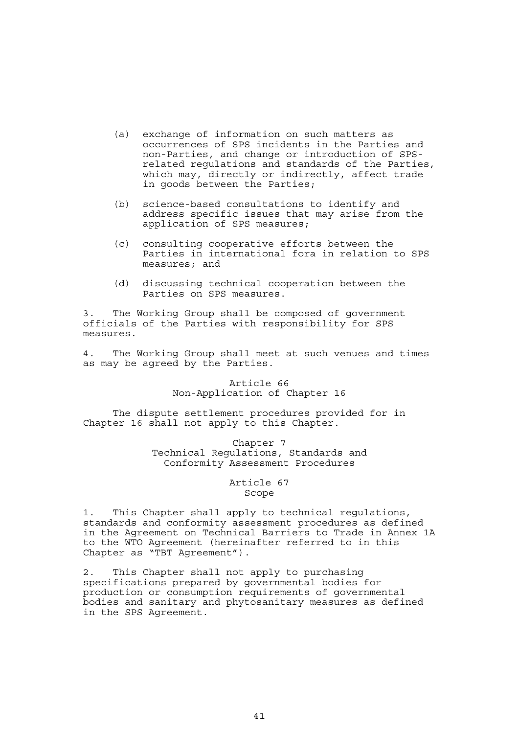- (a) exchange of information on such matters as occurrences of SPS incidents in the Parties and non-Parties, and change or introduction of SPSrelated regulations and standards of the Parties, which may, directly or indirectly, affect trade in goods between the Parties;
- (b) science-based consultations to identify and address specific issues that may arise from the application of SPS measures;
- (c) consulting cooperative efforts between the Parties in international fora in relation to SPS measures; and
- (d) discussing technical cooperation between the Parties on SPS measures.

3. The Working Group shall be composed of government officials of the Parties with responsibility for SPS measures.

4. The Working Group shall meet at such venues and times as may be agreed by the Parties.

# Article 66 Non-Application of Chapter 16

 The dispute settlement procedures provided for in Chapter 16 shall not apply to this Chapter.

> Chapter 7 Technical Regulations, Standards and Conformity Assessment Procedures

## Article 67 Scope

1. This Chapter shall apply to technical regulations, standards and conformity assessment procedures as defined in the Agreement on Technical Barriers to Trade in Annex 1A to the WTO Agreement (hereinafter referred to in this Chapter as "TBT Agreement").

2. This Chapter shall not apply to purchasing specifications prepared by governmental bodies for production or consumption requirements of governmental bodies and sanitary and phytosanitary measures as defined in the SPS Agreement.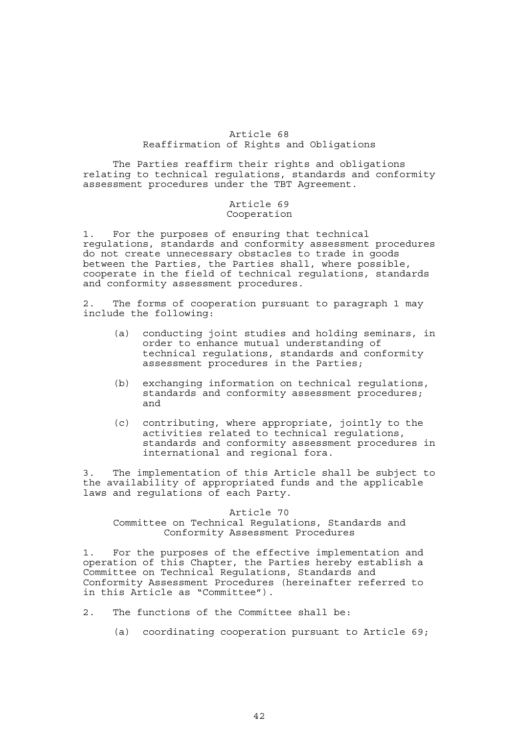# Article 68 Reaffirmation of Rights and Obligations

 The Parties reaffirm their rights and obligations relating to technical regulations, standards and conformity assessment procedures under the TBT Agreement.

# Article 69 Cooperation

1. For the purposes of ensuring that technical regulations, standards and conformity assessment procedures do not create unnecessary obstacles to trade in goods between the Parties, the Parties shall, where possible, cooperate in the field of technical regulations, standards and conformity assessment procedures.

2. The forms of cooperation pursuant to paragraph 1 may include the following:

- (a) conducting joint studies and holding seminars, in order to enhance mutual understanding of technical regulations, standards and conformity assessment procedures in the Parties;
- (b) exchanging information on technical regulations, standards and conformity assessment procedures; and
- (c) contributing, where appropriate, jointly to the activities related to technical regulations, standards and conformity assessment procedures in international and regional fora.

3. The implementation of this Article shall be subject to the availability of appropriated funds and the applicable laws and regulations of each Party.

# Article 70

# Committee on Technical Regulations, Standards and Conformity Assessment Procedures

1. For the purposes of the effective implementation and operation of this Chapter, the Parties hereby establish a Committee on Technical Regulations, Standards and Conformity Assessment Procedures (hereinafter referred to in this Article as "Committee").

- 2. The functions of the Committee shall be:
	- (a) coordinating cooperation pursuant to Article 69;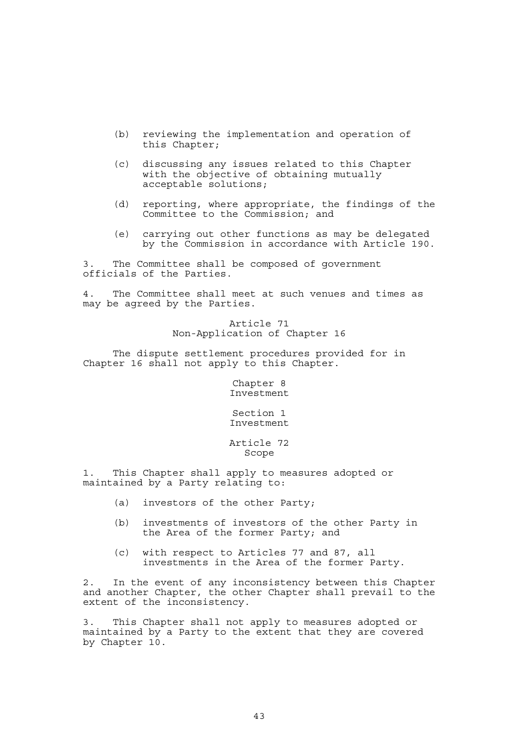- (b) reviewing the implementation and operation of this Chapter;
- (c) discussing any issues related to this Chapter with the objective of obtaining mutually acceptable solutions;
- (d) reporting, where appropriate, the findings of the Committee to the Commission; and
- (e) carrying out other functions as may be delegated by the Commission in accordance with Article 190.

3. The Committee shall be composed of government officials of the Parties.

4. The Committee shall meet at such venues and times as may be agreed by the Parties.

> Article 71 Non-Application of Chapter 16

 The dispute settlement procedures provided for in Chapter 16 shall not apply to this Chapter.

> Chapter 8 Investment

> Section 1 Investment

# Article 72 Scope

1. This Chapter shall apply to measures adopted or maintained by a Party relating to:

- (a) investors of the other Party;
- (b) investments of investors of the other Party in the Area of the former Party; and
- (c) with respect to Articles 77 and 87, all investments in the Area of the former Party.

2. In the event of any inconsistency between this Chapter and another Chapter, the other Chapter shall prevail to the extent of the inconsistency.

3. This Chapter shall not apply to measures adopted or maintained by a Party to the extent that they are covered by Chapter 10.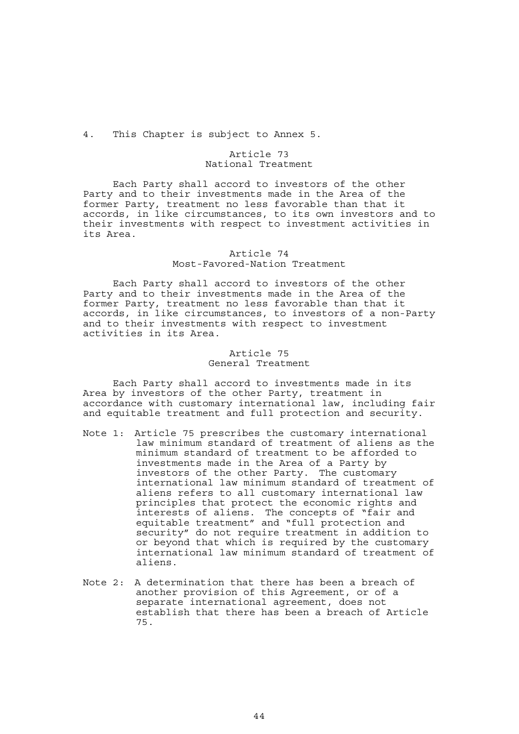4. This Chapter is subject to Annex 5.

## Article 73 National Treatment

 Each Party shall accord to investors of the other Party and to their investments made in the Area of the former Party, treatment no less favorable than that it accords, in like circumstances, to its own investors and to their investments with respect to investment activities in its Area.

## Article 74 Most-Favored-Nation Treatment

 Each Party shall accord to investors of the other Party and to their investments made in the Area of the former Party, treatment no less favorable than that it accords, in like circumstances, to investors of a non-Party and to their investments with respect to investment activities in its Area.

## Article 75 General Treatment

 Each Party shall accord to investments made in its Area by investors of the other Party, treatment in accordance with customary international law, including fair and equitable treatment and full protection and security.

- Note 1: Article 75 prescribes the customary international law minimum standard of treatment of aliens as the minimum standard of treatment to be afforded to investments made in the Area of a Party by investors of the other Party. The customary international law minimum standard of treatment of aliens refers to all customary international law principles that protect the economic rights and interests of aliens. The concepts of "fair and equitable treatment" and "full protection and security" do not require treatment in addition to or beyond that which is required by the customary international law minimum standard of treatment of aliens.
- Note 2: A determination that there has been a breach of another provision of this Agreement, or of a separate international agreement, does not establish that there has been a breach of Article 75.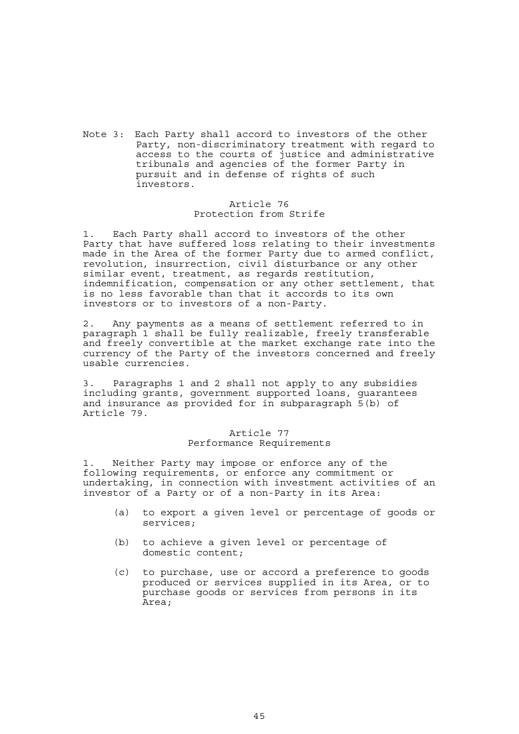Note 3: Each Party shall accord to investors of the other Party, non-discriminatory treatment with regard to access to the courts of justice and administrative tribunals and agencies of the former Party in pursuit and in defense of rights of such investors.

# Article 76 Protection from Strife

1. Each Party shall accord to investors of the other Party that have suffered loss relating to their investments made in the Area of the former Party due to armed conflict, revolution, insurrection, civil disturbance or any other similar event, treatment, as regards restitution, indemnification, compensation or any other settlement, that is no less favorable than that it accords to its own investors or to investors of a non-Party.

2. Any payments as a means of settlement referred to in paragraph 1 shall be fully realizable, freely transferable and freely convertible at the market exchange rate into the currency of the Party of the investors concerned and freely usable currencies.

3. Paragraphs 1 and 2 shall not apply to any subsidies including grants, government supported loans, guarantees and insurance as provided for in subparagraph 5(b) of Article 79.

## Article 77 Performance Requirements

1. Neither Party may impose or enforce any of the following requirements, or enforce any commitment or undertaking, in connection with investment activities of an investor of a Party or of a non-Party in its Area:

- (a) to export a given level or percentage of goods or services;
- (b) to achieve a given level or percentage of domestic content;
- (c) to purchase, use or accord a preference to goods produced or services supplied in its Area, or to purchase goods or services from persons in its Area;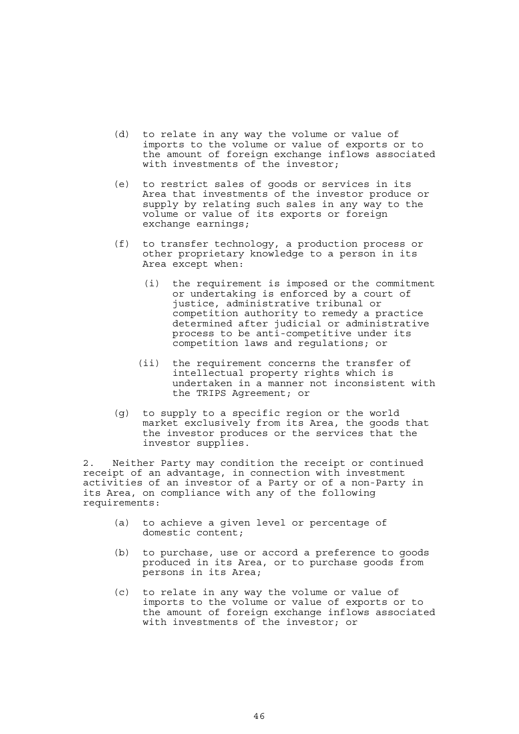- (d) to relate in any way the volume or value of imports to the volume or value of exports or to the amount of foreign exchange inflows associated with investments of the investor;
- (e) to restrict sales of goods or services in its Area that investments of the investor produce or supply by relating such sales in any way to the volume or value of its exports or foreign exchange earnings;
- (f) to transfer technology, a production process or other proprietary knowledge to a person in its Area except when:
	- (i) the requirement is imposed or the commitment or undertaking is enforced by a court of justice, administrative tribunal or competition authority to remedy a practice determined after judicial or administrative process to be anti-competitive under its competition laws and regulations; or
	- (ii) the requirement concerns the transfer of intellectual property rights which is undertaken in a manner not inconsistent with the TRIPS Agreement; or
- (g) to supply to a specific region or the world market exclusively from its Area, the goods that the investor produces or the services that the investor supplies.

2. Neither Party may condition the receipt or continued receipt of an advantage, in connection with investment activities of an investor of a Party or of a non-Party in its Area, on compliance with any of the following requirements:

- (a) to achieve a given level or percentage of domestic content;
- (b) to purchase, use or accord a preference to goods produced in its Area, or to purchase goods from persons in its Area;
	- (c) to relate in any way the volume or value of imports to the volume or value of exports or to the amount of foreign exchange inflows associated with investments of the investor; or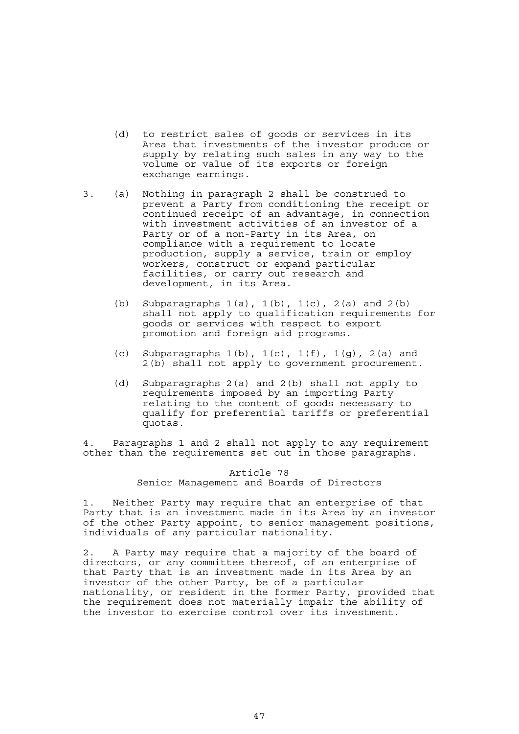- (d) to restrict sales of goods or services in its Area that investments of the investor produce or supply by relating such sales in any way to the volume or value of its exports or foreign exchange earnings.
- 3. (a) Nothing in paragraph 2 shall be construed to prevent a Party from conditioning the receipt or continued receipt of an advantage, in connection with investment activities of an investor of a Party or of a non-Party in its Area, on compliance with a requirement to locate production, supply a service, train or employ workers, construct or expand particular facilities, or carry out research and development, in its Area.
	- (b) Subparagraphs  $1(a)$ ,  $1(b)$ ,  $1(c)$ ,  $2(a)$  and  $2(b)$ shall not apply to qualification requirements for goods or services with respect to export promotion and foreign aid programs.
	- (c) Subparagraphs  $1(b)$ ,  $1(c)$ ,  $1(f)$ ,  $1(g)$ ,  $2(a)$  and 2(b) shall not apply to government procurement.
	- (d) Subparagraphs 2(a) and 2(b) shall not apply to requirements imposed by an importing Party relating to the content of goods necessary to qualify for preferential tariffs or preferential quotas.

4. Paragraphs 1 and 2 shall not apply to any requirement other than the requirements set out in those paragraphs.

# Article 78 Senior Management and Boards of Directors

1. Neither Party may require that an enterprise of that Party that is an investment made in its Area by an investor of the other Party appoint, to senior management positions, individuals of any particular nationality.

2. A Party may require that a majority of the board of directors, or any committee thereof, of an enterprise of that Party that is an investment made in its Area by an investor of the other Party, be of a particular nationality, or resident in the former Party, provided that the requirement does not materially impair the ability of the investor to exercise control over its investment.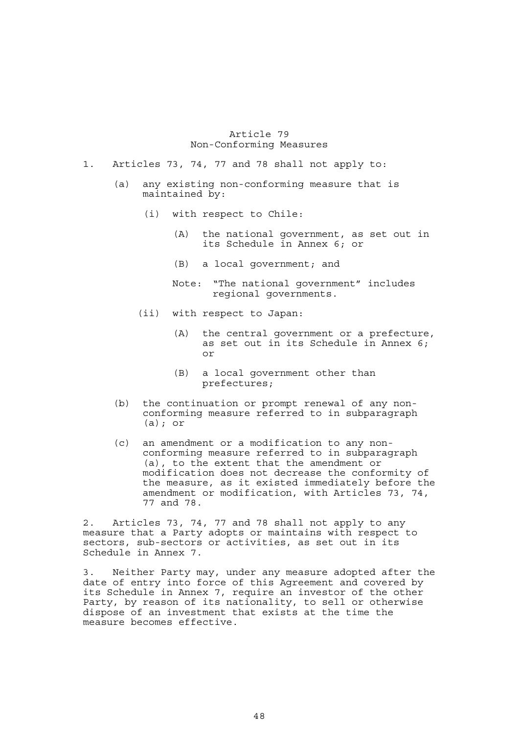## Article 79 Non-Conforming Measures

- 1. Articles 73, 74, 77 and 78 shall not apply to:
	- (a) any existing non-conforming measure that is maintained by:
		- (i) with respect to Chile:
			- (A) the national government, as set out in its Schedule in Annex 6; or
			- (B) a local government; and

 Note: "The national government" includes regional governments.

- (ii) with respect to Japan:
	- (A) the central government or a prefecture, as set out in its Schedule in Annex 6; or
	- (B) a local government other than prefectures;
- (b) the continuation or prompt renewal of any nonconforming measure referred to in subparagraph (a); or
- (c) an amendment or a modification to any nonconforming measure referred to in subparagraph (a), to the extent that the amendment or modification does not decrease the conformity of the measure, as it existed immediately before the amendment or modification, with Articles 73, 74, 77 and 78.

2. Articles 73, 74, 77 and 78 shall not apply to any measure that a Party adopts or maintains with respect to sectors, sub-sectors or activities, as set out in its Schedule in Annex 7.

3. Neither Party may, under any measure adopted after the date of entry into force of this Agreement and covered by its Schedule in Annex 7, require an investor of the other Party, by reason of its nationality, to sell or otherwise dispose of an investment that exists at the time the measure becomes effective.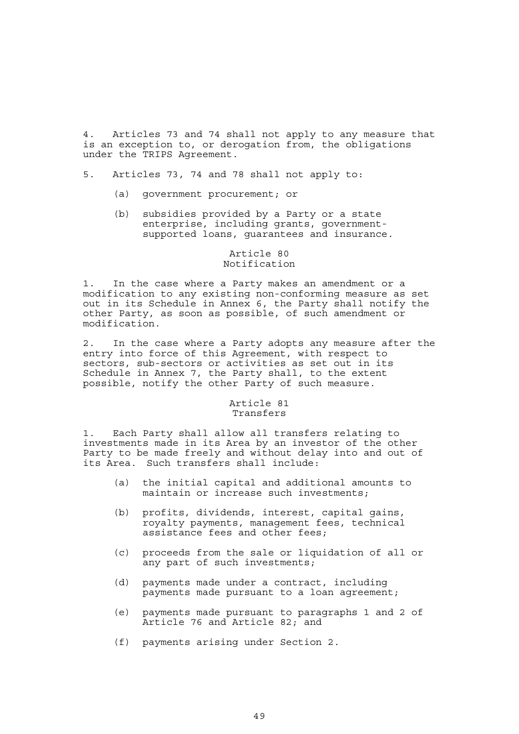4. Articles 73 and 74 shall not apply to any measure that is an exception to, or derogation from, the obligations under the TRIPS Agreement.

- 5. Articles 73, 74 and 78 shall not apply to:
	- (a) government procurement; or
	- (b) subsidies provided by a Party or a state enterprise, including grants, governmentsupported loans, guarantees and insurance.

# Article 80 Notification

1. In the case where a Party makes an amendment or a modification to any existing non-conforming measure as set out in its Schedule in Annex 6, the Party shall notify the other Party, as soon as possible, of such amendment or modification.

2. In the case where a Party adopts any measure after the entry into force of this Agreement, with respect to sectors, sub-sectors or activities as set out in its Schedule in Annex 7, the Party shall, to the extent possible, notify the other Party of such measure.

## Article 81 Transfers

1. Each Party shall allow all transfers relating to investments made in its Area by an investor of the other Party to be made freely and without delay into and out of its Area. Such transfers shall include:

- (a) the initial capital and additional amounts to maintain or increase such investments;
- (b) profits, dividends, interest, capital gains, royalty payments, management fees, technical assistance fees and other fees;
	- (c) proceeds from the sale or liquidation of all or any part of such investments;
	- (d) payments made under a contract, including payments made pursuant to a loan agreement;
	- (e) payments made pursuant to paragraphs 1 and 2 of Article 76 and Article 82; and
	- (f) payments arising under Section 2.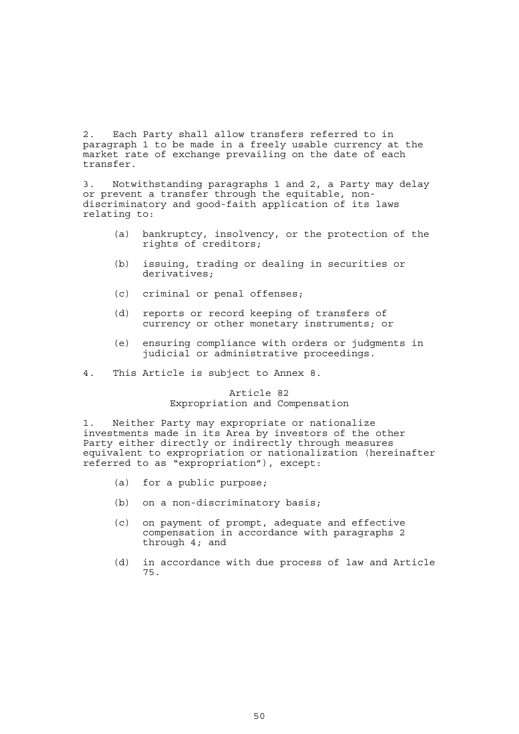2. Each Party shall allow transfers referred to in paragraph 1 to be made in a freely usable currency at the market rate of exchange prevailing on the date of each transfer.

3. Notwithstanding paragraphs 1 and 2, a Party may delay or prevent a transfer through the equitable, nondiscriminatory and good-faith application of its laws relating to:

- (a) bankruptcy, insolvency, or the protection of the rights of creditors;
- (b) issuing, trading or dealing in securities or derivatives;
- (c) criminal or penal offenses;
- (d) reports or record keeping of transfers of currency or other monetary instruments; or
- (e) ensuring compliance with orders or judgments in judicial or administrative proceedings.
- 4. This Article is subject to Annex 8.

Article 82 Expropriation and Compensation

1. Neither Party may expropriate or nationalize investments made in its Area by investors of the other Party either directly or indirectly through measures equivalent to expropriation or nationalization (hereinafter referred to as "expropriation"), except:

- (a) for a public purpose;
- (b) on a non-discriminatory basis;
- (c) on payment of prompt, adequate and effective compensation in accordance with paragraphs 2 through 4; and
- (d) in accordance with due process of law and Article 75.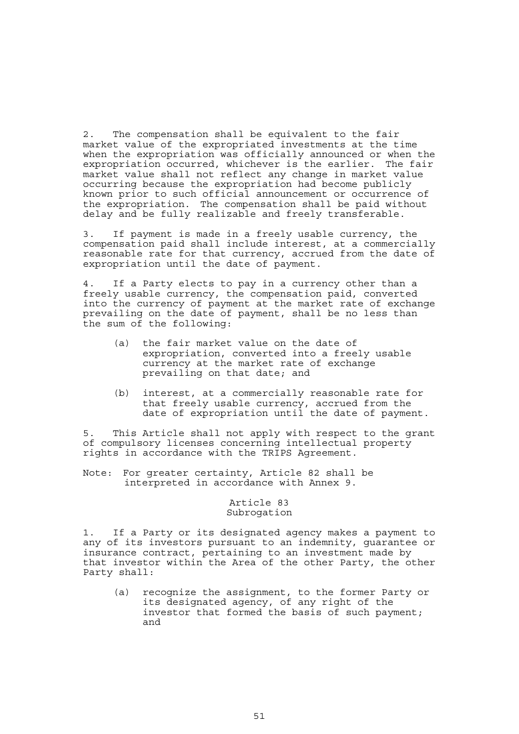2. The compensation shall be equivalent to the fair market value of the expropriated investments at the time when the expropriation was officially announced or when the expropriation occurred, whichever is the earlier. The fair market value shall not reflect any change in market value occurring because the expropriation had become publicly known prior to such official announcement or occurrence of the expropriation. The compensation shall be paid without delay and be fully realizable and freely transferable.

3. If payment is made in a freely usable currency, the compensation paid shall include interest, at a commercially reasonable rate for that currency, accrued from the date of expropriation until the date of payment.

4. If a Party elects to pay in a currency other than a freely usable currency, the compensation paid, converted into the currency of payment at the market rate of exchange prevailing on the date of payment, shall be no less than the sum of the following:

- (a) the fair market value on the date of expropriation, converted into a freely usable currency at the market rate of exchange prevailing on that date; and
- (b) interest, at a commercially reasonable rate for that freely usable currency, accrued from the date of expropriation until the date of payment.

5. This Article shall not apply with respect to the grant of compulsory licenses concerning intellectual property rights in accordance with the TRIPS Agreement.

Note: For greater certainty, Article 82 shall be interpreted in accordance with Annex 9.

# Article 83 Subrogation

1. If a Party or its designated agency makes a payment to any of its investors pursuant to an indemnity, guarantee or insurance contract, pertaining to an investment made by that investor within the Area of the other Party, the other Party shall:

 (a) recognize the assignment, to the former Party or its designated agency, of any right of the investor that formed the basis of such payment; and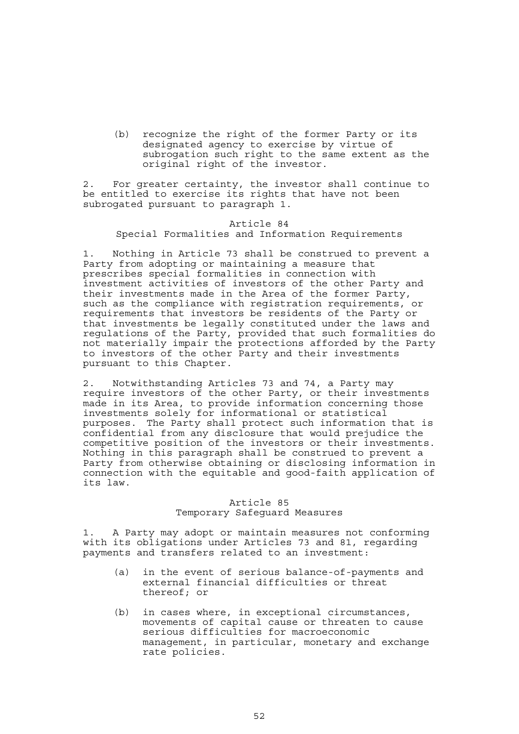(b) recognize the right of the former Party or its designated agency to exercise by virtue of subrogation such right to the same extent as the original right of the investor.

2. For greater certainty, the investor shall continue to be entitled to exercise its rights that have not been subrogated pursuant to paragraph 1.

## Article 84 Special Formalities and Information Requirements

Nothing in Article 73 shall be construed to prevent a Party from adopting or maintaining a measure that prescribes special formalities in connection with investment activities of investors of the other Party and their investments made in the Area of the former Party, such as the compliance with registration requirements, or requirements that investors be residents of the Party or that investments be legally constituted under the laws and regulations of the Party, provided that such formalities do not materially impair the protections afforded by the Party to investors of the other Party and their investments pursuant to this Chapter.

2. Notwithstanding Articles 73 and 74, a Party may require investors of the other Party, or their investments made in its Area, to provide information concerning those investments solely for informational or statistical purposes. The Party shall protect such information that is confidential from any disclosure that would prejudice the competitive position of the investors or their investments. Nothing in this paragraph shall be construed to prevent a Party from otherwise obtaining or disclosing information in connection with the equitable and good-faith application of its law.

# Article 85 Temporary Safeguard Measures

1. A Party may adopt or maintain measures not conforming with its obligations under Articles 73 and 81, regarding payments and transfers related to an investment:

- (a) in the event of serious balance-of-payments and external financial difficulties or threat thereof; or
- (b) in cases where, in exceptional circumstances, movements of capital cause or threaten to cause serious difficulties for macroeconomic management, in particular, monetary and exchange rate policies.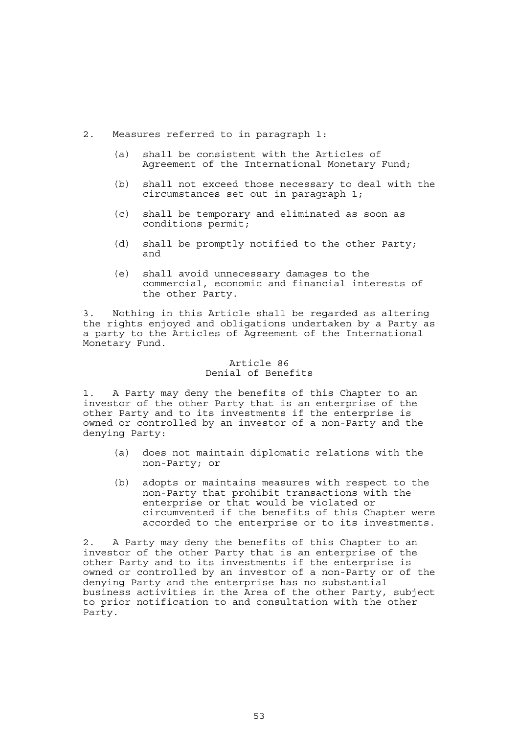- 2. Measures referred to in paragraph 1:
	- (a) shall be consistent with the Articles of Agreement of the International Monetary Fund;
	- (b) shall not exceed those necessary to deal with the circumstances set out in paragraph 1;
	- (c) shall be temporary and eliminated as soon as conditions permit;
	- (d) shall be promptly notified to the other Party; and
	- (e) shall avoid unnecessary damages to the commercial, economic and financial interests of the other Party.

3. Nothing in this Article shall be regarded as altering the rights enjoyed and obligations undertaken by a Party as a party to the Articles of Agreement of the International Monetary Fund.

# Article 86 Denial of Benefits

1. A Party may deny the benefits of this Chapter to an investor of the other Party that is an enterprise of the other Party and to its investments if the enterprise is owned or controlled by an investor of a non-Party and the denying Party:

- (a) does not maintain diplomatic relations with the non-Party; or
- (b) adopts or maintains measures with respect to the non-Party that prohibit transactions with the enterprise or that would be violated or circumvented if the benefits of this Chapter were accorded to the enterprise or to its investments.

2. A Party may deny the benefits of this Chapter to an investor of the other Party that is an enterprise of the other Party and to its investments if the enterprise is owned or controlled by an investor of a non-Party or of the denying Party and the enterprise has no substantial business activities in the Area of the other Party, subject to prior notification to and consultation with the other Party.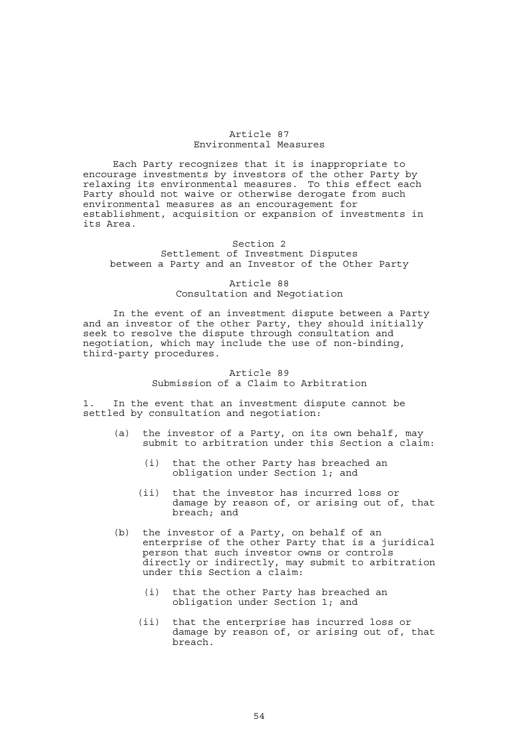# Article 87 Environmental Measures

 Each Party recognizes that it is inappropriate to encourage investments by investors of the other Party by relaxing its environmental measures. To this effect each Party should not waive or otherwise derogate from such environmental measures as an encouragement for establishment, acquisition or expansion of investments in its Area.

#### Section 2

# Settlement of Investment Disputes between a Party and an Investor of the Other Party

# Article 88 Consultation and Negotiation

 In the event of an investment dispute between a Party and an investor of the other Party, they should initially seek to resolve the dispute through consultation and negotiation, which may include the use of non-binding, third-party procedures.

### Article 89 Submission of a Claim to Arbitration

1. In the event that an investment dispute cannot be settled by consultation and negotiation:

- (a) the investor of a Party, on its own behalf, may submit to arbitration under this Section a claim:
	- (i) that the other Party has breached an obligation under Section 1; and
	- (ii) that the investor has incurred loss or damage by reason of, or arising out of, that breach; and
- (b) the investor of a Party, on behalf of an enterprise of the other Party that is a juridical person that such investor owns or controls directly or indirectly, may submit to arbitration under this Section a claim:
	- (i) that the other Party has breached an obligation under Section 1; and
	- (ii) that the enterprise has incurred loss or damage by reason of, or arising out of, that breach.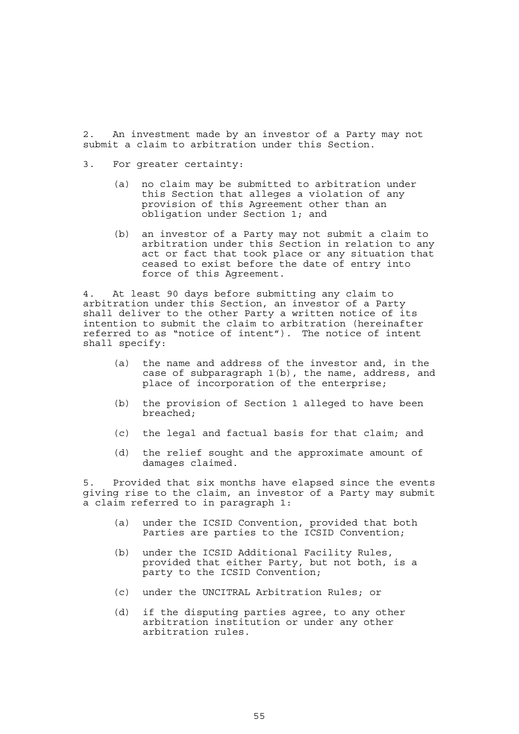2. An investment made by an investor of a Party may not submit a claim to arbitration under this Section.

- 3. For greater certainty:
	- (a) no claim may be submitted to arbitration under this Section that alleges a violation of any provision of this Agreement other than an obligation under Section 1; and
- (b) an investor of a Party may not submit a claim to arbitration under this Section in relation to any act or fact that took place or any situation that ceased to exist before the date of entry into force of this Agreement.

4. At least 90 days before submitting any claim to arbitration under this Section, an investor of a Party shall deliver to the other Party a written notice of its intention to submit the claim to arbitration (hereinafter referred to as "notice of intent"). The notice of intent shall specify:

- (a) the name and address of the investor and, in the case of subparagraph 1(b), the name, address, and place of incorporation of the enterprise;
- (b) the provision of Section 1 alleged to have been breached;
- (c) the legal and factual basis for that claim; and
- (d) the relief sought and the approximate amount of damages claimed.

5. Provided that six months have elapsed since the events giving rise to the claim, an investor of a Party may submit a claim referred to in paragraph 1:

- (a) under the ICSID Convention, provided that both Parties are parties to the ICSID Convention;
- (b) under the ICSID Additional Facility Rules, provided that either Party, but not both, is a party to the ICSID Convention;
- (c) under the UNCITRAL Arbitration Rules; or
- (d) if the disputing parties agree, to any other arbitration institution or under any other arbitration rules.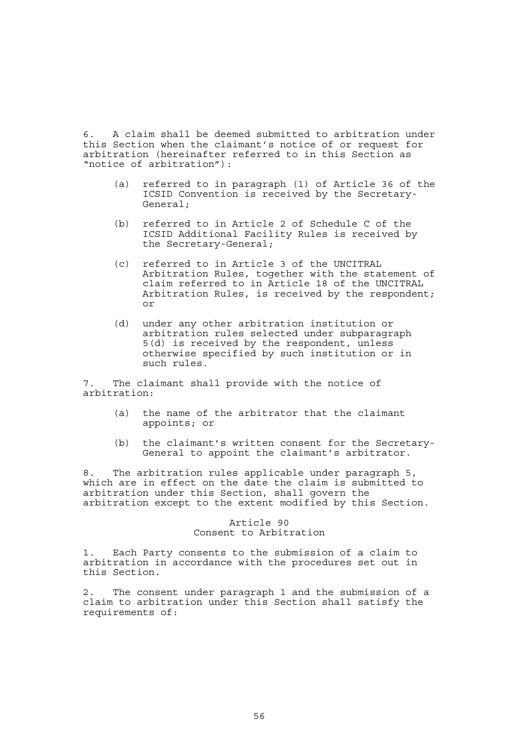6. A claim shall be deemed submitted to arbitration under this Section when the claimant's notice of or request for arbitration (hereinafter referred to in this Section as "notice of arbitration"):

- (a) referred to in paragraph (1) of Article 36 of the ICSID Convention is received by the Secretary-General;
- (b) referred to in Article 2 of Schedule C of the ICSID Additional Facility Rules is received by the Secretary-General;
- (c) referred to in Article 3 of the UNCITRAL Arbitration Rules, together with the statement of claim referred to in Article 18 of the UNCITRAL Arbitration Rules, is received by the respondent; or
- (d) under any other arbitration institution or arbitration rules selected under subparagraph 5(d) is received by the respondent, unless otherwise specified by such institution or in such rules.

7. The claimant shall provide with the notice of arbitration:

- (a) the name of the arbitrator that the claimant appoints; or
- (b) the claimant's written consent for the Secretary-General to appoint the claimant's arbitrator.

8. The arbitration rules applicable under paragraph 5, which are in effect on the date the claim is submitted to arbitration under this Section, shall govern the arbitration except to the extent modified by this Section.

# Article 90 Consent to Arbitration

1. Each Party consents to the submission of a claim to arbitration in accordance with the procedures set out in this Section.

2. The consent under paragraph 1 and the submission of a claim to arbitration under this Section shall satisfy the requirements of: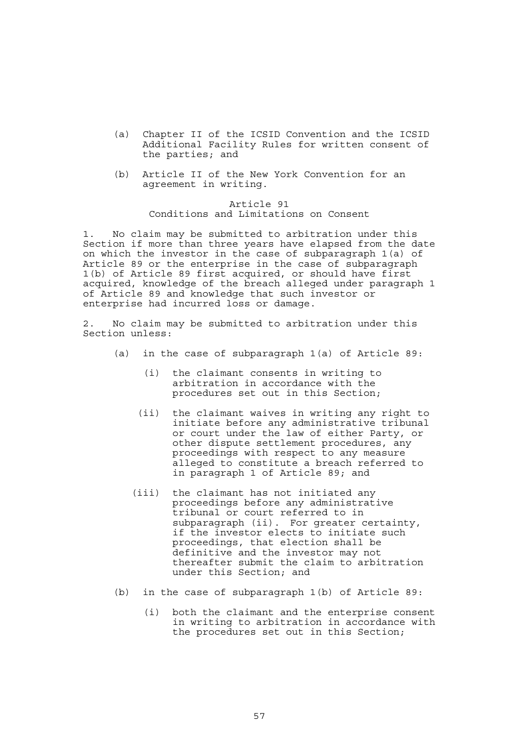- (a) Chapter II of the ICSID Convention and the ICSID Additional Facility Rules for written consent of the parties; and
- (b) Article II of the New York Convention for an agreement in writing.

# Article 91 Conditions and Limitations on Consent

1. No claim may be submitted to arbitration under this Section if more than three years have elapsed from the date on which the investor in the case of subparagraph 1(a) of Article 89 or the enterprise in the case of subparagraph 1(b) of Article 89 first acquired, or should have first acquired, knowledge of the breach alleged under paragraph 1 of Article 89 and knowledge that such investor or enterprise had incurred loss or damage.

2. No claim may be submitted to arbitration under this Section unless:

- (a) in the case of subparagraph 1(a) of Article 89:
	- (i) the claimant consents in writing to arbitration in accordance with the procedures set out in this Section;
	- (ii) the claimant waives in writing any right to initiate before any administrative tribunal or court under the law of either Party, or other dispute settlement procedures, any proceedings with respect to any measure alleged to constitute a breach referred to in paragraph 1 of Article 89; and
	- (iii) the claimant has not initiated any proceedings before any administrative tribunal or court referred to in subparagraph (ii). For greater certainty, if the investor elects to initiate such proceedings, that election shall be definitive and the investor may not thereafter submit the claim to arbitration under this Section; and
- (b) in the case of subparagraph 1(b) of Article 89:
	- (i) both the claimant and the enterprise consent in writing to arbitration in accordance with the procedures set out in this Section;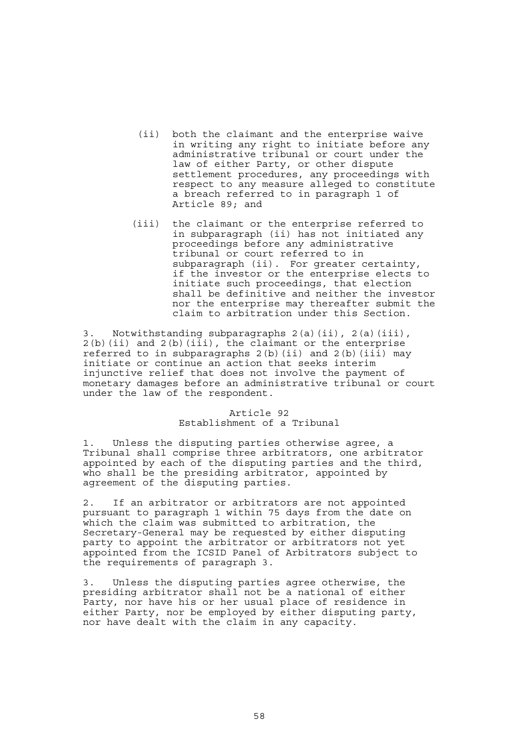- (ii) both the claimant and the enterprise waive in writing any right to initiate before any administrative tribunal or court under the law of either Party, or other dispute settlement procedures, any proceedings with respect to any measure alleged to constitute a breach referred to in paragraph 1 of Article 89; and
- (iii) the claimant or the enterprise referred to in subparagraph (ii) has not initiated any proceedings before any administrative tribunal or court referred to in subparagraph (ii). For greater certainty, if the investor or the enterprise elects to initiate such proceedings, that election shall be definitive and neither the investor nor the enterprise may thereafter submit the claim to arbitration under this Section.

3. Notwithstanding subparagraphs 2(a)(ii), 2(a)(iii),  $2(b)$ (ii) and  $2(b)$ (iii), the claimant or the enterprise referred to in subparagraphs  $2(b)$  (ii) and  $2(b)$  (iii) may initiate or continue an action that seeks interim injunctive relief that does not involve the payment of monetary damages before an administrative tribunal or court under the law of the respondent.

## Article 92 Establishment of a Tribunal

1. Unless the disputing parties otherwise agree, a Tribunal shall comprise three arbitrators, one arbitrator appointed by each of the disputing parties and the third, who shall be the presiding arbitrator, appointed by agreement of the disputing parties.

2. If an arbitrator or arbitrators are not appointed pursuant to paragraph 1 within 75 days from the date on which the claim was submitted to arbitration, the Secretary-General may be requested by either disputing party to appoint the arbitrator or arbitrators not yet appointed from the ICSID Panel of Arbitrators subject to the requirements of paragraph 3.

3. Unless the disputing parties agree otherwise, the presiding arbitrator shall not be a national of either Party, nor have his or her usual place of residence in either Party, nor be employed by either disputing party, nor have dealt with the claim in any capacity.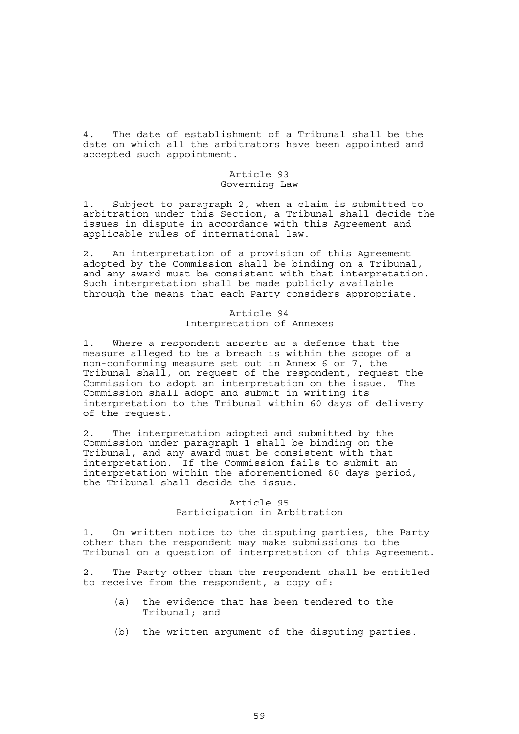4. The date of establishment of a Tribunal shall be the date on which all the arbitrators have been appointed and accepted such appointment.

### Article 93 Governing Law

1. Subject to paragraph 2, when a claim is submitted to arbitration under this Section, a Tribunal shall decide the issues in dispute in accordance with this Agreement and applicable rules of international law.

An interpretation of a provision of this Agreement adopted by the Commission shall be binding on a Tribunal, and any award must be consistent with that interpretation. Such interpretation shall be made publicly available through the means that each Party considers appropriate.

# Article 94 Interpretation of Annexes

1. Where a respondent asserts as a defense that the measure alleged to be a breach is within the scope of a non-conforming measure set out in Annex 6 or 7, the Tribunal shall, on request of the respondent, request the Commission to adopt an interpretation on the issue. The Commission shall adopt and submit in writing its interpretation to the Tribunal within 60 days of delivery of the request.

2. The interpretation adopted and submitted by the Commission under paragraph 1 shall be binding on the Tribunal, and any award must be consistent with that interpretation. If the Commission fails to submit an interpretation within the aforementioned 60 days period, the Tribunal shall decide the issue.

# Article 95 Participation in Arbitration

1. On written notice to the disputing parties, the Party other than the respondent may make submissions to the Tribunal on a question of interpretation of this Agreement.

2. The Party other than the respondent shall be entitled to receive from the respondent, a copy of:

- (a) the evidence that has been tendered to the Tribunal; and
- (b) the written argument of the disputing parties.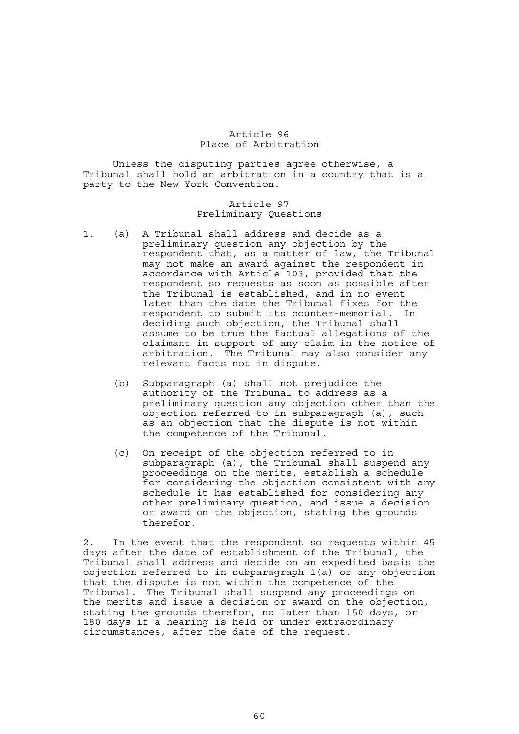## Article 96 Place of Arbitration

 Unless the disputing parties agree otherwise, a Tribunal shall hold an arbitration in a country that is a party to the New York Convention.

# Article 97 Preliminary Questions

- 1. (a) A Tribunal shall address and decide as a preliminary question any objection by the respondent that, as a matter of law, the Tribunal may not make an award against the respondent in accordance with Article 103, provided that the respondent so requests as soon as possible after the Tribunal is established, and in no event later than the date the Tribunal fixes for the respondent to submit its counter-memorial. In deciding such objection, the Tribunal shall assume to be true the factual allegations of the claimant in support of any claim in the notice of arbitration. The Tribunal may also consider any relevant facts not in dispute.
	- (b) Subparagraph (a) shall not prejudice the authority of the Tribunal to address as a preliminary question any objection other than the objection referred to in subparagraph (a), such as an objection that the dispute is not within the competence of the Tribunal.
	- (c) On receipt of the objection referred to in subparagraph (a), the Tribunal shall suspend any proceedings on the merits, establish a schedule for considering the objection consistent with any schedule it has established for considering any other preliminary question, and issue a decision or award on the objection, stating the grounds therefor.

2. In the event that the respondent so requests within 45 days after the date of establishment of the Tribunal, the Tribunal shall address and decide on an expedited basis the objection referred to in subparagraph 1(a) or any objection that the dispute is not within the competence of the Tribunal. The Tribunal shall suspend any proceedings on the merits and issue a decision or award on the objection, stating the grounds therefor, no later than 150 days, or 180 days if a hearing is held or under extraordinary circumstances, after the date of the request.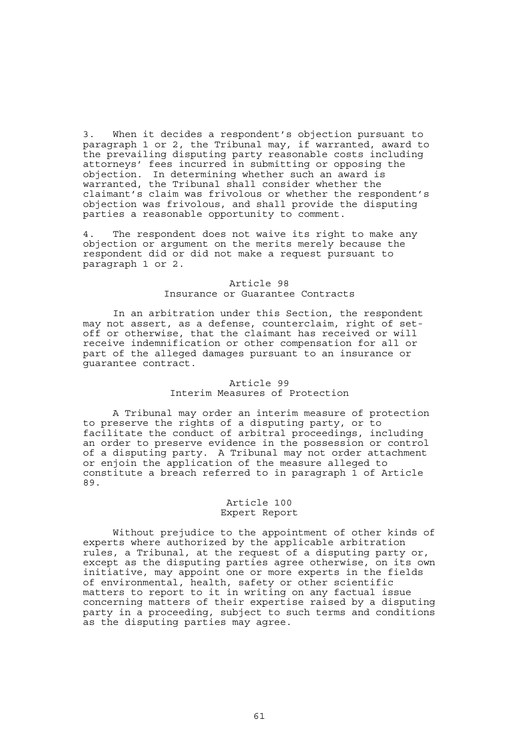3. When it decides a respondent's objection pursuant to paragraph 1 or 2, the Tribunal may, if warranted, award to the prevailing disputing party reasonable costs including attorneys' fees incurred in submitting or opposing the objection. In determining whether such an award is warranted, the Tribunal shall consider whether the claimant's claim was frivolous or whether the respondent's objection was frivolous, and shall provide the disputing parties a reasonable opportunity to comment.

The respondent does not waive its right to make any objection or argument on the merits merely because the respondent did or did not make a request pursuant to paragraph 1 or 2.

# Article 98 Insurance or Guarantee Contracts

 In an arbitration under this Section, the respondent may not assert, as a defense, counterclaim, right of setoff or otherwise, that the claimant has received or will receive indemnification or other compensation for all or part of the alleged damages pursuant to an insurance or guarantee contract.

# Article 99

# Interim Measures of Protection

 A Tribunal may order an interim measure of protection to preserve the rights of a disputing party, or to facilitate the conduct of arbitral proceedings, including an order to preserve evidence in the possession or control of a disputing party. A Tribunal may not order attachment or enjoin the application of the measure alleged to constitute a breach referred to in paragraph 1 of Article 89.

## Article 100 Expert Report

 Without prejudice to the appointment of other kinds of experts where authorized by the applicable arbitration rules, a Tribunal, at the request of a disputing party or, except as the disputing parties agree otherwise, on its own initiative, may appoint one or more experts in the fields of environmental, health, safety or other scientific matters to report to it in writing on any factual issue concerning matters of their expertise raised by a disputing party in a proceeding, subject to such terms and conditions as the disputing parties may agree.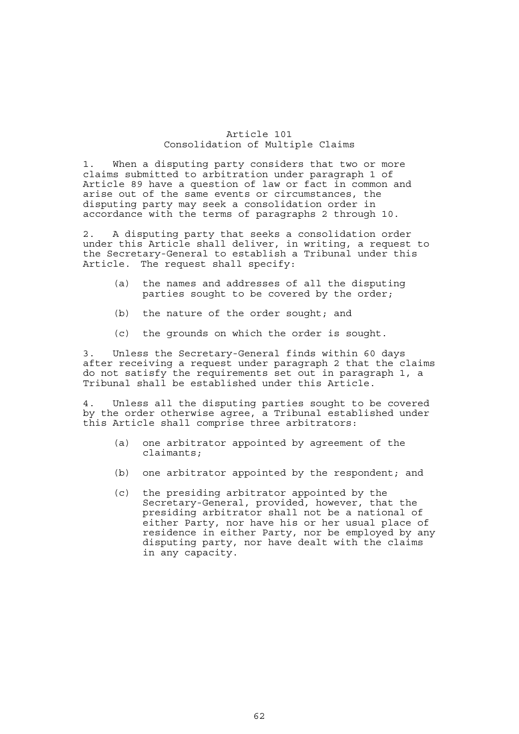## Article 101 Consolidation of Multiple Claims

1. When a disputing party considers that two or more claims submitted to arbitration under paragraph 1 of Article 89 have a question of law or fact in common and arise out of the same events or circumstances, the disputing party may seek a consolidation order in accordance with the terms of paragraphs 2 through 10.

2. A disputing party that seeks a consolidation order under this Article shall deliver, in writing, a request to the Secretary-General to establish a Tribunal under this Article. The request shall specify:

- (a) the names and addresses of all the disputing parties sought to be covered by the order;
- (b) the nature of the order sought; and
- (c) the grounds on which the order is sought.

3. Unless the Secretary-General finds within 60 days after receiving a request under paragraph 2 that the claims do not satisfy the requirements set out in paragraph 1, a Tribunal shall be established under this Article.

4. Unless all the disputing parties sought to be covered by the order otherwise agree, a Tribunal established under this Article shall comprise three arbitrators:

- (a) one arbitrator appointed by agreement of the claimants;
- (b) one arbitrator appointed by the respondent; and
- (c) the presiding arbitrator appointed by the Secretary-General, provided, however, that the presiding arbitrator shall not be a national of either Party, nor have his or her usual place of residence in either Party, nor be employed by any disputing party, nor have dealt with the claims in any capacity.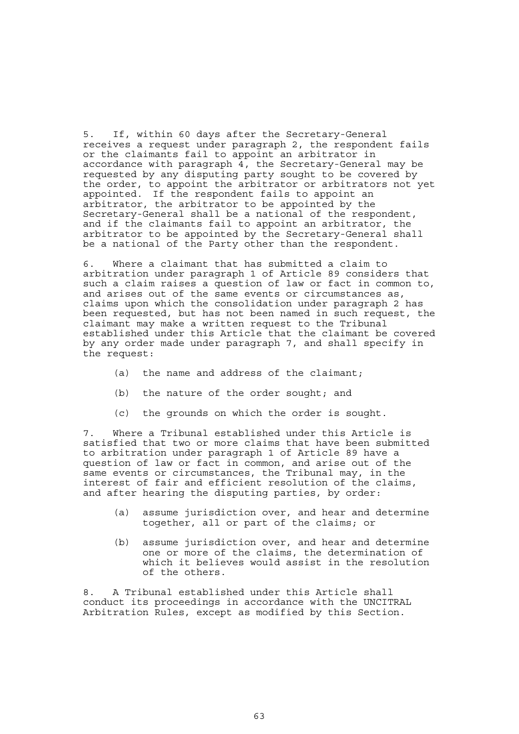5. If, within 60 days after the Secretary-General receives a request under paragraph 2, the respondent fails or the claimants fail to appoint an arbitrator in accordance with paragraph 4, the Secretary-General may be requested by any disputing party sought to be covered by the order, to appoint the arbitrator or arbitrators not yet appointed. If the respondent fails to appoint an arbitrator, the arbitrator to be appointed by the Secretary-General shall be a national of the respondent, and if the claimants fail to appoint an arbitrator, the arbitrator to be appointed by the Secretary-General shall be a national of the Party other than the respondent.

6. Where a claimant that has submitted a claim to arbitration under paragraph 1 of Article 89 considers that such a claim raises a question of law or fact in common to, and arises out of the same events or circumstances as, claims upon which the consolidation under paragraph 2 has been requested, but has not been named in such request, the claimant may make a written request to the Tribunal established under this Article that the claimant be covered by any order made under paragraph 7, and shall specify in the request:

- (a) the name and address of the claimant;
- (b) the nature of the order sought; and
- (c) the grounds on which the order is sought.

7. Where a Tribunal established under this Article is satisfied that two or more claims that have been submitted to arbitration under paragraph 1 of Article 89 have a question of law or fact in common, and arise out of the same events or circumstances, the Tribunal may, in the interest of fair and efficient resolution of the claims, and after hearing the disputing parties, by order:

- (a) assume jurisdiction over, and hear and determine together, all or part of the claims; or
- (b) assume jurisdiction over, and hear and determine one or more of the claims, the determination of which it believes would assist in the resolution of the others.

8. A Tribunal established under this Article shall conduct its proceedings in accordance with the UNCITRAL Arbitration Rules, except as modified by this Section.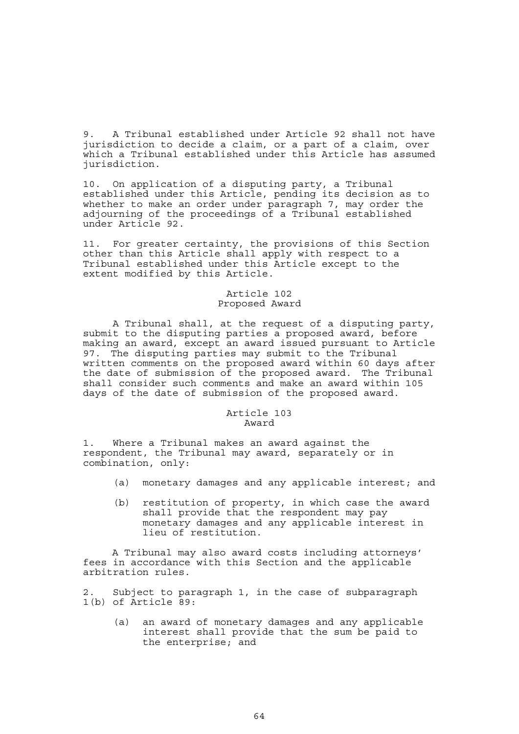9. A Tribunal established under Article 92 shall not have jurisdiction to decide a claim, or a part of a claim, over which a Tribunal established under this Article has assumed jurisdiction.

10. On application of a disputing party, a Tribunal established under this Article, pending its decision as to whether to make an order under paragraph 7, may order the adjourning of the proceedings of a Tribunal established under Article 92.

11. For greater certainty, the provisions of this Section other than this Article shall apply with respect to a Tribunal established under this Article except to the extent modified by this Article.

# Article 102 Proposed Award

 A Tribunal shall, at the request of a disputing party, submit to the disputing parties a proposed award, before making an award, except an award issued pursuant to Article 97. The disputing parties may submit to the Tribunal written comments on the proposed award within 60 days after the date of submission of the proposed award. The Tribunal shall consider such comments and make an award within 105 days of the date of submission of the proposed award.

#### Article 103 Award

1. Where a Tribunal makes an award against the respondent, the Tribunal may award, separately or in combination, only:

- (a) monetary damages and any applicable interest; and
- (b) restitution of property, in which case the award shall provide that the respondent may pay monetary damages and any applicable interest in lieu of restitution.

A Tribunal may also award costs including attorneys' fees in accordance with this Section and the applicable arbitration rules.

2. Subject to paragraph 1, in the case of subparagraph 1(b) of Article 89:

 (a) an award of monetary damages and any applicable interest shall provide that the sum be paid to the enterprise; and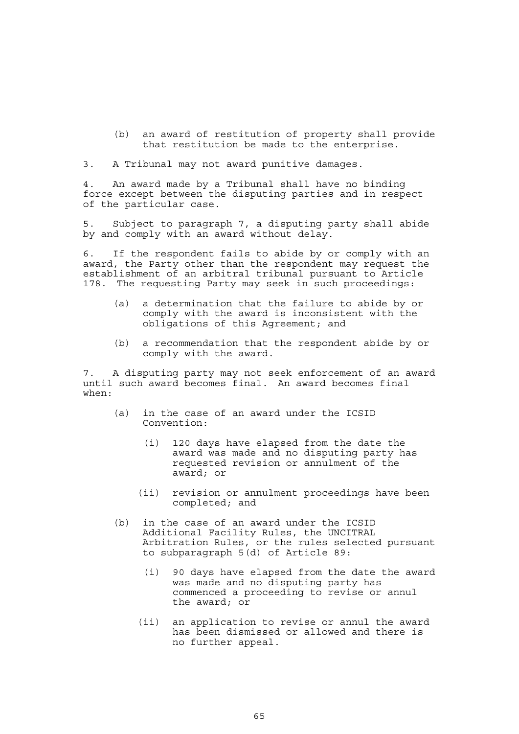(b) an award of restitution of property shall provide that restitution be made to the enterprise.

3. A Tribunal may not award punitive damages.

4. An award made by a Tribunal shall have no binding force except between the disputing parties and in respect of the particular case.

5. Subject to paragraph 7, a disputing party shall abide by and comply with an award without delay.

6. If the respondent fails to abide by or comply with an award, the Party other than the respondent may request the establishment of an arbitral tribunal pursuant to Article 178. The requesting Party may seek in such proceedings:

- (a) a determination that the failure to abide by or comply with the award is inconsistent with the obligations of this Agreement; and
- (b) a recommendation that the respondent abide by or comply with the award.

7. A disputing party may not seek enforcement of an award until such award becomes final. An award becomes final when:

- (a) in the case of an award under the ICSID Convention:
	- (i) 120 days have elapsed from the date the award was made and no disputing party has requested revision or annulment of the award; or
	- (ii) revision or annulment proceedings have been completed; and
- (b) in the case of an award under the ICSID Additional Facility Rules, the UNCITRAL Arbitration Rules, or the rules selected pursuant to subparagraph 5(d) of Article 89:
	- (i) 90 days have elapsed from the date the award was made and no disputing party has commenced a proceeding to revise or annul the award; or
	- (ii) an application to revise or annul the award has been dismissed or allowed and there is no further appeal.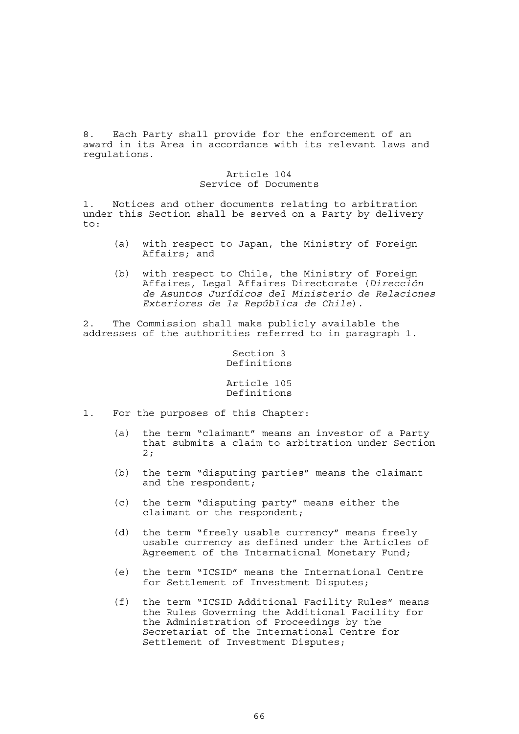8. Each Party shall provide for the enforcement of an award in its Area in accordance with its relevant laws and regulations.

## Article 104 Service of Documents

1. Notices and other documents relating to arbitration under this Section shall be served on a Party by delivery to:

- (a) with respect to Japan, the Ministry of Foreign Affairs; and
- (b) with respect to Chile, the Ministry of Foreign Affaires, Legal Affaires Directorate (*Dirección de Asuntos Jurídicos del Ministerio de Relaciones Exteriores de la República de Chile*).

2. The Commission shall make publicly available the addresses of the authorities referred to in paragraph 1.

# Section 3 Definitions

## Article 105 Definitions

- 1. For the purposes of this Chapter:
	- (a) the term "claimant" means an investor of a Party that submits a claim to arbitration under Section 2;
	- (b) the term "disputing parties" means the claimant and the respondent;
	- (c) the term "disputing party" means either the claimant or the respondent;
	- (d) the term "freely usable currency" means freely usable currency as defined under the Articles of Agreement of the International Monetary Fund;
	- (e) the term "ICSID" means the International Centre for Settlement of Investment Disputes;
	- (f) the term "ICSID Additional Facility Rules" means the Rules Governing the Additional Facility for the Administration of Proceedings by the Secretariat of the International Centre for Settlement of Investment Disputes;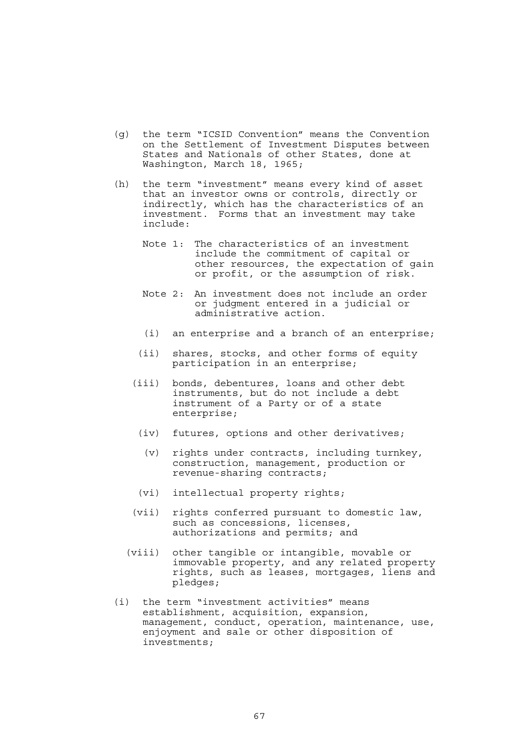- (g) the term "ICSID Convention" means the Convention on the Settlement of Investment Disputes between States and Nationals of other States, done at Washington, March 18, 1965;
- (h) the term "investment" means every kind of asset that an investor owns or controls, directly or indirectly, which has the characteristics of an investment. Forms that an investment may take include:
	- Note 1: The characteristics of an investment include the commitment of capital or other resources, the expectation of gain or profit, or the assumption of risk.
	- Note 2: An investment does not include an order or judgment entered in a judicial or administrative action.
	- (i) an enterprise and a branch of an enterprise;
	- (ii) shares, stocks, and other forms of equity participation in an enterprise;
	- (iii) bonds, debentures, loans and other debt instruments, but do not include a debt instrument of a Party or of a state enterprise;
		- (iv) futures, options and other derivatives;
			- (v) rights under contracts, including turnkey, construction, management, production or revenue-sharing contracts;
		- (vi) intellectual property rights;
	- (vii) rights conferred pursuant to domestic law, such as concessions, licenses, authorizations and permits; and
	- (viii) other tangible or intangible, movable or immovable property, and any related property rights, such as leases, mortgages, liens and pledges;
- (i) the term "investment activities" means establishment, acquisition, expansion, management, conduct, operation, maintenance, use, enjoyment and sale or other disposition of investments;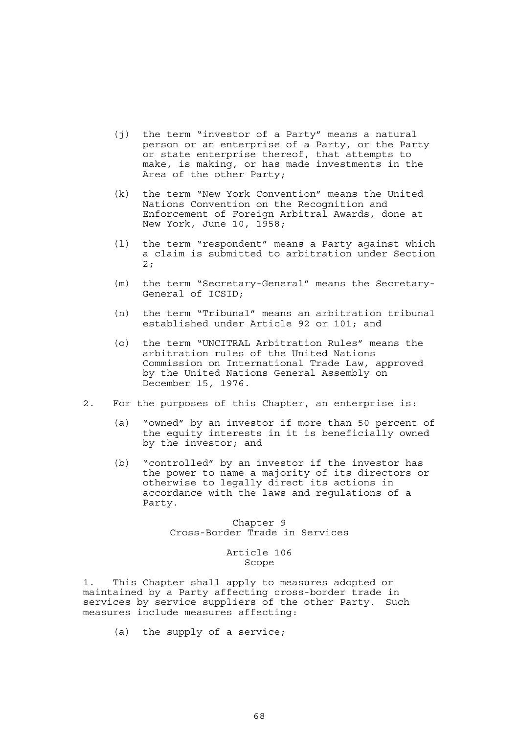- (j) the term "investor of a Party" means a natural person or an enterprise of a Party, or the Party or state enterprise thereof, that attempts to make, is making, or has made investments in the Area of the other Party;
- (k) the term "New York Convention" means the United Nations Convention on the Recognition and Enforcement of Foreign Arbitral Awards, done at New York, June 10, 1958;
- (l) the term "respondent" means a Party against which a claim is submitted to arbitration under Section 2;
- (m) the term "Secretary-General" means the Secretary-General of ICSID;
- (n) the term "Tribunal" means an arbitration tribunal established under Article 92 or 101; and
- (o) the term "UNCITRAL Arbitration Rules" means the arbitration rules of the United Nations Commission on International Trade Law, approved by the United Nations General Assembly on December 15, 1976.
- 2. For the purposes of this Chapter, an enterprise is:
	- (a) "owned" by an investor if more than 50 percent of the equity interests in it is beneficially owned by the investor; and
	- (b) "controlled" by an investor if the investor has the power to name a majority of its directors or otherwise to legally direct its actions in accordance with the laws and regulations of a Party.

Chapter 9 Cross-Border Trade in Services

> Article 106 Scope

1. This Chapter shall apply to measures adopted or maintained by a Party affecting cross-border trade in services by service suppliers of the other Party. Such measures include measures affecting:

(a) the supply of a service;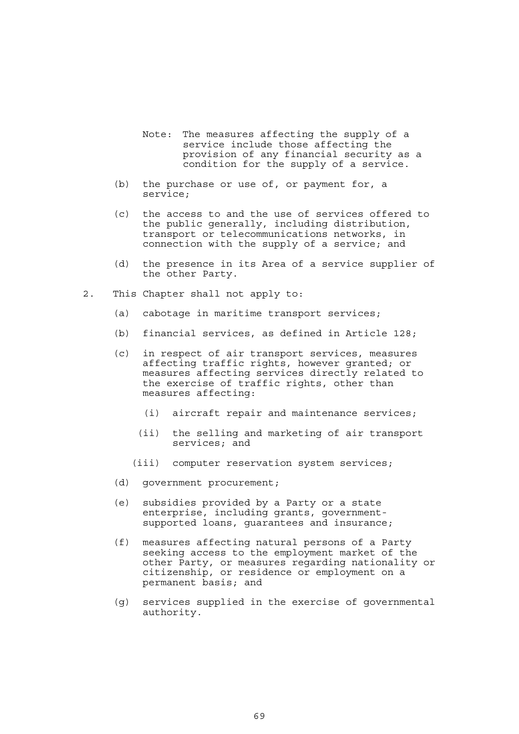- Note: The measures affecting the supply of a service include those affecting the provision of any financial security as a condition for the supply of a service.
- (b) the purchase or use of, or payment for, a service;
- (c) the access to and the use of services offered to the public generally, including distribution, transport or telecommunications networks, in connection with the supply of a service; and
- (d) the presence in its Area of a service supplier of the other Party.
- 2. This Chapter shall not apply to:
	- (a) cabotage in maritime transport services;
	- (b) financial services, as defined in Article 128;
	- (c) in respect of air transport services, measures affecting traffic rights, however granted; or measures affecting services directly related to the exercise of traffic rights, other than measures affecting:
		- (i) aircraft repair and maintenance services;
		- (ii) the selling and marketing of air transport services; and
		- (iii) computer reservation system services;
	- (d) government procurement;
	- (e) subsidies provided by a Party or a state enterprise, including grants, governmentsupported loans, guarantees and insurance;
	- (f) measures affecting natural persons of a Party seeking access to the employment market of the other Party, or measures regarding nationality or citizenship, or residence or employment on a permanent basis; and
	- (g) services supplied in the exercise of governmental authority.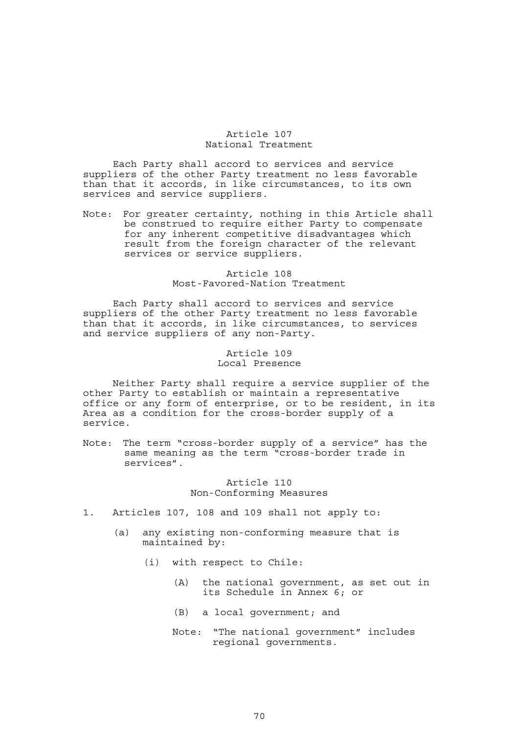## Article 107 National Treatment

 Each Party shall accord to services and service suppliers of the other Party treatment no less favorable than that it accords, in like circumstances, to its own services and service suppliers.

Note: For greater certainty, nothing in this Article shall be construed to require either Party to compensate for any inherent competitive disadvantages which result from the foreign character of the relevant services or service suppliers.

# Article 108 Most-Favored-Nation Treatment

 Each Party shall accord to services and service suppliers of the other Party treatment no less favorable than that it accords, in like circumstances, to services and service suppliers of any non-Party.

## Article 109 Local Presence

 Neither Party shall require a service supplier of the other Party to establish or maintain a representative office or any form of enterprise, or to be resident, in its Area as a condition for the cross-border supply of a service.

Note: The term "cross-border supply of a service" has the same meaning as the term "cross-border trade in services".

> Article 110 Non-Conforming Measures

- 1. Articles 107, 108 and 109 shall not apply to:
	- (a) any existing non-conforming measure that is maintained by:
		- (i) with respect to Chile:
			- (A) the national government, as set out in its Schedule in Annex 6; or
			- (B) a local government; and
			- Note: "The national government" includes regional governments.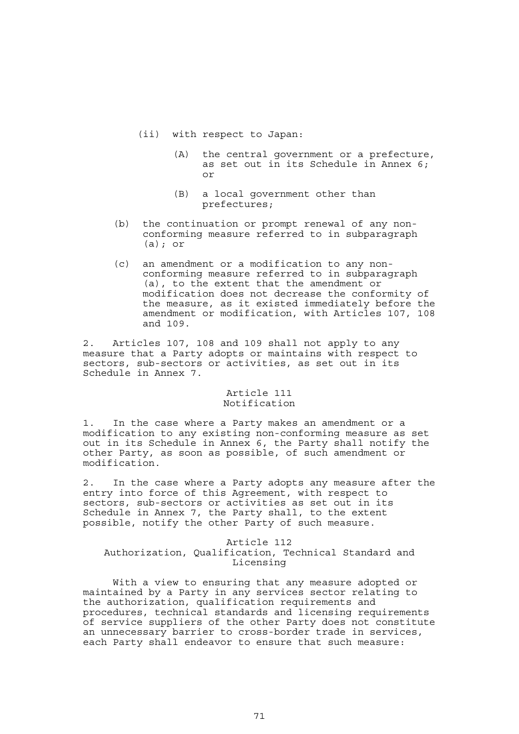- (ii) with respect to Japan:
	- (A) the central government or a prefecture, as set out in its Schedule in Annex 6; or
	- (B) a local government other than prefectures;
- (b) the continuation or prompt renewal of any nonconforming measure referred to in subparagraph (a); or
- (c) an amendment or a modification to any nonconforming measure referred to in subparagraph (a), to the extent that the amendment or modification does not decrease the conformity of the measure, as it existed immediately before the amendment or modification, with Articles 107, 108 and 109.

2. Articles 107, 108 and 109 shall not apply to any measure that a Party adopts or maintains with respect to sectors, sub-sectors or activities, as set out in its Schedule in Annex 7.

# Article 111 Notification

1. In the case where a Party makes an amendment or a modification to any existing non-conforming measure as set out in its Schedule in Annex 6, the Party shall notify the other Party, as soon as possible, of such amendment or modification.

2. In the case where a Party adopts any measure after the entry into force of this Agreement, with respect to sectors, sub-sectors or activities as set out in its Schedule in Annex 7, the Party shall, to the extent possible, notify the other Party of such measure.

### Article 112 Authorization, Qualification, Technical Standard and Licensing

 With a view to ensuring that any measure adopted or maintained by a Party in any services sector relating to the authorization, qualification requirements and procedures, technical standards and licensing requirements of service suppliers of the other Party does not constitute an unnecessary barrier to cross-border trade in services, each Party shall endeavor to ensure that such measure: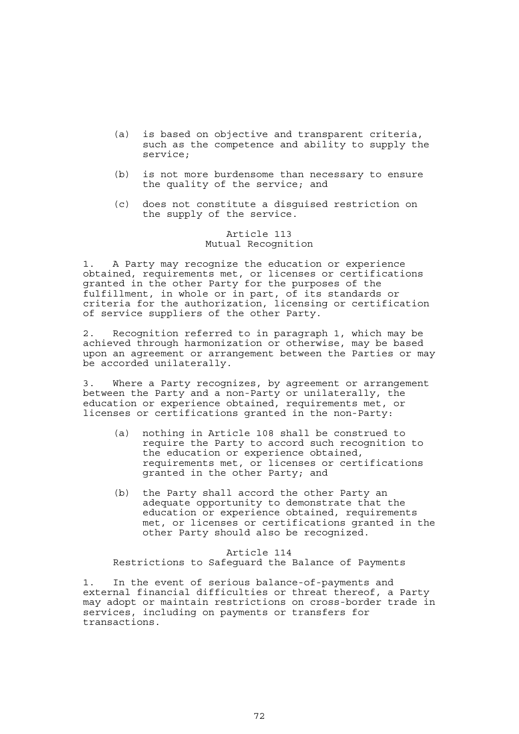- (a) is based on objective and transparent criteria, such as the competence and ability to supply the service;
- (b) is not more burdensome than necessary to ensure the quality of the service; and
- (c) does not constitute a disguised restriction on the supply of the service.

# Article 113 Mutual Recognition

1. A Party may recognize the education or experience obtained, requirements met, or licenses or certifications granted in the other Party for the purposes of the fulfillment, in whole or in part, of its standards or criteria for the authorization, licensing or certification of service suppliers of the other Party.

2. Recognition referred to in paragraph 1, which may be achieved through harmonization or otherwise, may be based upon an agreement or arrangement between the Parties or may be accorded unilaterally.

3. Where a Party recognizes, by agreement or arrangement between the Party and a non-Party or unilaterally, the education or experience obtained, requirements met, or licenses or certifications granted in the non-Party:

- (a) nothing in Article 108 shall be construed to require the Party to accord such recognition to the education or experience obtained, requirements met, or licenses or certifications granted in the other Party; and
- (b) the Party shall accord the other Party an adequate opportunity to demonstrate that the education or experience obtained, requirements met, or licenses or certifications granted in the other Party should also be recognized.

Article 114 Restrictions to Safeguard the Balance of Payments

1. In the event of serious balance-of-payments and external financial difficulties or threat thereof, a Party may adopt or maintain restrictions on cross-border trade in services, including on payments or transfers for transactions.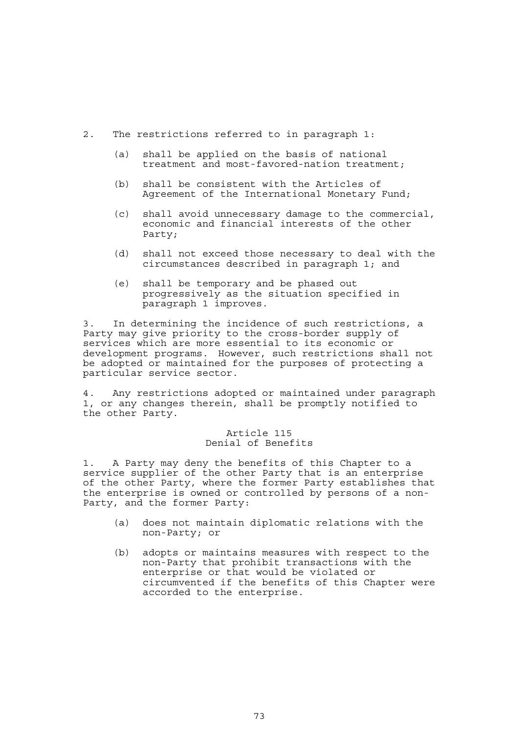- 2. The restrictions referred to in paragraph 1:
	- (a) shall be applied on the basis of national treatment and most-favored-nation treatment;
	- (b) shall be consistent with the Articles of Agreement of the International Monetary Fund;
	- (c) shall avoid unnecessary damage to the commercial, economic and financial interests of the other Party;
	- (d) shall not exceed those necessary to deal with the circumstances described in paragraph 1; and
	- (e) shall be temporary and be phased out progressively as the situation specified in paragraph 1 improves.

3. In determining the incidence of such restrictions, a Party may give priority to the cross-border supply of services which are more essential to its economic or development programs. However, such restrictions shall not be adopted or maintained for the purposes of protecting a particular service sector.

4. Any restrictions adopted or maintained under paragraph 1, or any changes therein, shall be promptly notified to the other Party.

# Article 115 Denial of Benefits

1. A Party may deny the benefits of this Chapter to a service supplier of the other Party that is an enterprise of the other Party, where the former Party establishes that the enterprise is owned or controlled by persons of a non-Party, and the former Party:

- (a) does not maintain diplomatic relations with the non-Party; or
- (b) adopts or maintains measures with respect to the non-Party that prohibit transactions with the enterprise or that would be violated or circumvented if the benefits of this Chapter were accorded to the enterprise.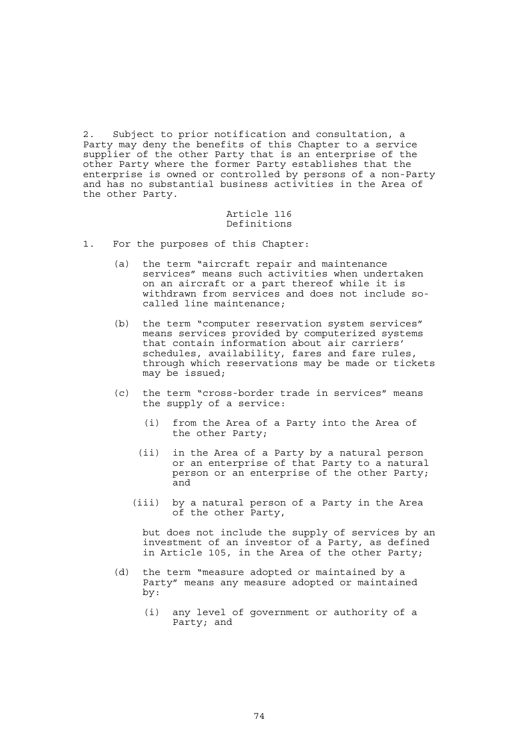2. Subject to prior notification and consultation, a Party may deny the benefits of this Chapter to a service supplier of the other Party that is an enterprise of the other Party where the former Party establishes that the enterprise is owned or controlled by persons of a non-Party and has no substantial business activities in the Area of the other Party.

### Article 116 Definitions

- 1. For the purposes of this Chapter:
	- (a) the term "aircraft repair and maintenance services" means such activities when undertaken on an aircraft or a part thereof while it is withdrawn from services and does not include socalled line maintenance;
	- (b) the term "computer reservation system services" means services provided by computerized systems that contain information about air carriers' schedules, availability, fares and fare rules, through which reservations may be made or tickets may be issued;
	- (c) the term "cross-border trade in services" means the supply of a service:
		- (i) from the Area of a Party into the Area of the other Party;
		- (ii) in the Area of a Party by a natural person or an enterprise of that Party to a natural person or an enterprise of the other Party; and
		- (iii) by a natural person of a Party in the Area of the other Party,

 but does not include the supply of services by an investment of an investor of a Party, as defined in Article 105, in the Area of the other Party;

- (d) the term "measure adopted or maintained by a Party" means any measure adopted or maintained by:
	- (i) any level of government or authority of a Party; and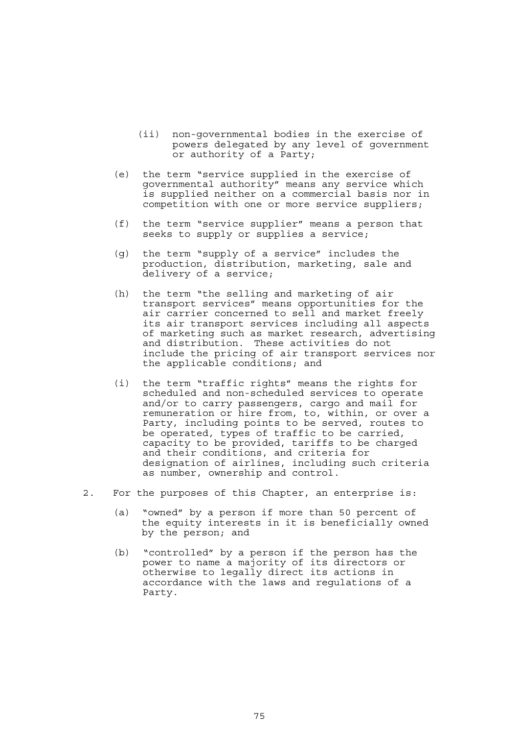- (ii) non-governmental bodies in the exercise of powers delegated by any level of government or authority of a Party;
- (e) the term "service supplied in the exercise of governmental authority" means any service which is supplied neither on a commercial basis nor in competition with one or more service suppliers;
- (f) the term "service supplier" means a person that seeks to supply or supplies a service;
- (g) the term "supply of a service" includes the production, distribution, marketing, sale and delivery of a service;
- (h) the term "the selling and marketing of air transport services" means opportunities for the air carrier concerned to sell and market freely its air transport services including all aspects of marketing such as market research, advertising and distribution. These activities do not include the pricing of air transport services nor the applicable conditions; and
- (i) the term "traffic rights" means the rights for scheduled and non-scheduled services to operate and/or to carry passengers, cargo and mail for remuneration or hire from, to, within, or over a Party, including points to be served, routes to be operated, types of traffic to be carried, capacity to be provided, tariffs to be charged and their conditions, and criteria for designation of airlines, including such criteria as number, ownership and control.
- 2. For the purposes of this Chapter, an enterprise is:
	- (a) "owned" by a person if more than 50 percent of the equity interests in it is beneficially owned by the person; and
- (b) "controlled" by a person if the person has the power to name a majority of its directors or otherwise to legally direct its actions in accordance with the laws and regulations of a Party.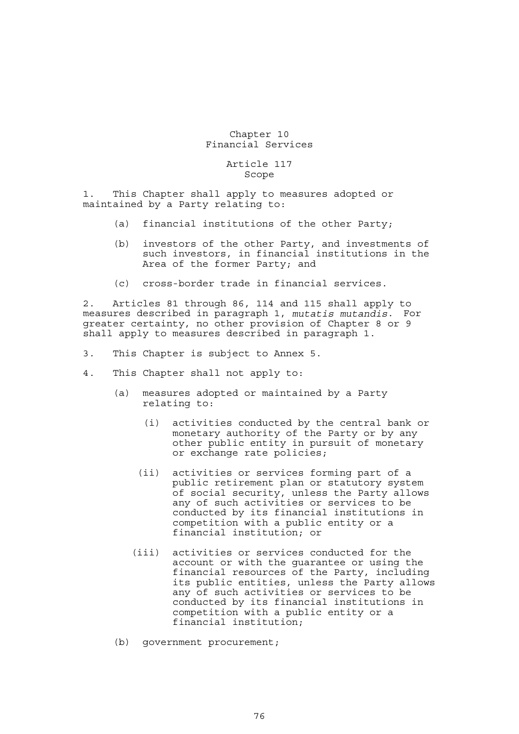# Chapter 10 Financial Services

#### Article 117 Scope

1. This Chapter shall apply to measures adopted or maintained by a Party relating to:

- (a) financial institutions of the other Party;
- (b) investors of the other Party, and investments of such investors, in financial institutions in the Area of the former Party; and
	- (c) cross-border trade in financial services.

2. Articles 81 through 86, 114 and 115 shall apply to measures described in paragraph 1, *mutatis mutandis*. For greater certainty, no other provision of Chapter 8 or 9 shall apply to measures described in paragraph 1.

- 3. This Chapter is subject to Annex 5.
- 4. This Chapter shall not apply to:
	- (a) measures adopted or maintained by a Party relating to:
		- (i) activities conducted by the central bank or monetary authority of the Party or by any other public entity in pursuit of monetary or exchange rate policies;
		- (ii) activities or services forming part of a public retirement plan or statutory system of social security, unless the Party allows any of such activities or services to be conducted by its financial institutions in competition with a public entity or a financial institution; or
		- (iii) activities or services conducted for the account or with the guarantee or using the financial resources of the Party, including its public entities, unless the Party allows any of such activities or services to be conducted by its financial institutions in competition with a public entity or a financial institution;
	- (b) government procurement;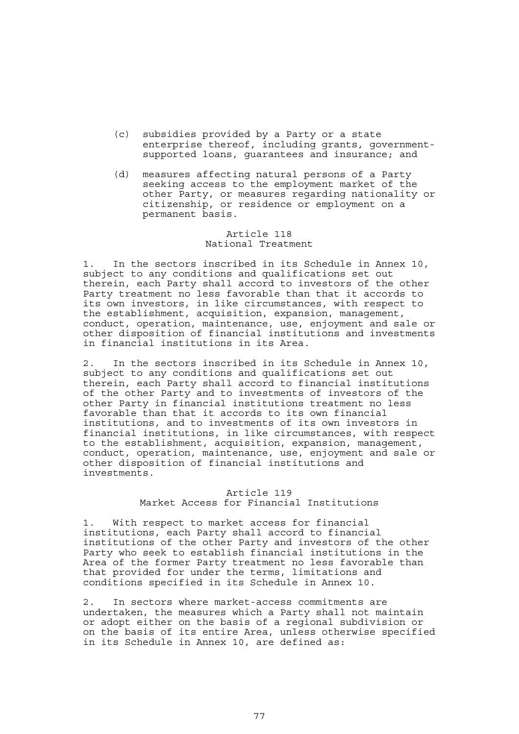- (c) subsidies provided by a Party or a state enterprise thereof, including grants, governmentsupported loans, guarantees and insurance; and
- (d) measures affecting natural persons of a Party seeking access to the employment market of the other Party, or measures regarding nationality or citizenship, or residence or employment on a permanent basis.

### Article 118 National Treatment

1. In the sectors inscribed in its Schedule in Annex 10, subject to any conditions and qualifications set out therein, each Party shall accord to investors of the other Party treatment no less favorable than that it accords to its own investors, in like circumstances, with respect to the establishment, acquisition, expansion, management, conduct, operation, maintenance, use, enjoyment and sale or other disposition of financial institutions and investments in financial institutions in its Area.

2. In the sectors inscribed in its Schedule in Annex 10, subject to any conditions and qualifications set out therein, each Party shall accord to financial institutions of the other Party and to investments of investors of the other Party in financial institutions treatment no less favorable than that it accords to its own financial institutions, and to investments of its own investors in financial institutions, in like circumstances, with respect to the establishment, acquisition, expansion, management, conduct, operation, maintenance, use, enjoyment and sale or other disposition of financial institutions and investments.

# Article 119 Market Access for Financial Institutions

1. With respect to market access for financial institutions, each Party shall accord to financial institutions of the other Party and investors of the other Party who seek to establish financial institutions in the Area of the former Party treatment no less favorable than that provided for under the terms, limitations and conditions specified in its Schedule in Annex 10.

2. In sectors where market-access commitments are undertaken, the measures which a Party shall not maintain or adopt either on the basis of a regional subdivision or on the basis of its entire Area, unless otherwise specified in its Schedule in Annex 10, are defined as: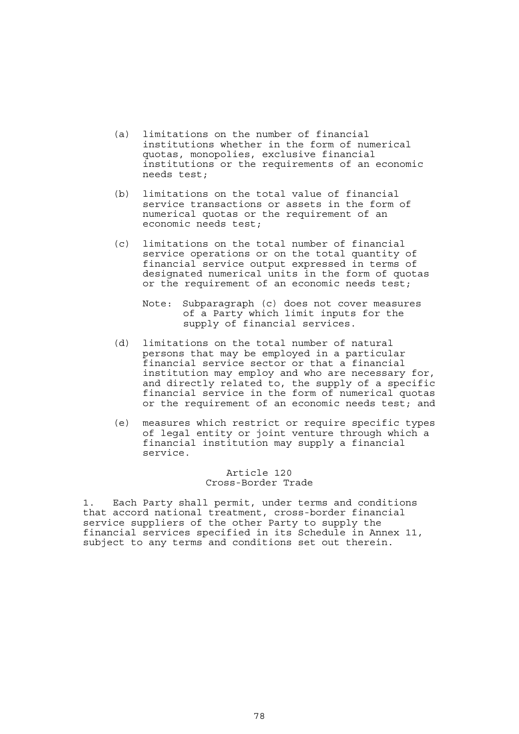- (a) limitations on the number of financial institutions whether in the form of numerical quotas, monopolies, exclusive financial institutions or the requirements of an economic needs test;
- (b) limitations on the total value of financial service transactions or assets in the form of numerical quotas or the requirement of an economic needs test;
- (c) limitations on the total number of financial service operations or on the total quantity of financial service output expressed in terms of designated numerical units in the form of quotas or the requirement of an economic needs test;
- Note: Subparagraph (c) does not cover measures of a Party which limit inputs for the supply of financial services.
	- (d) limitations on the total number of natural persons that may be employed in a particular financial service sector or that a financial institution may employ and who are necessary for, and directly related to, the supply of a specific financial service in the form of numerical quotas or the requirement of an economic needs test; and
	- (e) measures which restrict or require specific types of legal entity or joint venture through which a financial institution may supply a financial service.

#### Article 120 Cross-Border Trade

1. Each Party shall permit, under terms and conditions that accord national treatment, cross-border financial service suppliers of the other Party to supply the financial services specified in its Schedule in Annex 11, subject to any terms and conditions set out therein.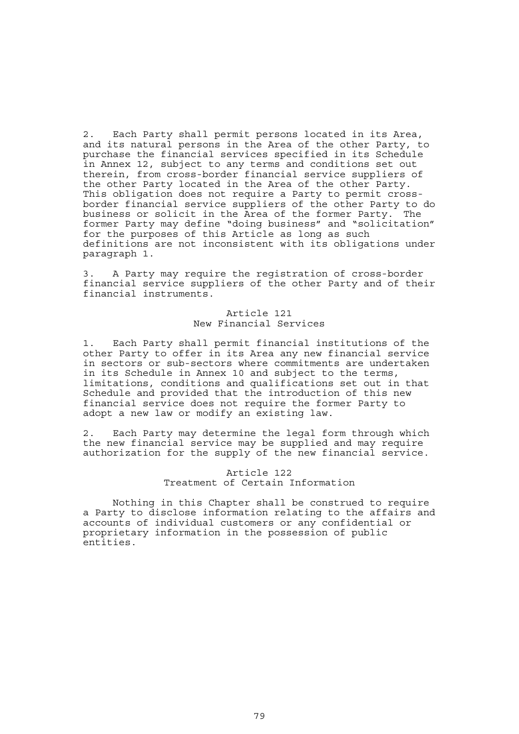2. Each Party shall permit persons located in its Area, and its natural persons in the Area of the other Party, to purchase the financial services specified in its Schedule in Annex 12, subject to any terms and conditions set out therein, from cross-border financial service suppliers of the other Party located in the Area of the other Party. This obligation does not require a Party to permit crossborder financial service suppliers of the other Party to do business or solicit in the Area of the former Party. The former Party may define "doing business" and "solicitation" for the purposes of this Article as long as such definitions are not inconsistent with its obligations under paragraph 1.

3. A Party may require the registration of cross-border financial service suppliers of the other Party and of their financial instruments.

# Article 121 New Financial Services

1. Each Party shall permit financial institutions of the other Party to offer in its Area any new financial service in sectors or sub-sectors where commitments are undertaken in its Schedule in Annex 10 and subject to the terms, limitations, conditions and qualifications set out in that Schedule and provided that the introduction of this new financial service does not require the former Party to adopt a new law or modify an existing law.

2. Each Party may determine the legal form through which the new financial service may be supplied and may require authorization for the supply of the new financial service.

#### Article 122 Treatment of Certain Information

 Nothing in this Chapter shall be construed to require a Party to disclose information relating to the affairs and accounts of individual customers or any confidential or proprietary information in the possession of public entities.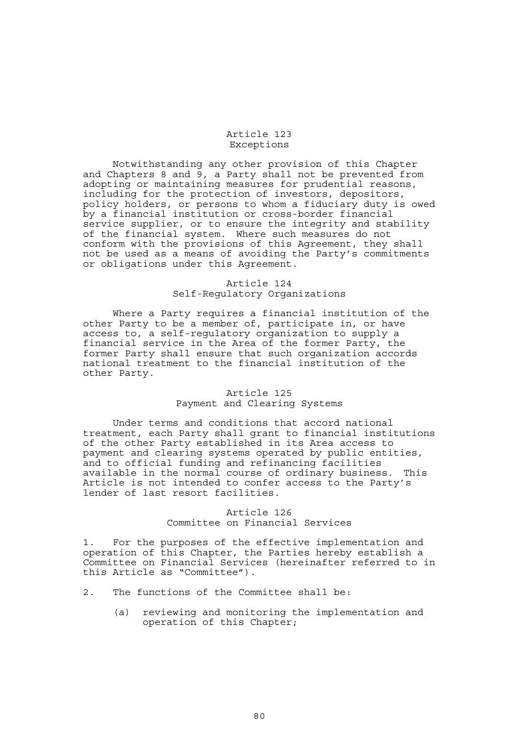#### Article 123 Exceptions

 Notwithstanding any other provision of this Chapter and Chapters 8 and 9, a Party shall not be prevented from adopting or maintaining measures for prudential reasons, including for the protection of investors, depositors, policy holders, or persons to whom a fiduciary duty is owed by a financial institution or cross-border financial service supplier, or to ensure the integrity and stability of the financial system. Where such measures do not conform with the provisions of this Agreement, they shall not be used as a means of avoiding the Party's commitments or obligations under this Agreement.

# Article 124 Self-Regulatory Organizations

 Where a Party requires a financial institution of the other Party to be a member of, participate in, or have access to, a self-regulatory organization to supply a financial service in the Area of the former Party, the former Party shall ensure that such organization accords national treatment to the financial institution of the other Party.

#### Article 125 Payment and Clearing Systems

 Under terms and conditions that accord national treatment, each Party shall grant to financial institutions of the other Party established in its Area access to payment and clearing systems operated by public entities, and to official funding and refinancing facilities available in the normal course of ordinary business. This Article is not intended to confer access to the Party's lender of last resort facilities.

# Article 126 Committee on Financial Services

1. For the purposes of the effective implementation and operation of this Chapter, the Parties hereby establish a Committee on Financial Services (hereinafter referred to in this Article as "Committee").

- 2. The functions of the Committee shall be:
	- (a) reviewing and monitoring the implementation and operation of this Chapter;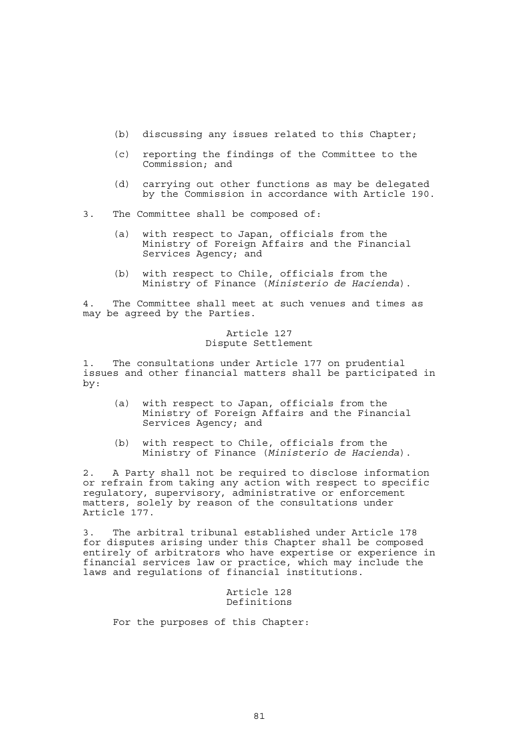- (b) discussing any issues related to this Chapter;
- (c) reporting the findings of the Committee to the Commission; and
- (d) carrying out other functions as may be delegated by the Commission in accordance with Article 190.
- 3. The Committee shall be composed of:
	- (a) with respect to Japan, officials from the Ministry of Foreign Affairs and the Financial Services Agency; and
	- (b) with respect to Chile, officials from the Ministry of Finance (*Ministerio de Hacienda*).

4. The Committee shall meet at such venues and times as may be agreed by the Parties.

### Article 127 Dispute Settlement

1. The consultations under Article 177 on prudential issues and other financial matters shall be participated in by:

- (a) with respect to Japan, officials from the Ministry of Foreign Affairs and the Financial Services Agency; and
- (b) with respect to Chile, officials from the Ministry of Finance (*Ministerio de Hacienda*).

2. A Party shall not be required to disclose information or refrain from taking any action with respect to specific regulatory, supervisory, administrative or enforcement matters, solely by reason of the consultations under Article 177.

3. The arbitral tribunal established under Article 178 for disputes arising under this Chapter shall be composed entirely of arbitrators who have expertise or experience in financial services law or practice, which may include the laws and regulations of financial institutions.

# Article 128 Definitions

For the purposes of this Chapter: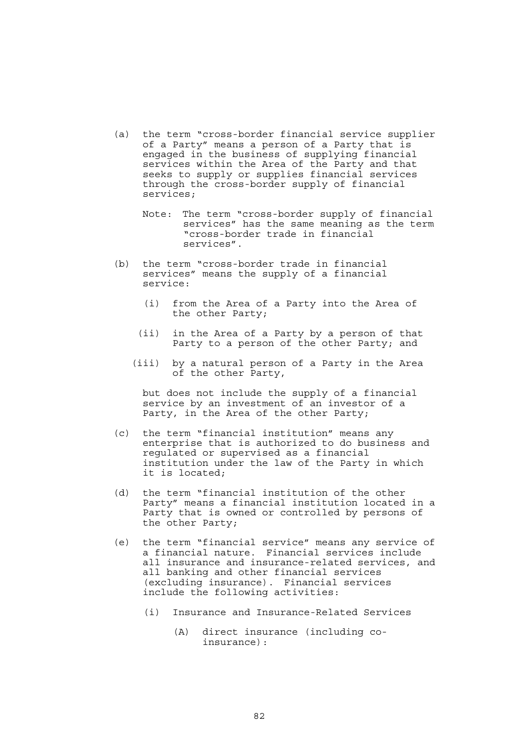- (a) the term "cross-border financial service supplier of a Party" means a person of a Party that is engaged in the business of supplying financial services within the Area of the Party and that seeks to supply or supplies financial services through the cross-border supply of financial services;
	- Note: The term "cross-border supply of financial services" has the same meaning as the term "cross-border trade in financial services".
- (b) the term "cross-border trade in financial services" means the supply of a financial service:
	- (i) from the Area of a Party into the Area of the other Party;
	- (ii) in the Area of a Party by a person of that Party to a person of the other Party; and
	- (iii) by a natural person of a Party in the Area of the other Party,

 but does not include the supply of a financial service by an investment of an investor of a Party, in the Area of the other Party;

- (c) the term "financial institution" means any enterprise that is authorized to do business and regulated or supervised as a financial institution under the law of the Party in which it is located;
- (d) the term "financial institution of the other Party" means a financial institution located in a Party that is owned or controlled by persons of the other Party;
- (e) the term "financial service" means any service of a financial nature. Financial services include all insurance and insurance-related services, and all banking and other financial services (excluding insurance). Financial services include the following activities:
	- (i) Insurance and Insurance-Related Services
		- (A) direct insurance (including coinsurance):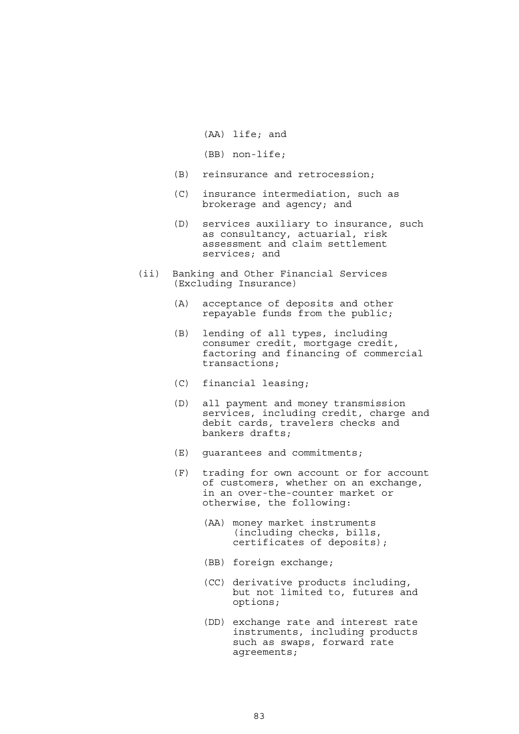- (AA) life; and
- (BB) non-life;
- (B) reinsurance and retrocession;
- (C) insurance intermediation, such as brokerage and agency; and
- (D) services auxiliary to insurance, such as consultancy, actuarial, risk assessment and claim settlement services; and
- (ii) Banking and Other Financial Services (Excluding Insurance)
	- (A) acceptance of deposits and other repayable funds from the public;
	- (B) lending of all types, including consumer credit, mortgage credit, factoring and financing of commercial transactions;
	- (C) financial leasing;
	- (D) all payment and money transmission services, including credit, charge and debit cards, travelers checks and bankers drafts;
	- (E) guarantees and commitments;
	- (F) trading for own account or for account of customers, whether on an exchange, in an over-the-counter market or otherwise, the following:
		- (AA) money market instruments (including checks, bills, certificates of deposits);
		- (BB) foreign exchange;
		- (CC) derivative products including, but not limited to, futures and options;
		- (DD) exchange rate and interest rate instruments, including products such as swaps, forward rate agreements;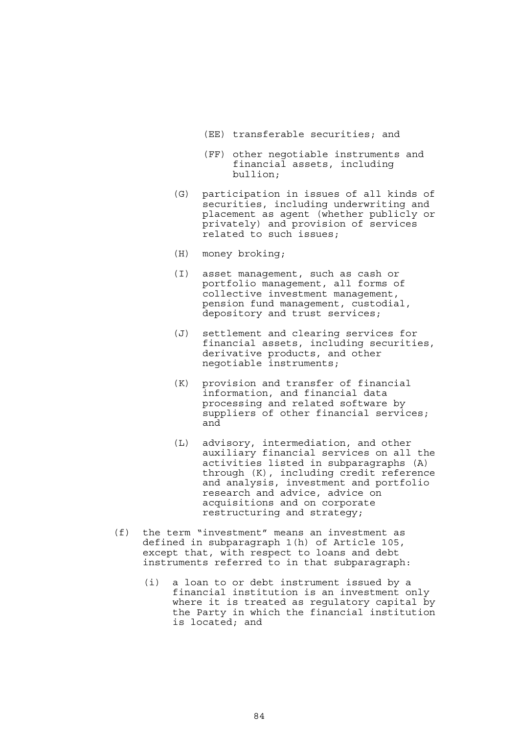- (EE) transferable securities; and
- (FF) other negotiable instruments and financial assets, including bullion;
- (G) participation in issues of all kinds of securities, including underwriting and placement as agent (whether publicly or privately) and provision of services related to such issues;
- (H) money broking;
- (I) asset management, such as cash or portfolio management, all forms of collective investment management, pension fund management, custodial, depository and trust services;
- (J) settlement and clearing services for financial assets, including securities, derivative products, and other negotiable instruments;
- (K) provision and transfer of financial information, and financial data processing and related software by suppliers of other financial services; and
- (L) advisory, intermediation, and other auxiliary financial services on all the activities listed in subparagraphs (A) through (K), including credit reference and analysis, investment and portfolio research and advice, advice on acquisitions and on corporate restructuring and strategy;
- (f) the term "investment" means an investment as defined in subparagraph 1(h) of Article 105, except that, with respect to loans and debt instruments referred to in that subparagraph:
	- (i) a loan to or debt instrument issued by a financial institution is an investment only where it is treated as regulatory capital by the Party in which the financial institution is located; and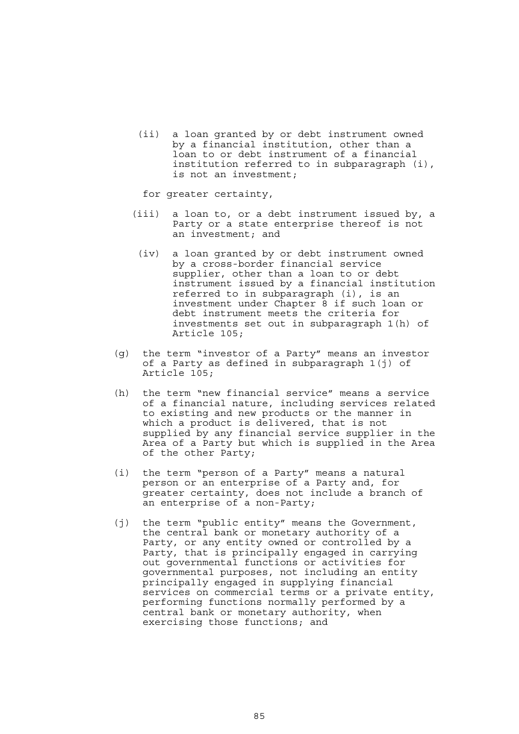(ii) a loan granted by or debt instrument owned by a financial institution, other than a loan to or debt instrument of a financial institution referred to in subparagraph (i), is not an investment;

for greater certainty,

- (iii) a loan to, or a debt instrument issued by, a Party or a state enterprise thereof is not an investment; and
- (iv) a loan granted by or debt instrument owned by a cross-border financial service supplier, other than a loan to or debt instrument issued by a financial institution referred to in subparagraph (i), is an investment under Chapter 8 if such loan or debt instrument meets the criteria for investments set out in subparagraph 1(h) of Article 105;
	- (g) the term "investor of a Party" means an investor of a Party as defined in subparagraph 1(j) of Article 105;
	- (h) the term "new financial service" means a service of a financial nature, including services related to existing and new products or the manner in which a product is delivered, that is not supplied by any financial service supplier in the Area of a Party but which is supplied in the Area of the other Party;
	- (i) the term "person of a Party" means a natural person or an enterprise of a Party and, for greater certainty, does not include a branch of an enterprise of a non-Party;
	- (j) the term "public entity" means the Government, the central bank or monetary authority of a Party, or any entity owned or controlled by a Party, that is principally engaged in carrying out governmental functions or activities for governmental purposes, not including an entity principally engaged in supplying financial services on commercial terms or a private entity, performing functions normally performed by a central bank or monetary authority, when exercising those functions; and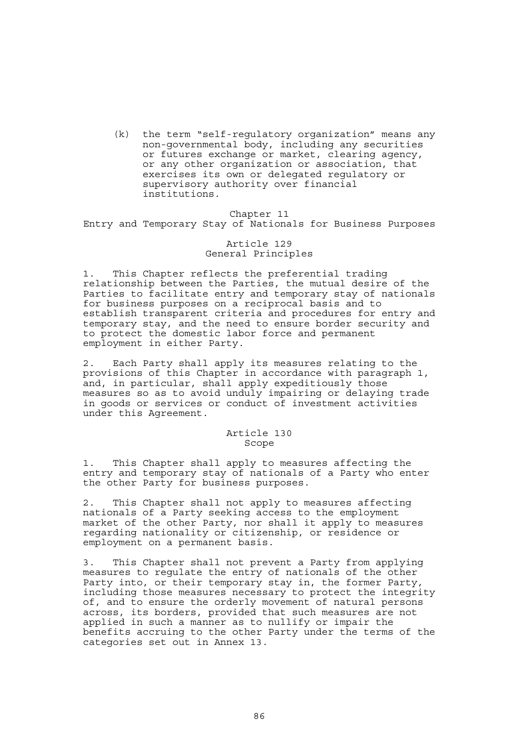(k) the term "self-regulatory organization" means any non-governmental body, including any securities or futures exchange or market, clearing agency, or any other organization or association, that exercises its own or delegated regulatory or supervisory authority over financial institutions.

# Chapter 11

Entry and Temporary Stay of Nationals for Business Purposes

# Article 129 General Principles

1. This Chapter reflects the preferential trading relationship between the Parties, the mutual desire of the Parties to facilitate entry and temporary stay of nationals for business purposes on a reciprocal basis and to establish transparent criteria and procedures for entry and temporary stay, and the need to ensure border security and to protect the domestic labor force and permanent employment in either Party.

2. Each Party shall apply its measures relating to the provisions of this Chapter in accordance with paragraph 1, and, in particular, shall apply expeditiously those measures so as to avoid unduly impairing or delaying trade in goods or services or conduct of investment activities under this Agreement.

#### Article 130 Scope

1. This Chapter shall apply to measures affecting the entry and temporary stay of nationals of a Party who enter the other Party for business purposes.

2. This Chapter shall not apply to measures affecting nationals of a Party seeking access to the employment market of the other Party, nor shall it apply to measures regarding nationality or citizenship, or residence or employment on a permanent basis.

3. This Chapter shall not prevent a Party from applying measures to regulate the entry of nationals of the other Party into, or their temporary stay in, the former Party, including those measures necessary to protect the integrity of, and to ensure the orderly movement of natural persons across, its borders, provided that such measures are not applied in such a manner as to nullify or impair the benefits accruing to the other Party under the terms of the categories set out in Annex 13.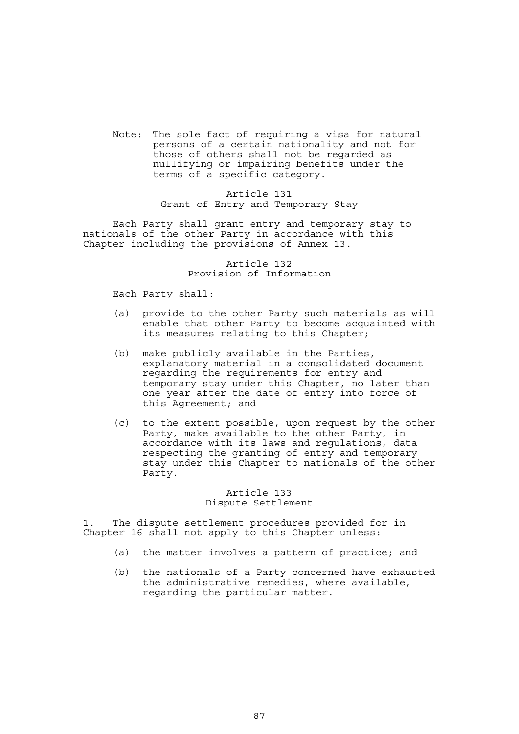Note: The sole fact of requiring a visa for natural persons of a certain nationality and not for those of others shall not be regarded as nullifying or impairing benefits under the terms of a specific category.

### Article 131 Grant of Entry and Temporary Stay

 Each Party shall grant entry and temporary stay to nationals of the other Party in accordance with this Chapter including the provisions of Annex 13.

> Article 132 Provision of Information

Each Party shall:

- (a) provide to the other Party such materials as will enable that other Party to become acquainted with its measures relating to this Chapter;
- (b) make publicly available in the Parties, explanatory material in a consolidated document regarding the requirements for entry and temporary stay under this Chapter, no later than one year after the date of entry into force of this Agreement; and
- (c) to the extent possible, upon request by the other Party, make available to the other Party, in accordance with its laws and regulations, data respecting the granting of entry and temporary stay under this Chapter to nationals of the other Party.

# Article 133 Dispute Settlement

1. The dispute settlement procedures provided for in Chapter 16 shall not apply to this Chapter unless:

- (a) the matter involves a pattern of practice; and
- (b) the nationals of a Party concerned have exhausted the administrative remedies, where available, regarding the particular matter.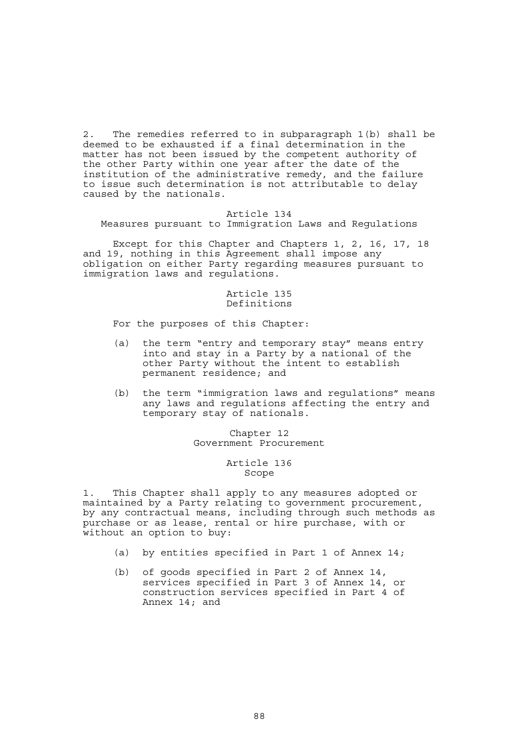2. The remedies referred to in subparagraph 1(b) shall be deemed to be exhausted if a final determination in the matter has not been issued by the competent authority of the other Party within one year after the date of the institution of the administrative remedy, and the failure to issue such determination is not attributable to delay caused by the nationals.

#### Article 134

Measures pursuant to Immigration Laws and Regulations

 Except for this Chapter and Chapters 1, 2, 16, 17, 18 and 19, nothing in this Agreement shall impose any obligation on either Party regarding measures pursuant to immigration laws and regulations.

# Article 135 Definitions

For the purposes of this Chapter:

- (a) the term "entry and temporary stay" means entry into and stay in a Party by a national of the other Party without the intent to establish permanent residence; and
- (b) the term "immigration laws and regulations" means any laws and regulations affecting the entry and temporary stay of nationals.

Chapter 12 Government Procurement

#### Article 136 Scope

1. This Chapter shall apply to any measures adopted or maintained by a Party relating to government procurement, by any contractual means, including through such methods as purchase or as lease, rental or hire purchase, with or without an option to buy:

- (a) by entities specified in Part 1 of Annex 14;
- (b) of goods specified in Part 2 of Annex 14, services specified in Part 3 of Annex 14, or construction services specified in Part 4 of Annex 14; and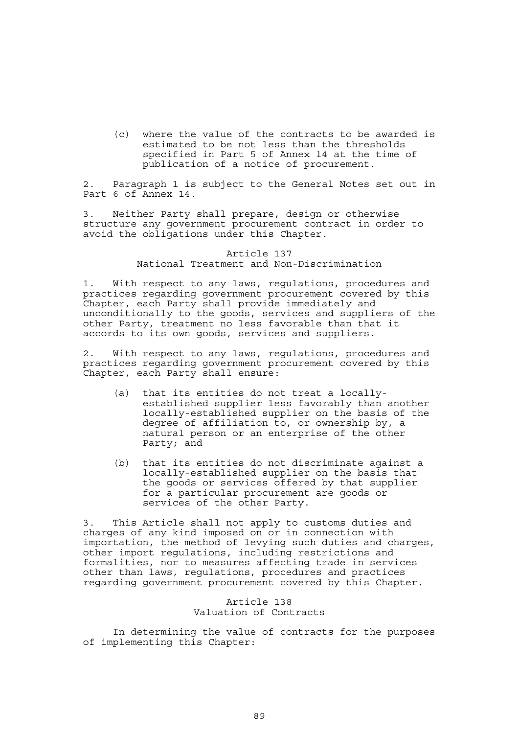(c) where the value of the contracts to be awarded is estimated to be not less than the thresholds specified in Part 5 of Annex 14 at the time of publication of a notice of procurement.

2. Paragraph 1 is subject to the General Notes set out in Part 6 of Annex 14.

3. Neither Party shall prepare, design or otherwise structure any government procurement contract in order to avoid the obligations under this Chapter.

#### Article 137 National Treatment and Non-Discrimination

1. With respect to any laws, regulations, procedures and practices regarding government procurement covered by this Chapter, each Party shall provide immediately and unconditionally to the goods, services and suppliers of the other Party, treatment no less favorable than that it accords to its own goods, services and suppliers.

2. With respect to any laws, regulations, procedures and practices regarding government procurement covered by this Chapter, each Party shall ensure:

- (a) that its entities do not treat a locallyestablished supplier less favorably than another locally-established supplier on the basis of the degree of affiliation to, or ownership by, a natural person or an enterprise of the other Party; and
- (b) that its entities do not discriminate against a locally-established supplier on the basis that the goods or services offered by that supplier for a particular procurement are goods or services of the other Party.

3. This Article shall not apply to customs duties and charges of any kind imposed on or in connection with importation, the method of levying such duties and charges, other import regulations, including restrictions and formalities, nor to measures affecting trade in services other than laws, regulations, procedures and practices regarding government procurement covered by this Chapter.

> Article 138 Valuation of Contracts

 In determining the value of contracts for the purposes of implementing this Chapter: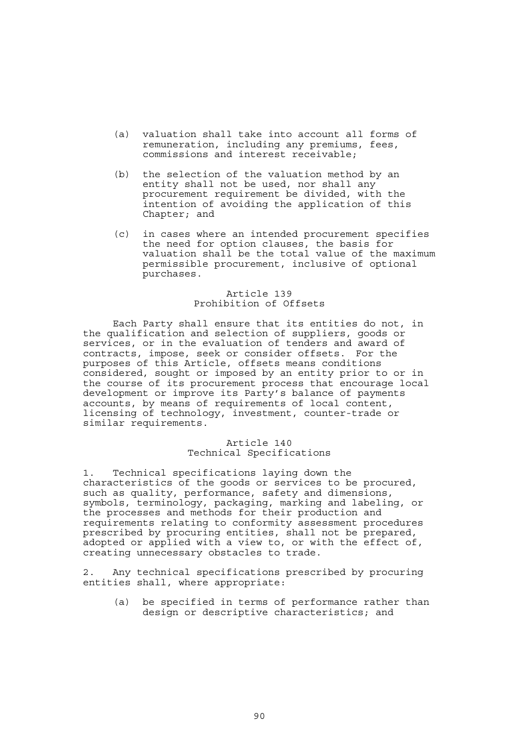- (a) valuation shall take into account all forms of remuneration, including any premiums, fees, commissions and interest receivable;
- (b) the selection of the valuation method by an entity shall not be used, nor shall any procurement requirement be divided, with the intention of avoiding the application of this Chapter; and
- (c) in cases where an intended procurement specifies the need for option clauses, the basis for valuation shall be the total value of the maximum permissible procurement, inclusive of optional purchases.

# Article 139 Prohibition of Offsets

 Each Party shall ensure that its entities do not, in the qualification and selection of suppliers, goods or services, or in the evaluation of tenders and award of contracts, impose, seek or consider offsets. For the purposes of this Article, offsets means conditions considered, sought or imposed by an entity prior to or in the course of its procurement process that encourage local development or improve its Party's balance of payments accounts, by means of requirements of local content, licensing of technology, investment, counter-trade or similar requirements.

# Article 140 Technical Specifications

1. Technical specifications laying down the characteristics of the goods or services to be procured, such as quality, performance, safety and dimensions, symbols, terminology, packaging, marking and labeling, or the processes and methods for their production and requirements relating to conformity assessment procedures prescribed by procuring entities, shall not be prepared, adopted or applied with a view to, or with the effect of, creating unnecessary obstacles to trade.

2. Any technical specifications prescribed by procuring entities shall, where appropriate:

 (a) be specified in terms of performance rather than design or descriptive characteristics; and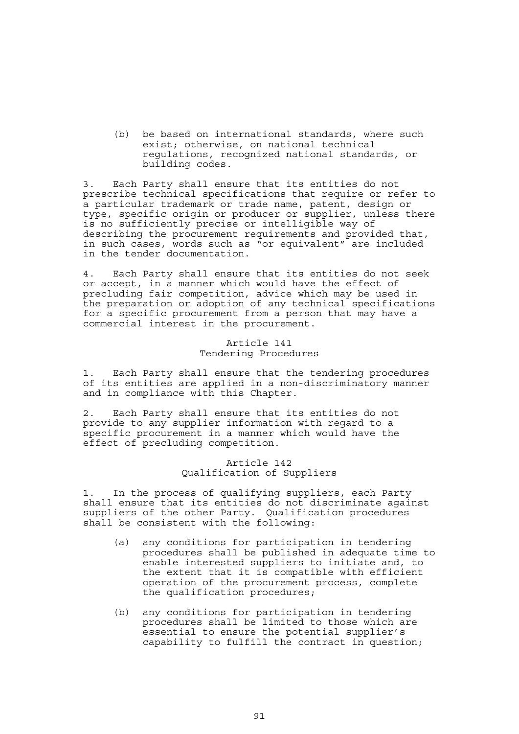(b) be based on international standards, where such exist; otherwise, on national technical regulations, recognized national standards, or building codes.

3. Each Party shall ensure that its entities do not prescribe technical specifications that require or refer to a particular trademark or trade name, patent, design or type, specific origin or producer or supplier, unless there is no sufficiently precise or intelligible way of describing the procurement requirements and provided that, in such cases, words such as "or equivalent" are included in the tender documentation.

4. Each Party shall ensure that its entities do not seek or accept, in a manner which would have the effect of precluding fair competition, advice which may be used in the preparation or adoption of any technical specifications for a specific procurement from a person that may have a commercial interest in the procurement.

### Article 141 Tendering Procedures

1. Each Party shall ensure that the tendering procedures of its entities are applied in a non-discriminatory manner and in compliance with this Chapter.

2. Each Party shall ensure that its entities do not provide to any supplier information with regard to a specific procurement in a manner which would have the effect of precluding competition.

# Article 142 Qualification of Suppliers

1. In the process of qualifying suppliers, each Party shall ensure that its entities do not discriminate against suppliers of the other Party. Qualification procedures shall be consistent with the following:

- (a) any conditions for participation in tendering procedures shall be published in adequate time to enable interested suppliers to initiate and, to the extent that it is compatible with efficient operation of the procurement process, complete the qualification procedures;
- (b) any conditions for participation in tendering procedures shall be limited to those which are essential to ensure the potential supplier's capability to fulfill the contract in question;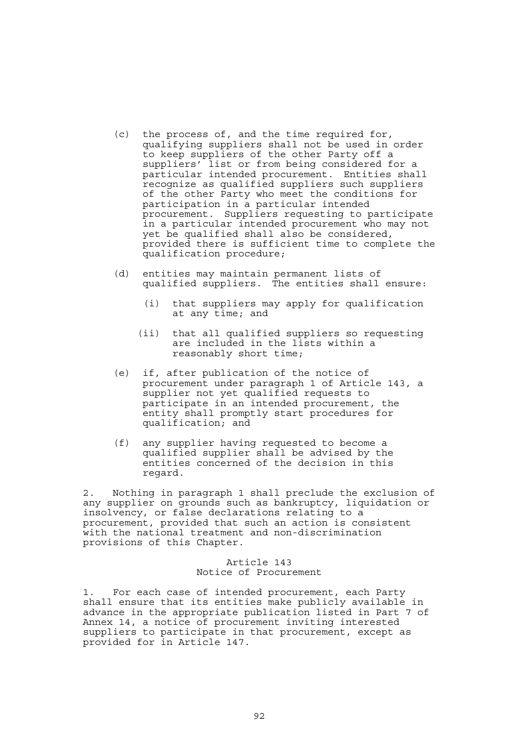- (c) the process of, and the time required for, qualifying suppliers shall not be used in order to keep suppliers of the other Party off a suppliers' list or from being considered for a particular intended procurement. Entities shall recognize as qualified suppliers such suppliers of the other Party who meet the conditions for participation in a particular intended procurement. Suppliers requesting to participate in a particular intended procurement who may not yet be qualified shall also be considered, provided there is sufficient time to complete the qualification procedure;
- (d) entities may maintain permanent lists of qualified suppliers. The entities shall ensure:
	- (i) that suppliers may apply for qualification at any time; and
	- (ii) that all qualified suppliers so requesting are included in the lists within a reasonably short time;
- (e) if, after publication of the notice of procurement under paragraph 1 of Article 143, a supplier not yet qualified requests to participate in an intended procurement, the entity shall promptly start procedures for qualification; and
- (f) any supplier having requested to become a qualified supplier shall be advised by the entities concerned of the decision in this regard.

2. Nothing in paragraph 1 shall preclude the exclusion of any supplier on grounds such as bankruptcy, liquidation or insolvency, or false declarations relating to a procurement, provided that such an action is consistent with the national treatment and non-discrimination provisions of this Chapter.

#### Article 143 Notice of Procurement

1. For each case of intended procurement, each Party shall ensure that its entities make publicly available in advance in the appropriate publication listed in Part 7 of Annex 14, a notice of procurement inviting interested suppliers to participate in that procurement, except as provided for in Article 147.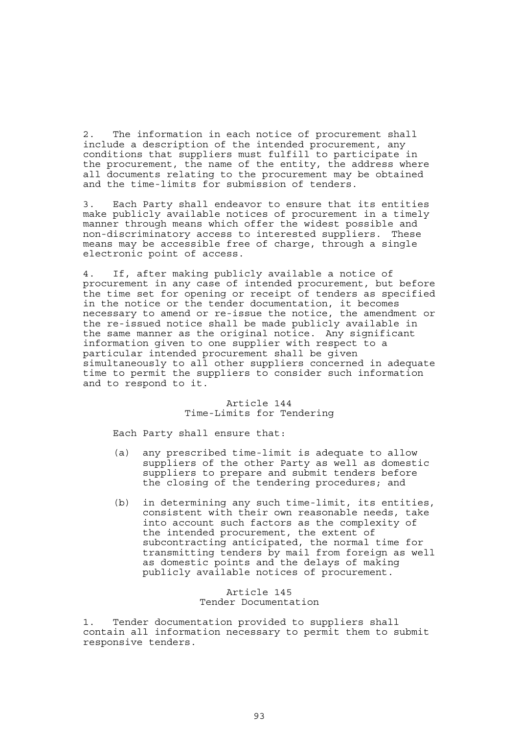2. The information in each notice of procurement shall include a description of the intended procurement, any conditions that suppliers must fulfill to participate in the procurement, the name of the entity, the address where all documents relating to the procurement may be obtained and the time-limits for submission of tenders.

3. Each Party shall endeavor to ensure that its entities make publicly available notices of procurement in a timely manner through means which offer the widest possible and non-discriminatory access to interested suppliers. These means may be accessible free of charge, through a single electronic point of access.

4. If, after making publicly available a notice of procurement in any case of intended procurement, but before the time set for opening or receipt of tenders as specified in the notice or the tender documentation, it becomes necessary to amend or re-issue the notice, the amendment or the re-issued notice shall be made publicly available in the same manner as the original notice. Any significant information given to one supplier with respect to a particular intended procurement shall be given simultaneously to all other suppliers concerned in adequate time to permit the suppliers to consider such information and to respond to it.

# Article 144 Time-Limits for Tendering

Each Party shall ensure that:

- (a) any prescribed time-limit is adequate to allow suppliers of the other Party as well as domestic suppliers to prepare and submit tenders before the closing of the tendering procedures; and
- (b) in determining any such time-limit, its entities, consistent with their own reasonable needs, take into account such factors as the complexity of the intended procurement, the extent of subcontracting anticipated, the normal time for transmitting tenders by mail from foreign as well as domestic points and the delays of making publicly available notices of procurement.

### Article 145 Tender Documentation

1. Tender documentation provided to suppliers shall contain all information necessary to permit them to submit responsive tenders.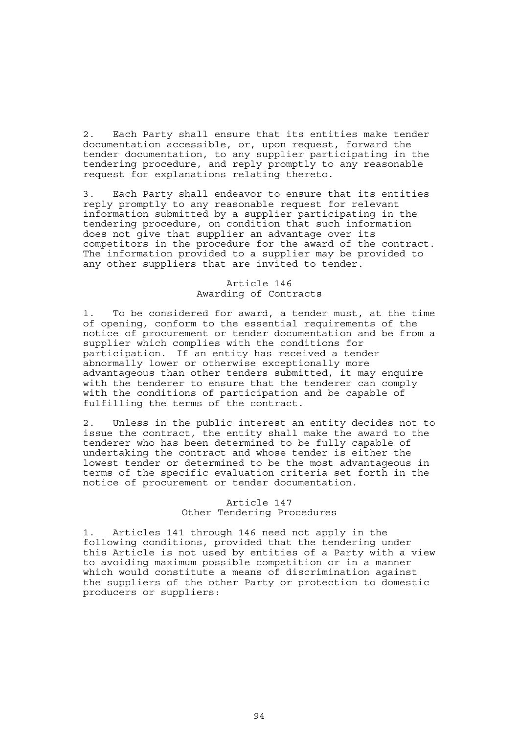2. Each Party shall ensure that its entities make tender documentation accessible, or, upon request, forward the tender documentation, to any supplier participating in the tendering procedure, and reply promptly to any reasonable request for explanations relating thereto.

3. Each Party shall endeavor to ensure that its entities reply promptly to any reasonable request for relevant information submitted by a supplier participating in the tendering procedure, on condition that such information does not give that supplier an advantage over its competitors in the procedure for the award of the contract. The information provided to a supplier may be provided to any other suppliers that are invited to tender.

# Article 146 Awarding of Contracts

1. To be considered for award, a tender must, at the time of opening, conform to the essential requirements of the notice of procurement or tender documentation and be from a supplier which complies with the conditions for participation. If an entity has received a tender abnormally lower or otherwise exceptionally more advantageous than other tenders submitted, it may enquire with the tenderer to ensure that the tenderer can comply with the conditions of participation and be capable of fulfilling the terms of the contract.

2. Unless in the public interest an entity decides not to issue the contract, the entity shall make the award to the tenderer who has been determined to be fully capable of undertaking the contract and whose tender is either the lowest tender or determined to be the most advantageous in terms of the specific evaluation criteria set forth in the notice of procurement or tender documentation.

## Article 147 Other Tendering Procedures

1. Articles 141 through 146 need not apply in the following conditions, provided that the tendering under this Article is not used by entities of a Party with a view to avoiding maximum possible competition or in a manner which would constitute a means of discrimination against the suppliers of the other Party or protection to domestic producers or suppliers: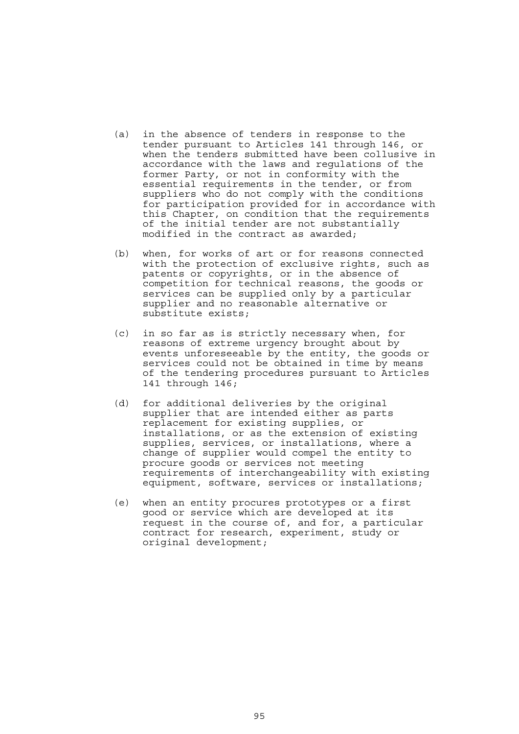- (a) in the absence of tenders in response to the tender pursuant to Articles 141 through 146, or when the tenders submitted have been collusive in accordance with the laws and regulations of the former Party, or not in conformity with the essential requirements in the tender, or from suppliers who do not comply with the conditions for participation provided for in accordance with this Chapter, on condition that the requirements of the initial tender are not substantially modified in the contract as awarded;
- (b) when, for works of art or for reasons connected with the protection of exclusive rights, such as patents or copyrights, or in the absence of competition for technical reasons, the goods or services can be supplied only by a particular supplier and no reasonable alternative or substitute exists;
- (c) in so far as is strictly necessary when, for reasons of extreme urgency brought about by events unforeseeable by the entity, the goods or services could not be obtained in time by means of the tendering procedures pursuant to Articles 141 through 146;
- (d) for additional deliveries by the original supplier that are intended either as parts replacement for existing supplies, or installations, or as the extension of existing supplies, services, or installations, where a change of supplier would compel the entity to procure goods or services not meeting requirements of interchangeability with existing equipment, software, services or installations;
- (e) when an entity procures prototypes or a first good or service which are developed at its request in the course of, and for, a particular contract for research, experiment, study or original development;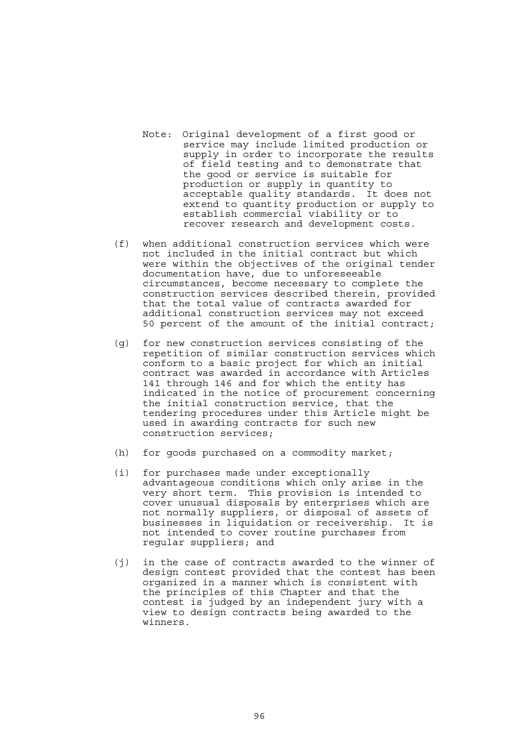- Note: Original development of a first good or service may include limited production or supply in order to incorporate the results of field testing and to demonstrate that the good or service is suitable for production or supply in quantity to acceptable quality standards. It does not extend to quantity production or supply to establish commercial viability or to recover research and development costs.
- (f) when additional construction services which were not included in the initial contract but which were within the objectives of the original tender documentation have, due to unforeseeable circumstances, become necessary to complete the construction services described therein, provided that the total value of contracts awarded for additional construction services may not exceed 50 percent of the amount of the initial contract;
- (g) for new construction services consisting of the repetition of similar construction services which conform to a basic project for which an initial contract was awarded in accordance with Articles 141 through 146 and for which the entity has indicated in the notice of procurement concerning the initial construction service, that the tendering procedures under this Article might be used in awarding contracts for such new construction services;
- (h) for goods purchased on a commodity market;
- (i) for purchases made under exceptionally advantageous conditions which only arise in the very short term. This provision is intended to cover unusual disposals by enterprises which are not normally suppliers, or disposal of assets of businesses in liquidation or receivership. It is not intended to cover routine purchases from regular suppliers; and
- (j) in the case of contracts awarded to the winner of design contest provided that the contest has been organized in a manner which is consistent with the principles of this Chapter and that the contest is judged by an independent jury with a view to design contracts being awarded to the winners.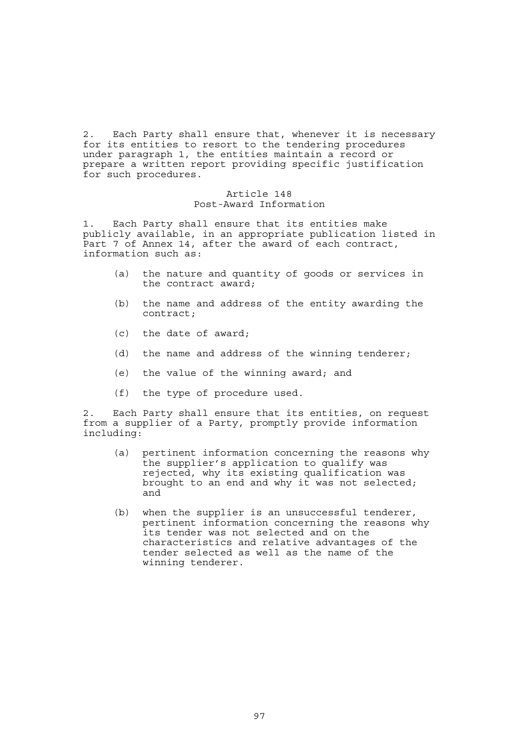2. Each Party shall ensure that, whenever it is necessary for its entities to resort to the tendering procedures under paragraph 1, the entities maintain a record or prepare a written report providing specific justification for such procedures.

### Article 148 Post-Award Information

1. Each Party shall ensure that its entities make publicly available, in an appropriate publication listed in Part 7 of Annex 14, after the award of each contract, information such as:

- (a) the nature and quantity of goods or services in the contract award;
- (b) the name and address of the entity awarding the contract;
- (c) the date of award;
- (d) the name and address of the winning tenderer;
- (e) the value of the winning award; and
- (f) the type of procedure used.

2. Each Party shall ensure that its entities, on request from a supplier of a Party, promptly provide information including:

- (a) pertinent information concerning the reasons why the supplier's application to qualify was rejected, why its existing qualification was brought to an end and why it was not selected; and
- (b) when the supplier is an unsuccessful tenderer, pertinent information concerning the reasons why its tender was not selected and on the characteristics and relative advantages of the tender selected as well as the name of the winning tenderer.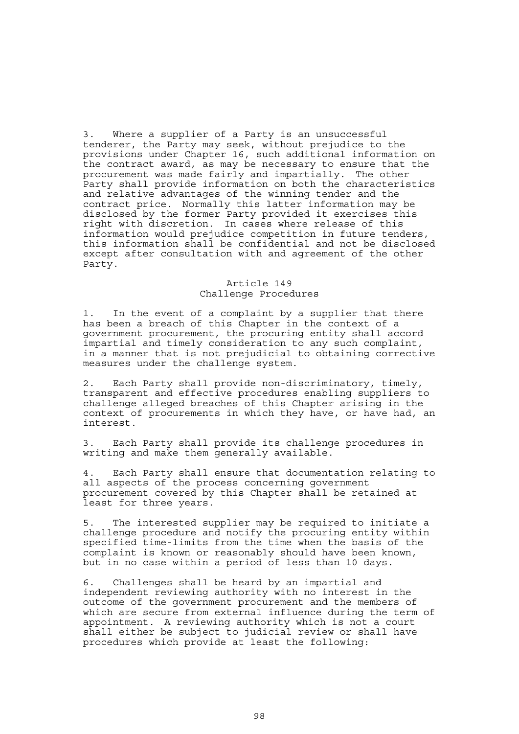3. Where a supplier of a Party is an unsuccessful tenderer, the Party may seek, without prejudice to the provisions under Chapter 16, such additional information on the contract award, as may be necessary to ensure that the procurement was made fairly and impartially. The other Party shall provide information on both the characteristics and relative advantages of the winning tender and the contract price. Normally this latter information may be disclosed by the former Party provided it exercises this right with discretion. In cases where release of this information would prejudice competition in future tenders, this information shall be confidential and not be disclosed except after consultation with and agreement of the other Party.

## Article 149 Challenge Procedures

1. In the event of a complaint by a supplier that there has been a breach of this Chapter in the context of a government procurement, the procuring entity shall accord impartial and timely consideration to any such complaint, in a manner that is not prejudicial to obtaining corrective measures under the challenge system.

2. Each Party shall provide non-discriminatory, timely, transparent and effective procedures enabling suppliers to challenge alleged breaches of this Chapter arising in the context of procurements in which they have, or have had, an interest.

3. Each Party shall provide its challenge procedures in writing and make them generally available.

4. Each Party shall ensure that documentation relating to all aspects of the process concerning government procurement covered by this Chapter shall be retained at least for three years.

5. The interested supplier may be required to initiate a challenge procedure and notify the procuring entity within specified time-limits from the time when the basis of the complaint is known or reasonably should have been known, but in no case within a period of less than 10 days.

6. Challenges shall be heard by an impartial and independent reviewing authority with no interest in the outcome of the government procurement and the members of which are secure from external influence during the term of appointment. A reviewing authority which is not a court shall either be subject to judicial review or shall have procedures which provide at least the following: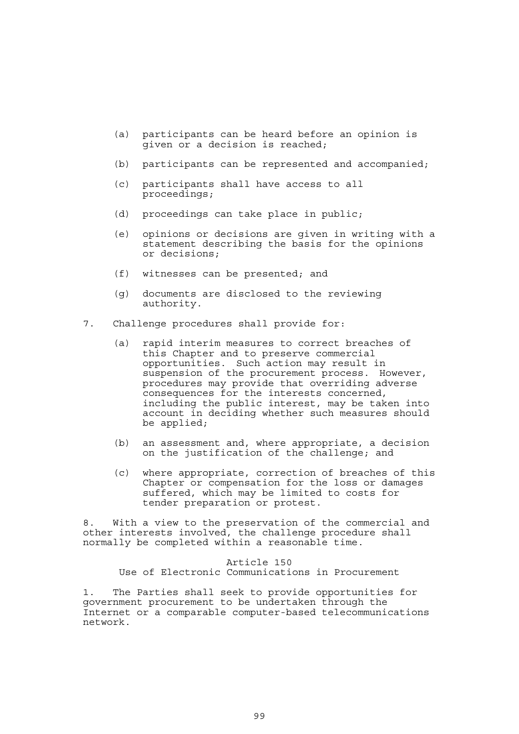- (a) participants can be heard before an opinion is given or a decision is reached;
- (b) participants can be represented and accompanied;
- (c) participants shall have access to all proceedings;
- (d) proceedings can take place in public;
- (e) opinions or decisions are given in writing with a statement describing the basis for the opinions or decisions;
- (f) witnesses can be presented; and
- (g) documents are disclosed to the reviewing authority.
- 7. Challenge procedures shall provide for:
	- (a) rapid interim measures to correct breaches of this Chapter and to preserve commercial opportunities. Such action may result in suspension of the procurement process. However, procedures may provide that overriding adverse consequences for the interests concerned, including the public interest, may be taken into account in deciding whether such measures should be applied;
	- (b) an assessment and, where appropriate, a decision on the justification of the challenge; and
	- (c) where appropriate, correction of breaches of this Chapter or compensation for the loss or damages suffered, which may be limited to costs for tender preparation or protest.

8. With a view to the preservation of the commercial and other interests involved, the challenge procedure shall normally be completed within a reasonable time.

> Article 150 Use of Electronic Communications in Procurement

1. The Parties shall seek to provide opportunities for government procurement to be undertaken through the Internet or a comparable computer-based telecommunications network.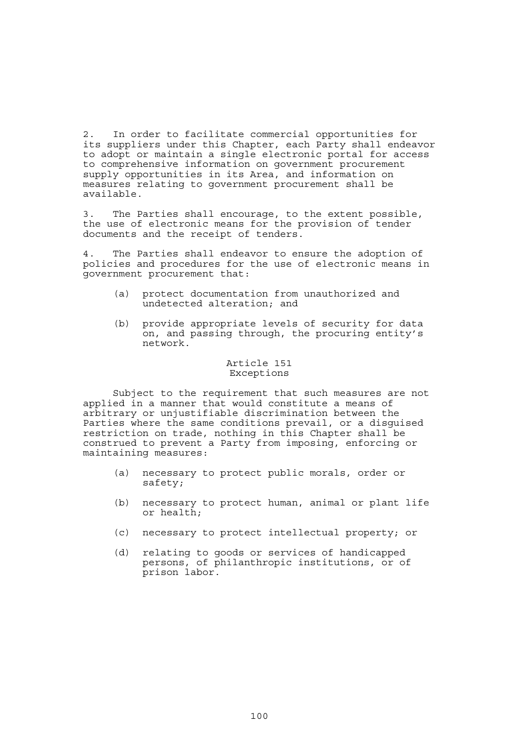2. In order to facilitate commercial opportunities for its suppliers under this Chapter, each Party shall endeavor to adopt or maintain a single electronic portal for access to comprehensive information on government procurement supply opportunities in its Area, and information on measures relating to government procurement shall be available.

3. The Parties shall encourage, to the extent possible, the use of electronic means for the provision of tender documents and the receipt of tenders.

4. The Parties shall endeavor to ensure the adoption of policies and procedures for the use of electronic means in government procurement that:

- (a) protect documentation from unauthorized and undetected alteration; and
- (b) provide appropriate levels of security for data on, and passing through, the procuring entity's network.

### Article 151 Exceptions

 Subject to the requirement that such measures are not applied in a manner that would constitute a means of arbitrary or unjustifiable discrimination between the Parties where the same conditions prevail, or a disguised restriction on trade, nothing in this Chapter shall be construed to prevent a Party from imposing, enforcing or maintaining measures:

- (a) necessary to protect public morals, order or safety;
- (b) necessary to protect human, animal or plant life or health;
- (c) necessary to protect intellectual property; or
- (d) relating to goods or services of handicapped persons, of philanthropic institutions, or of prison labor.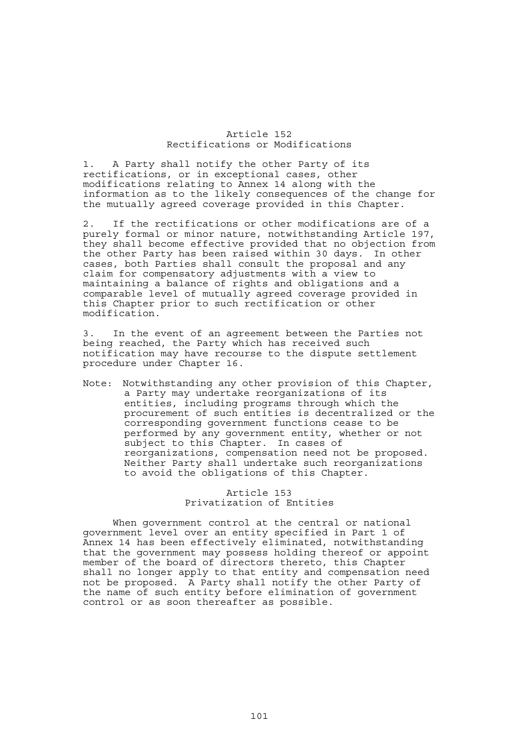#### Article 152 Rectifications or Modifications

1. A Party shall notify the other Party of its rectifications, or in exceptional cases, other modifications relating to Annex 14 along with the information as to the likely consequences of the change for the mutually agreed coverage provided in this Chapter.

2. If the rectifications or other modifications are of a purely formal or minor nature, notwithstanding Article 197, they shall become effective provided that no objection from the other Party has been raised within 30 days. In other cases, both Parties shall consult the proposal and any claim for compensatory adjustments with a view to maintaining a balance of rights and obligations and a comparable level of mutually agreed coverage provided in this Chapter prior to such rectification or other modification.

3. In the event of an agreement between the Parties not being reached, the Party which has received such notification may have recourse to the dispute settlement procedure under Chapter 16.

Note: Notwithstanding any other provision of this Chapter, a Party may undertake reorganizations of its entities, including programs through which the procurement of such entities is decentralized or the corresponding government functions cease to be performed by any government entity, whether or not subject to this Chapter. In cases of reorganizations, compensation need not be proposed. Neither Party shall undertake such reorganizations to avoid the obligations of this Chapter.

# Article 153 Privatization of Entities

 When government control at the central or national government level over an entity specified in Part 1 of Annex 14 has been effectively eliminated, notwithstanding that the government may possess holding thereof or appoint member of the board of directors thereto, this Chapter shall no longer apply to that entity and compensation need not be proposed. A Party shall notify the other Party of the name of such entity before elimination of government control or as soon thereafter as possible.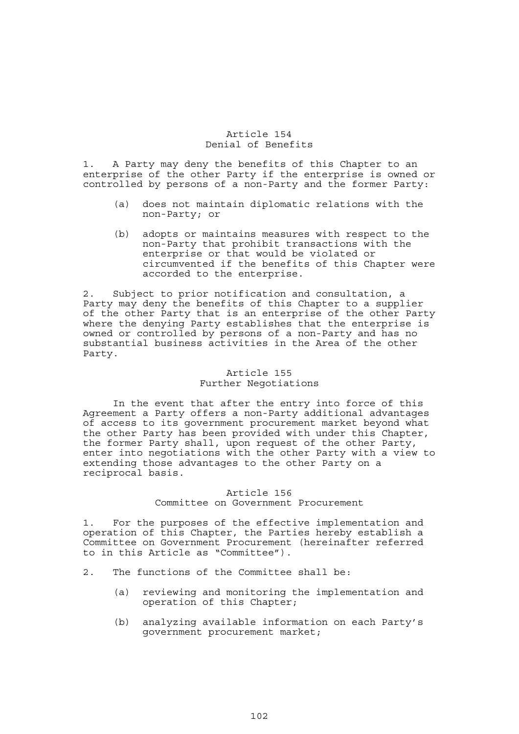### Article 154 Denial of Benefits

1. A Party may deny the benefits of this Chapter to an enterprise of the other Party if the enterprise is owned or controlled by persons of a non-Party and the former Party:

- (a) does not maintain diplomatic relations with the non-Party; or
- (b) adopts or maintains measures with respect to the non-Party that prohibit transactions with the enterprise or that would be violated or circumvented if the benefits of this Chapter were accorded to the enterprise.

2. Subject to prior notification and consultation, a Party may deny the benefits of this Chapter to a supplier of the other Party that is an enterprise of the other Party where the denying Party establishes that the enterprise is owned or controlled by persons of a non-Party and has no substantial business activities in the Area of the other Party.

#### Article 155 Further Negotiations

 In the event that after the entry into force of this Agreement a Party offers a non-Party additional advantages of access to its government procurement market beyond what the other Party has been provided with under this Chapter, the former Party shall, upon request of the other Party, enter into negotiations with the other Party with a view to extending those advantages to the other Party on a reciprocal basis.

# Article 156

# Committee on Government Procurement

1. For the purposes of the effective implementation and operation of this Chapter, the Parties hereby establish a Committee on Government Procurement (hereinafter referred to in this Article as "Committee").

- 2. The functions of the Committee shall be:
	- (a) reviewing and monitoring the implementation and operation of this Chapter;
	- (b) analyzing available information on each Party's government procurement market;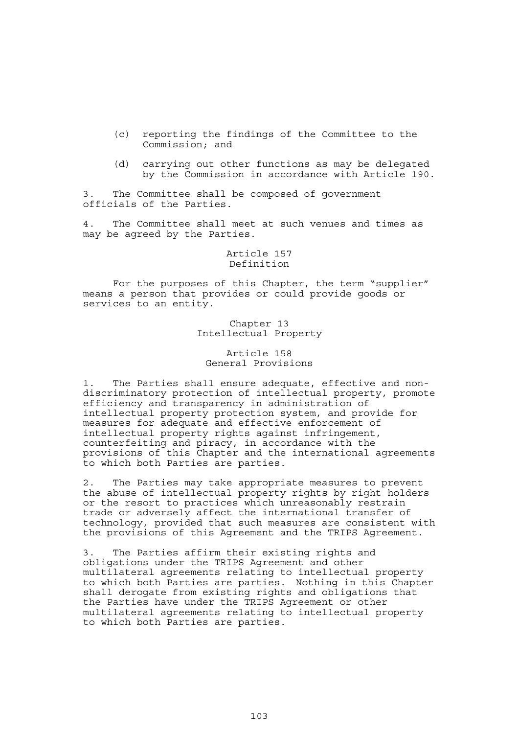- (c) reporting the findings of the Committee to the Commission; and
- (d) carrying out other functions as may be delegated by the Commission in accordance with Article 190.

3. The Committee shall be composed of government officials of the Parties.

4. The Committee shall meet at such venues and times as may be agreed by the Parties.

### Article 157 Definition

 For the purposes of this Chapter, the term "supplier" means a person that provides or could provide goods or services to an entity.

> Chapter 13 Intellectual Property

# Article 158 General Provisions

1. The Parties shall ensure adequate, effective and nondiscriminatory protection of intellectual property, promote efficiency and transparency in administration of intellectual property protection system, and provide for measures for adequate and effective enforcement of intellectual property rights against infringement, counterfeiting and piracy, in accordance with the provisions of this Chapter and the international agreements to which both Parties are parties.

2. The Parties may take appropriate measures to prevent the abuse of intellectual property rights by right holders or the resort to practices which unreasonably restrain trade or adversely affect the international transfer of technology, provided that such measures are consistent with the provisions of this Agreement and the TRIPS Agreement.

3. The Parties affirm their existing rights and obligations under the TRIPS Agreement and other multilateral agreements relating to intellectual property to which both Parties are parties. Nothing in this Chapter shall derogate from existing rights and obligations that the Parties have under the TRIPS Agreement or other multilateral agreements relating to intellectual property to which both Parties are parties.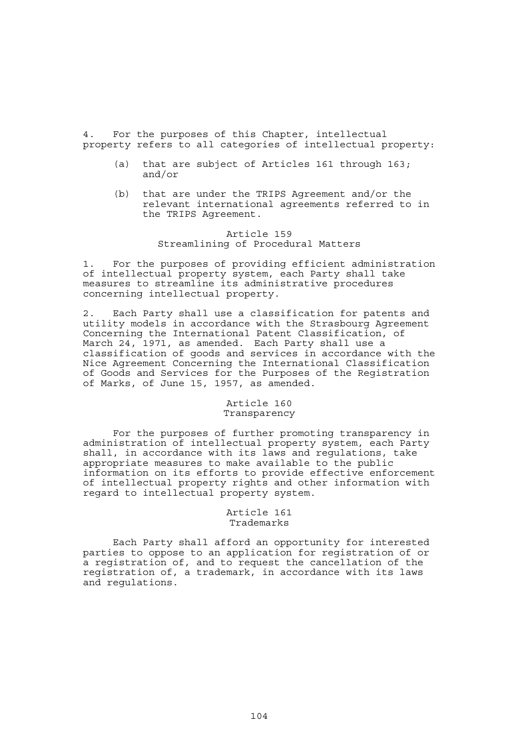4. For the purposes of this Chapter, intellectual property refers to all categories of intellectual property:

- (a) that are subject of Articles 161 through 163; and/or
- (b) that are under the TRIPS Agreement and/or the relevant international agreements referred to in the TRIPS Agreement.

# Article 159 Streamlining of Procedural Matters

1. For the purposes of providing efficient administration of intellectual property system, each Party shall take measures to streamline its administrative procedures concerning intellectual property.

2. Each Party shall use a classification for patents and utility models in accordance with the Strasbourg Agreement Concerning the International Patent Classification, of March 24, 1971, as amended. Each Party shall use a classification of goods and services in accordance with the Nice Agreement Concerning the International Classification of Goods and Services for the Purposes of the Registration of Marks, of June 15, 1957, as amended.

# Article 160 Transparency

 For the purposes of further promoting transparency in administration of intellectual property system, each Party shall, in accordance with its laws and regulations, take appropriate measures to make available to the public information on its efforts to provide effective enforcement of intellectual property rights and other information with regard to intellectual property system.

# Article 161 Trademarks

 Each Party shall afford an opportunity for interested parties to oppose to an application for registration of or a registration of, and to request the cancellation of the registration of, a trademark, in accordance with its laws and regulations.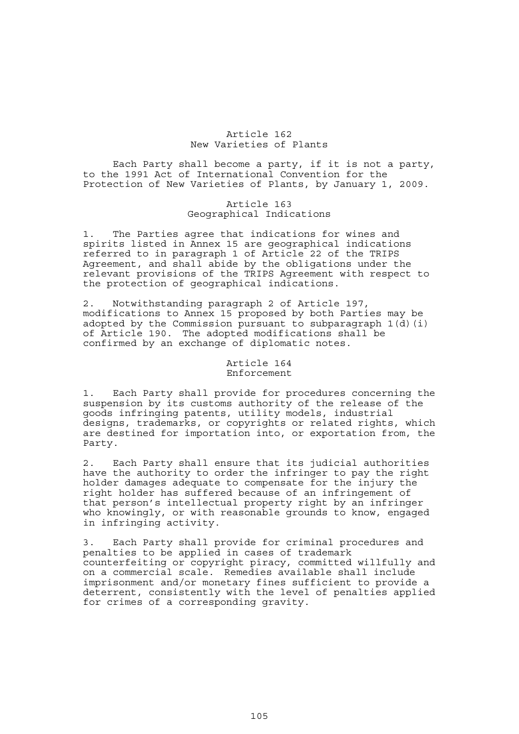### Article 162 New Varieties of Plants

 Each Party shall become a party, if it is not a party, to the 1991 Act of International Convention for the Protection of New Varieties of Plants, by January 1, 2009.

# Article 163 Geographical Indications

1. The Parties agree that indications for wines and spirits listed in Annex 15 are geographical indications referred to in paragraph 1 of Article 22 of the TRIPS Agreement, and shall abide by the obligations under the relevant provisions of the TRIPS Agreement with respect to the protection of geographical indications.

2. Notwithstanding paragraph 2 of Article 197, modifications to Annex 15 proposed by both Parties may be adopted by the Commission pursuant to subparagraph 1(d)(i) of Article 190. The adopted modifications shall be confirmed by an exchange of diplomatic notes.

#### Article 164 Enforcement

1. Each Party shall provide for procedures concerning the suspension by its customs authority of the release of the goods infringing patents, utility models, industrial designs, trademarks, or copyrights or related rights, which are destined for importation into, or exportation from, the Party.

2. Each Party shall ensure that its judicial authorities have the authority to order the infringer to pay the right holder damages adequate to compensate for the injury the right holder has suffered because of an infringement of that person's intellectual property right by an infringer who knowingly, or with reasonable grounds to know, engaged in infringing activity.

3. Each Party shall provide for criminal procedures and penalties to be applied in cases of trademark counterfeiting or copyright piracy, committed willfully and on a commercial scale. Remedies available shall include imprisonment and/or monetary fines sufficient to provide a deterrent, consistently with the level of penalties applied for crimes of a corresponding gravity.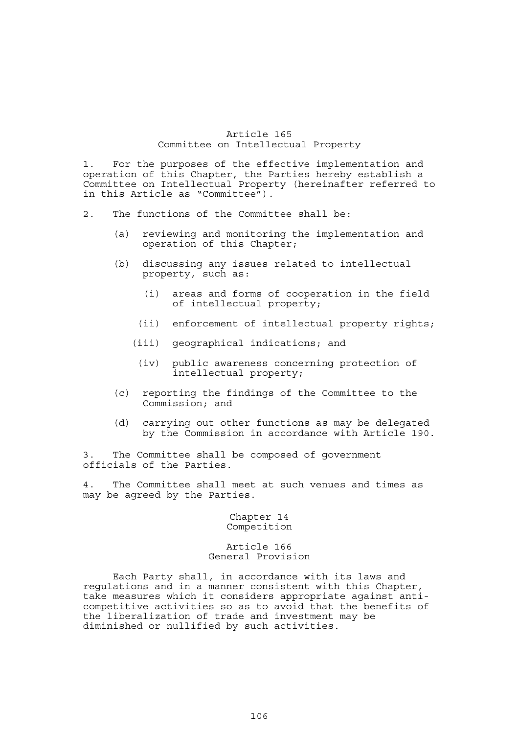### Article 165 Committee on Intellectual Property

1. For the purposes of the effective implementation and operation of this Chapter, the Parties hereby establish a Committee on Intellectual Property (hereinafter referred to in this Article as "Committee").

- 2. The functions of the Committee shall be:
	- (a) reviewing and monitoring the implementation and operation of this Chapter;
	- (b) discussing any issues related to intellectual property, such as:
		- (i) areas and forms of cooperation in the field of intellectual property;
		- (ii) enforcement of intellectual property rights;
		- (iii) geographical indications; and
			- (iv) public awareness concerning protection of intellectual property;
	- (c) reporting the findings of the Committee to the Commission; and
	- (d) carrying out other functions as may be delegated by the Commission in accordance with Article 190.

3. The Committee shall be composed of government officials of the Parties.

4. The Committee shall meet at such venues and times as may be agreed by the Parties.

> Chapter 14 Competition

Article 166 General Provision

 Each Party shall, in accordance with its laws and regulations and in a manner consistent with this Chapter, take measures which it considers appropriate against anticompetitive activities so as to avoid that the benefits of the liberalization of trade and investment may be diminished or nullified by such activities.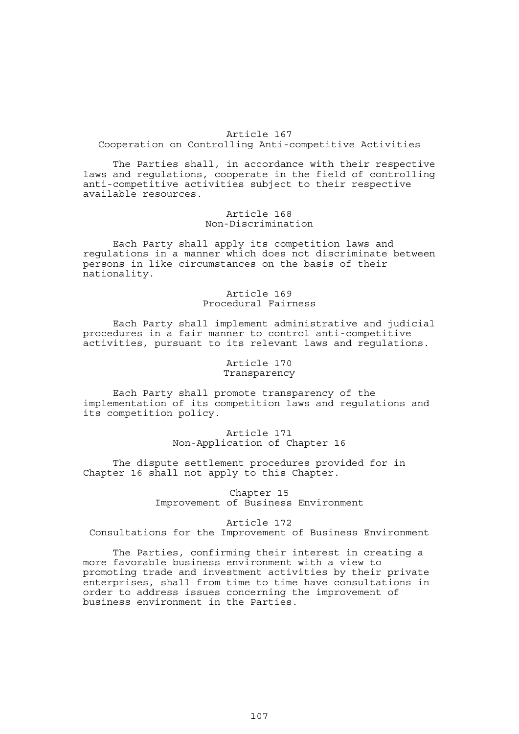# Article 167 Cooperation on Controlling Anti-competitive Activities

 The Parties shall, in accordance with their respective laws and regulations, cooperate in the field of controlling anti-competitive activities subject to their respective available resources.

## Article 168 Non-Discrimination

 Each Party shall apply its competition laws and regulations in a manner which does not discriminate between persons in like circumstances on the basis of their nationality.

# Article 169 Procedural Fairness

 Each Party shall implement administrative and judicial procedures in a fair manner to control anti-competitive activities, pursuant to its relevant laws and regulations.

### Article 170 Transparency

 Each Party shall promote transparency of the implementation of its competition laws and regulations and its competition policy.

# Article 171 Non-Application of Chapter 16

 The dispute settlement procedures provided for in Chapter 16 shall not apply to this Chapter.

> Chapter 15 Improvement of Business Environment

#### Article 172 Consultations for the Improvement of Business Environment

 The Parties, confirming their interest in creating a more favorable business environment with a view to promoting trade and investment activities by their private enterprises, shall from time to time have consultations in order to address issues concerning the improvement of business environment in the Parties.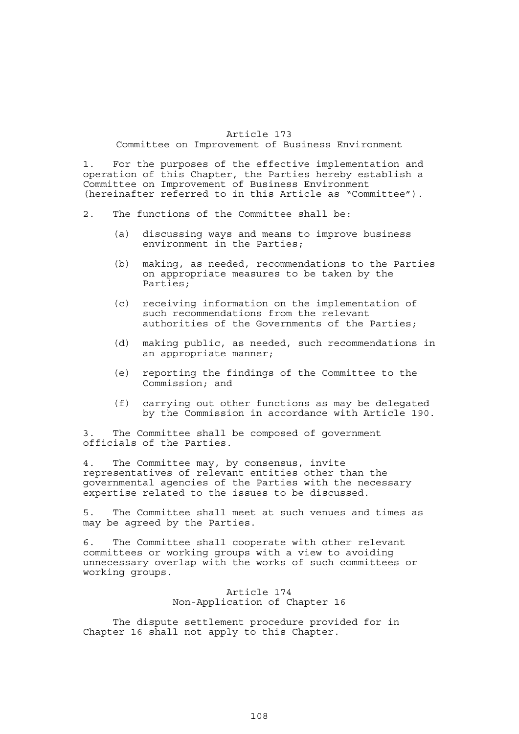### Article 173 Committee on Improvement of Business Environment

1. For the purposes of the effective implementation and operation of this Chapter, the Parties hereby establish a Committee on Improvement of Business Environment (hereinafter referred to in this Article as "Committee").

- 2. The functions of the Committee shall be:
	- (a) discussing ways and means to improve business environment in the Parties;
	- (b) making, as needed, recommendations to the Parties on appropriate measures to be taken by the Parties;
	- (c) receiving information on the implementation of such recommendations from the relevant authorities of the Governments of the Parties;
	- (d) making public, as needed, such recommendations in an appropriate manner;
	- (e) reporting the findings of the Committee to the Commission; and
	- (f) carrying out other functions as may be delegated by the Commission in accordance with Article 190.

3. The Committee shall be composed of government officials of the Parties.

4. The Committee may, by consensus, invite representatives of relevant entities other than the governmental agencies of the Parties with the necessary expertise related to the issues to be discussed.

5. The Committee shall meet at such venues and times as may be agreed by the Parties.

6. The Committee shall cooperate with other relevant committees or working groups with a view to avoiding unnecessary overlap with the works of such committees or working groups.

#### Article 174 Non-Application of Chapter 16

 The dispute settlement procedure provided for in Chapter 16 shall not apply to this Chapter.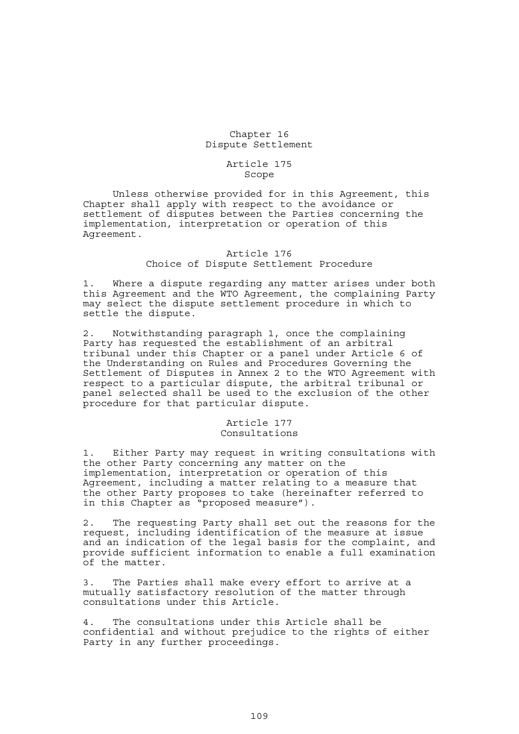# Chapter 16 Dispute Settlement

#### Article 175 Scope

 Unless otherwise provided for in this Agreement, this Chapter shall apply with respect to the avoidance or settlement of disputes between the Parties concerning the implementation, interpretation or operation of this Agreement.

#### Article 176 Choice of Dispute Settlement Procedure

1. Where a dispute regarding any matter arises under both this Agreement and the WTO Agreement, the complaining Party may select the dispute settlement procedure in which to settle the dispute.

2. Notwithstanding paragraph 1, once the complaining Party has requested the establishment of an arbitral tribunal under this Chapter or a panel under Article 6 of the Understanding on Rules and Procedures Governing the Settlement of Disputes in Annex 2 to the WTO Agreement with respect to a particular dispute, the arbitral tribunal or panel selected shall be used to the exclusion of the other procedure for that particular dispute.

#### Article 177 Consultations

1. Either Party may request in writing consultations with the other Party concerning any matter on the implementation, interpretation or operation of this Agreement, including a matter relating to a measure that the other Party proposes to take (hereinafter referred to in this Chapter as "proposed measure").

2. The requesting Party shall set out the reasons for the request, including identification of the measure at issue and an indication of the legal basis for the complaint, and provide sufficient information to enable a full examination of the matter.

3. The Parties shall make every effort to arrive at a mutually satisfactory resolution of the matter through consultations under this Article.

4. The consultations under this Article shall be confidential and without prejudice to the rights of either Party in any further proceedings.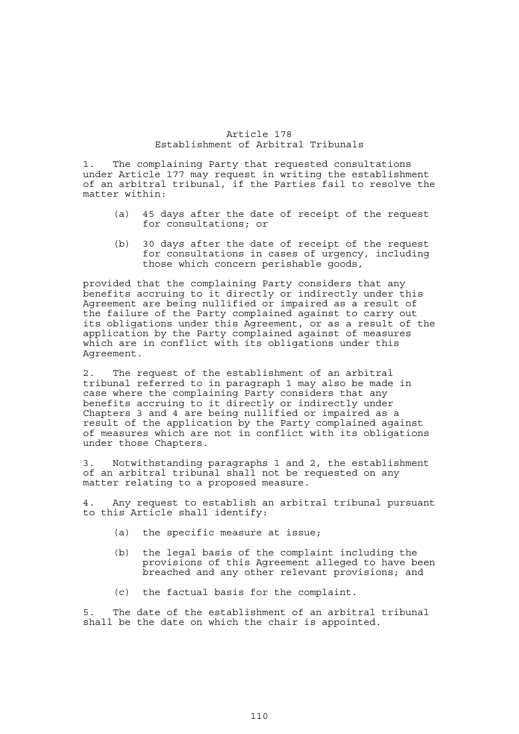## Article 178 Establishment of Arbitral Tribunals

1. The complaining Party that requested consultations under Article 177 may request in writing the establishment of an arbitral tribunal, if the Parties fail to resolve the matter within:

- (a) 45 days after the date of receipt of the request for consultations; or
- (b) 30 days after the date of receipt of the request for consultations in cases of urgency, including those which concern perishable goods,

provided that the complaining Party considers that any benefits accruing to it directly or indirectly under this Agreement are being nullified or impaired as a result of the failure of the Party complained against to carry out its obligations under this Agreement, or as a result of the application by the Party complained against of measures which are in conflict with its obligations under this Agreement.

2. The request of the establishment of an arbitral tribunal referred to in paragraph 1 may also be made in case where the complaining Party considers that any benefits accruing to it directly or indirectly under Chapters 3 and 4 are being nullified or impaired as a result of the application by the Party complained against of measures which are not in conflict with its obligations under those Chapters.

3. Notwithstanding paragraphs 1 and 2, the establishment of an arbitral tribunal shall not be requested on any matter relating to a proposed measure.

4. Any request to establish an arbitral tribunal pursuant to this Article shall identify:

- (a) the specific measure at issue;
- (b) the legal basis of the complaint including the provisions of this Agreement alleged to have been breached and any other relevant provisions; and
- (c) the factual basis for the complaint.

5. The date of the establishment of an arbitral tribunal shall be the date on which the chair is appointed.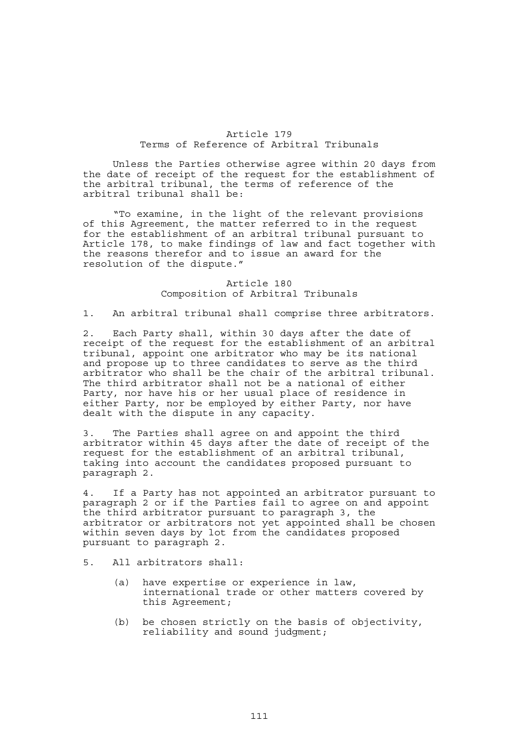#### Article 179 Terms of Reference of Arbitral Tribunals

 Unless the Parties otherwise agree within 20 days from the date of receipt of the request for the establishment of the arbitral tribunal, the terms of reference of the arbitral tribunal shall be:

 "To examine, in the light of the relevant provisions of this Agreement, the matter referred to in the request for the establishment of an arbitral tribunal pursuant to Article 178, to make findings of law and fact together with the reasons therefor and to issue an award for the resolution of the dispute."

### Article 180 Composition of Arbitral Tribunals

1. An arbitral tribunal shall comprise three arbitrators.

2. Each Party shall, within 30 days after the date of receipt of the request for the establishment of an arbitral tribunal, appoint one arbitrator who may be its national and propose up to three candidates to serve as the third arbitrator who shall be the chair of the arbitral tribunal. The third arbitrator shall not be a national of either Party, nor have his or her usual place of residence in either Party, nor be employed by either Party, nor have dealt with the dispute in any capacity.

3. The Parties shall agree on and appoint the third arbitrator within 45 days after the date of receipt of the request for the establishment of an arbitral tribunal, taking into account the candidates proposed pursuant to paragraph 2.

4. If a Party has not appointed an arbitrator pursuant to paragraph 2 or if the Parties fail to agree on and appoint the third arbitrator pursuant to paragraph 3, the arbitrator or arbitrators not yet appointed shall be chosen within seven days by lot from the candidates proposed pursuant to paragraph 2.

5. All arbitrators shall:

- (a) have expertise or experience in law, international trade or other matters covered by this Agreement;
- (b) be chosen strictly on the basis of objectivity, reliability and sound judgment;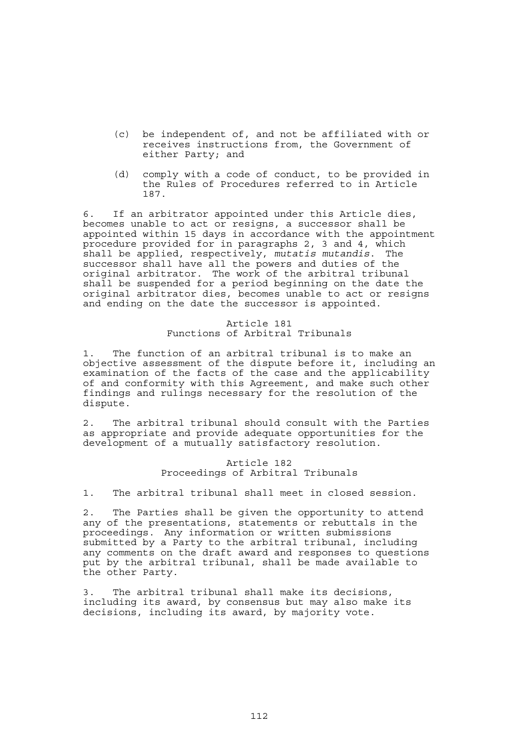- (c) be independent of, and not be affiliated with or receives instructions from, the Government of either Party; and
- (d) comply with a code of conduct, to be provided in the Rules of Procedures referred to in Article 187.

6. If an arbitrator appointed under this Article dies, becomes unable to act or resigns, a successor shall be appointed within 15 days in accordance with the appointment procedure provided for in paragraphs 2, 3 and 4, which shall be applied, respectively, *mutatis mutandis*. The successor shall have all the powers and duties of the original arbitrator. The work of the arbitral tribunal shall be suspended for a period beginning on the date the original arbitrator dies, becomes unable to act or resigns and ending on the date the successor is appointed.

## Article 181 Functions of Arbitral Tribunals

1. The function of an arbitral tribunal is to make an objective assessment of the dispute before it, including an examination of the facts of the case and the applicability of and conformity with this Agreement, and make such other findings and rulings necessary for the resolution of the dispute.

2. The arbitral tribunal should consult with the Parties as appropriate and provide adequate opportunities for the development of a mutually satisfactory resolution.

## Article 182 Proceedings of Arbitral Tribunals

1. The arbitral tribunal shall meet in closed session.

2. The Parties shall be given the opportunity to attend any of the presentations, statements or rebuttals in the proceedings. Any information or written submissions submitted by a Party to the arbitral tribunal, including any comments on the draft award and responses to questions put by the arbitral tribunal, shall be made available to the other Party.

3. The arbitral tribunal shall make its decisions, including its award, by consensus but may also make its decisions, including its award, by majority vote.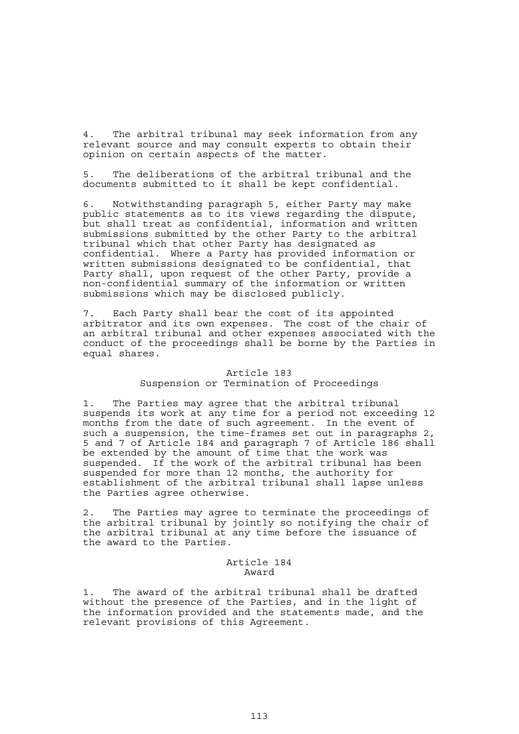4. The arbitral tribunal may seek information from any relevant source and may consult experts to obtain their opinion on certain aspects of the matter.

5. The deliberations of the arbitral tribunal and the documents submitted to it shall be kept confidential.

6. Notwithstanding paragraph 5, either Party may make public statements as to its views regarding the dispute, but shall treat as confidential, information and written submissions submitted by the other Party to the arbitral tribunal which that other Party has designated as confidential. Where a Party has provided information or written submissions designated to be confidential, that Party shall, upon request of the other Party, provide a non-confidential summary of the information or written submissions which may be disclosed publicly.

7. Each Party shall bear the cost of its appointed arbitrator and its own expenses. The cost of the chair of an arbitral tribunal and other expenses associated with the conduct of the proceedings shall be borne by the Parties in equal shares.

#### Article 183

#### Suspension or Termination of Proceedings

1. The Parties may agree that the arbitral tribunal suspends its work at any time for a period not exceeding 12 months from the date of such agreement. In the event of such a suspension, the time-frames set out in paragraphs 2, 5 and 7 of Article 184 and paragraph 7 of Article 186 shall be extended by the amount of time that the work was suspended. If the work of the arbitral tribunal has been suspended for more than 12 months, the authority for establishment of the arbitral tribunal shall lapse unless the Parties agree otherwise.

2. The Parties may agree to terminate the proceedings of the arbitral tribunal by jointly so notifying the chair of the arbitral tribunal at any time before the issuance of the award to the Parties.

#### Article 184 Award

1. The award of the arbitral tribunal shall be drafted without the presence of the Parties, and in the light of the information provided and the statements made, and the relevant provisions of this Agreement.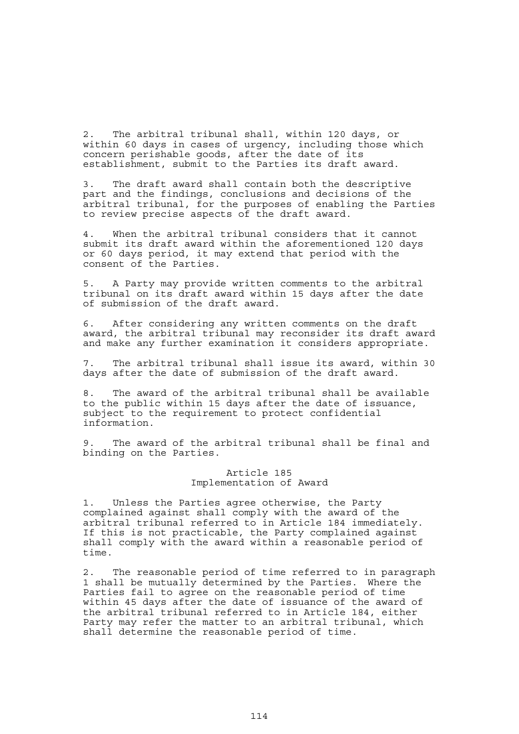2. The arbitral tribunal shall, within 120 days, or within 60 days in cases of urgency, including those which concern perishable goods, after the date of its establishment, submit to the Parties its draft award.

3. The draft award shall contain both the descriptive part and the findings, conclusions and decisions of the arbitral tribunal, for the purposes of enabling the Parties to review precise aspects of the draft award.

4. When the arbitral tribunal considers that it cannot submit its draft award within the aforementioned 120 days or 60 days period, it may extend that period with the consent of the Parties.

5. A Party may provide written comments to the arbitral tribunal on its draft award within 15 days after the date of submission of the draft award.

6. After considering any written comments on the draft award, the arbitral tribunal may reconsider its draft award and make any further examination it considers appropriate.

7. The arbitral tribunal shall issue its award, within 30 days after the date of submission of the draft award.

8. The award of the arbitral tribunal shall be available to the public within 15 days after the date of issuance, subject to the requirement to protect confidential information.

9. The award of the arbitral tribunal shall be final and binding on the Parties.

### Article 185 Implementation of Award

1. Unless the Parties agree otherwise, the Party complained against shall comply with the award of the arbitral tribunal referred to in Article 184 immediately. If this is not practicable, the Party complained against shall comply with the award within a reasonable period of time.

2. The reasonable period of time referred to in paragraph 1 shall be mutually determined by the Parties. Where the Parties fail to agree on the reasonable period of time within 45 days after the date of issuance of the award of the arbitral tribunal referred to in Article 184, either Party may refer the matter to an arbitral tribunal, which shall determine the reasonable period of time.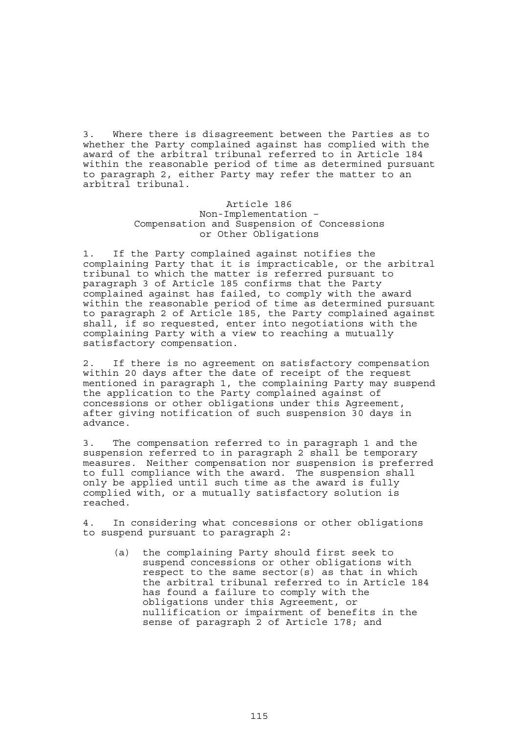3. Where there is disagreement between the Parties as to whether the Party complained against has complied with the award of the arbitral tribunal referred to in Article 184 within the reasonable period of time as determined pursuant to paragraph 2, either Party may refer the matter to an arbitral tribunal.

## Article 186 Non-Implementation – Compensation and Suspension of Concessions or Other Obligations

1. If the Party complained against notifies the complaining Party that it is impracticable, or the arbitral tribunal to which the matter is referred pursuant to paragraph 3 of Article 185 confirms that the Party complained against has failed, to comply with the award within the reasonable period of time as determined pursuant to paragraph 2 of Article 185, the Party complained against shall, if so requested, enter into negotiations with the complaining Party with a view to reaching a mutually satisfactory compensation.

2. If there is no agreement on satisfactory compensation within 20 days after the date of receipt of the request mentioned in paragraph 1, the complaining Party may suspend the application to the Party complained against of concessions or other obligations under this Agreement, after giving notification of such suspension 30 days in advance.

3. The compensation referred to in paragraph 1 and the suspension referred to in paragraph 2 shall be temporary measures. Neither compensation nor suspension is preferred to full compliance with the award. The suspension shall only be applied until such time as the award is fully complied with, or a mutually satisfactory solution is reached.

4. In considering what concessions or other obligations to suspend pursuant to paragraph 2:

 (a) the complaining Party should first seek to suspend concessions or other obligations with respect to the same sector(s) as that in which the arbitral tribunal referred to in Article 184 has found a failure to comply with the obligations under this Agreement, or nullification or impairment of benefits in the sense of paragraph 2 of Article 178; and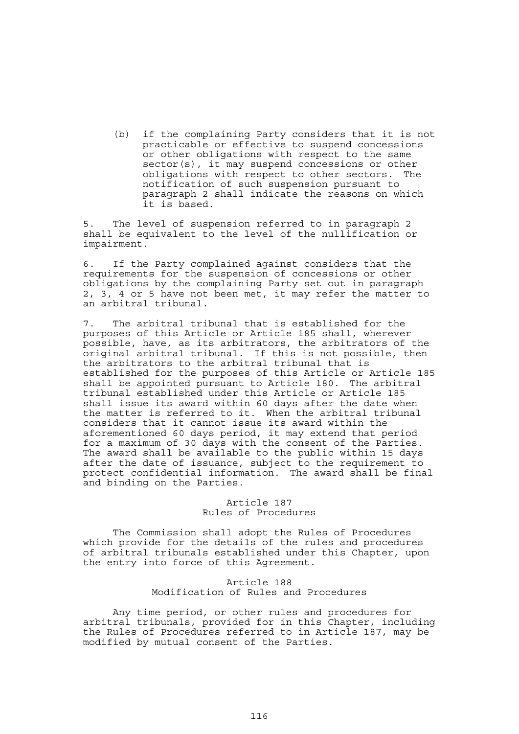(b) if the complaining Party considers that it is not practicable or effective to suspend concessions or other obligations with respect to the same sector(s), it may suspend concessions or other obligations with respect to other sectors. The notification of such suspension pursuant to paragraph 2 shall indicate the reasons on which it is based.

5. The level of suspension referred to in paragraph 2 shall be equivalent to the level of the nullification or impairment.

6. If the Party complained against considers that the requirements for the suspension of concessions or other obligations by the complaining Party set out in paragraph 2, 3, 4 or 5 have not been met, it may refer the matter to an arbitral tribunal.

7. The arbitral tribunal that is established for the purposes of this Article or Article 185 shall, wherever possible, have, as its arbitrators, the arbitrators of the original arbitral tribunal. If this is not possible, then the arbitrators to the arbitral tribunal that is established for the purposes of this Article or Article 185 shall be appointed pursuant to Article 180. The arbitral tribunal established under this Article or Article 185 shall issue its award within 60 days after the date when the matter is referred to it. When the arbitral tribunal considers that it cannot issue its award within the aforementioned 60 days period, it may extend that period for a maximum of 30 days with the consent of the Parties. The award shall be available to the public within 15 days after the date of issuance, subject to the requirement to protect confidential information. The award shall be final and binding on the Parties.

# Article 187 Rules of Procedures

 The Commission shall adopt the Rules of Procedures which provide for the details of the rules and procedures of arbitral tribunals established under this Chapter, upon the entry into force of this Agreement.

#### Article 188 Modification of Rules and Procedures

 Any time period, or other rules and procedures for arbitral tribunals, provided for in this Chapter, including the Rules of Procedures referred to in Article 187, may be modified by mutual consent of the Parties.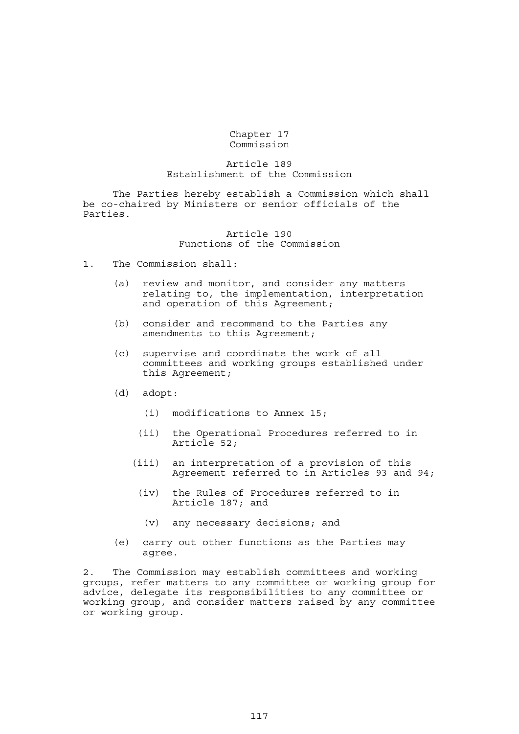Chapter 17 Commission

### Article 189 Establishment of the Commission

 The Parties hereby establish a Commission which shall be co-chaired by Ministers or senior officials of the Parties.

## Article 190 Functions of the Commission

- 1. The Commission shall:
	- (a) review and monitor, and consider any matters relating to, the implementation, interpretation and operation of this Agreement;
	- (b) consider and recommend to the Parties any amendments to this Agreement;
	- (c) supervise and coordinate the work of all committees and working groups established under this Agreement;
	- (d) adopt:
		- (i) modifications to Annex 15;
		- (ii) the Operational Procedures referred to in Article 52;
		- (iii) an interpretation of a provision of this Agreement referred to in Articles 93 and 94;
			- (iv) the Rules of Procedures referred to in Article 187; and
				- (v) any necessary decisions; and
	- (e) carry out other functions as the Parties may agree.

2. The Commission may establish committees and working groups, refer matters to any committee or working group for advice, delegate its responsibilities to any committee or working group, and consider matters raised by any committee or working group.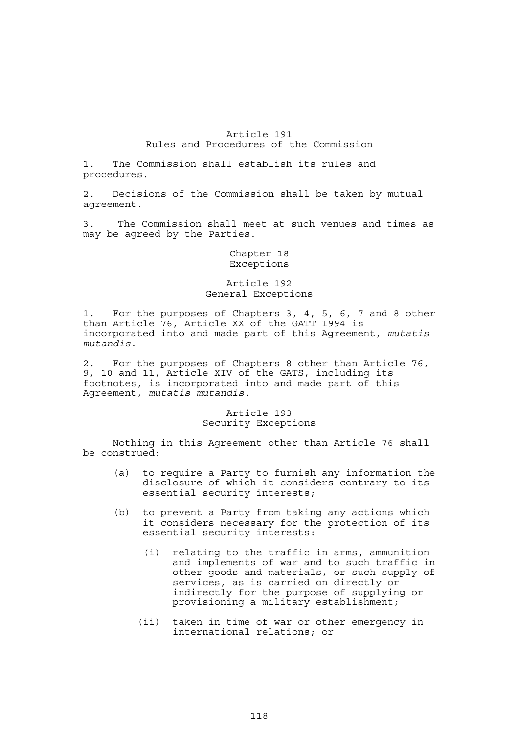# Article 191 Rules and Procedures of the Commission

1. The Commission shall establish its rules and procedures.

2. Decisions of the Commission shall be taken by mutual agreement.

3. The Commission shall meet at such venues and times as may be agreed by the Parties.

#### Chapter 18 Exceptions

## Article 192 General Exceptions

1. For the purposes of Chapters 3, 4, 5, 6, 7 and 8 other than Article 76, Article XX of the GATT 1994 is incorporated into and made part of this Agreement, *mutatis mutandis*.

2. For the purposes of Chapters 8 other than Article 76, 9, 10 and 11, Article XIV of the GATS, including its footnotes, is incorporated into and made part of this Agreement, *mutatis mutandis*.

#### Article 193 Security Exceptions

 Nothing in this Agreement other than Article 76 shall be construed:

- (a) to require a Party to furnish any information the disclosure of which it considers contrary to its essential security interests;
- (b) to prevent a Party from taking any actions which it considers necessary for the protection of its essential security interests:
	- (i) relating to the traffic in arms, ammunition and implements of war and to such traffic in other goods and materials, or such supply of services, as is carried on directly or indirectly for the purpose of supplying or provisioning a military establishment;
	- (ii) taken in time of war or other emergency in international relations; or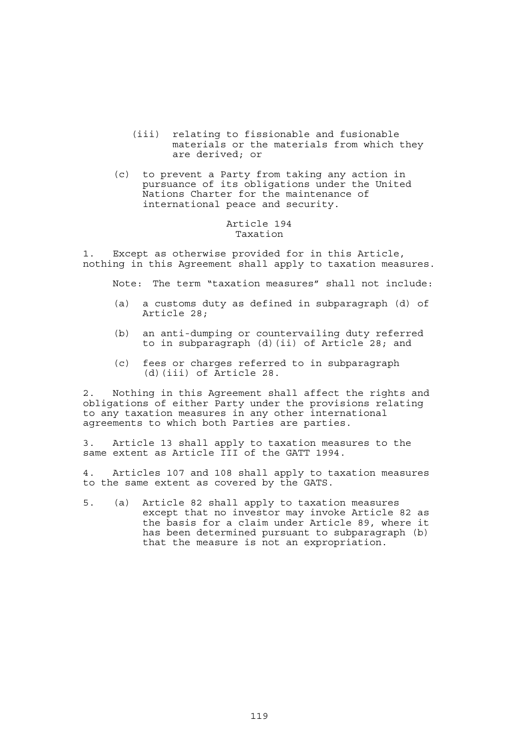- (iii) relating to fissionable and fusionable materials or the materials from which they are derived; or
- (c) to prevent a Party from taking any action in pursuance of its obligations under the United Nations Charter for the maintenance of international peace and security.

# Article 194 Taxation

1. Except as otherwise provided for in this Article, nothing in this Agreement shall apply to taxation measures.

Note: The term "taxation measures" shall not include:

- (a) a customs duty as defined in subparagraph (d) of Article 28;
- (b) an anti-dumping or countervailing duty referred to in subparagraph (d)(ii) of Article 28; and
- (c) fees or charges referred to in subparagraph (d)(iii) of Article 28.

2. Nothing in this Agreement shall affect the rights and obligations of either Party under the provisions relating to any taxation measures in any other international agreements to which both Parties are parties.

3. Article 13 shall apply to taxation measures to the same extent as Article III of the GATT 1994.

4. Articles 107 and 108 shall apply to taxation measures to the same extent as covered by the GATS.

5. (a) Article 82 shall apply to taxation measures except that no investor may invoke Article 82 as the basis for a claim under Article 89, where it has been determined pursuant to subparagraph (b) that the measure is not an expropriation.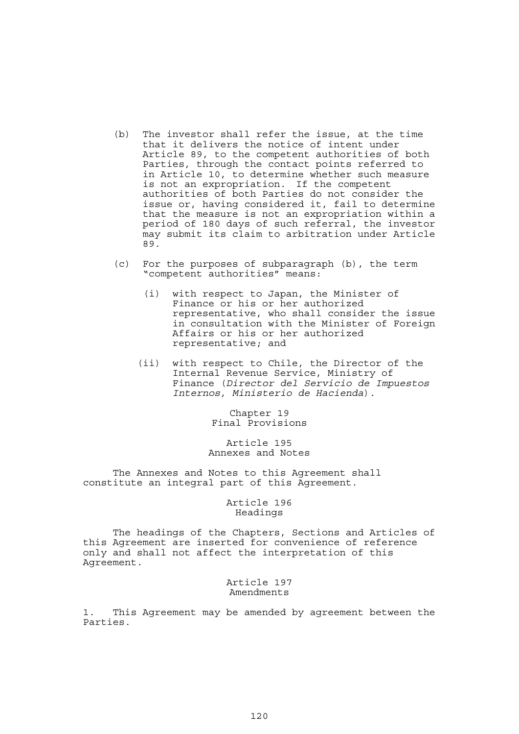- (b) The investor shall refer the issue, at the time that it delivers the notice of intent under Article 89, to the competent authorities of both Parties, through the contact points referred to in Article 10, to determine whether such measure is not an expropriation. If the competent authorities of both Parties do not consider the issue or, having considered it, fail to determine that the measure is not an expropriation within a period of 180 days of such referral, the investor may submit its claim to arbitration under Article 89.
- (c) For the purposes of subparagraph (b), the term "competent authorities" means:
	- (i) with respect to Japan, the Minister of Finance or his or her authorized representative, who shall consider the issue in consultation with the Minister of Foreign Affairs or his or her authorized representative; and
	- (ii) with respect to Chile, the Director of the Internal Revenue Service, Ministry of Finance (*Director del Servicio de Impuestos Internos, Ministerio de Hacienda*).

Chapter 19 Final Provisions

Article 195 Annexes and Notes

 The Annexes and Notes to this Agreement shall constitute an integral part of this Agreement.

> Article 196 Headings

 The headings of the Chapters, Sections and Articles of this Agreement are inserted for convenience of reference only and shall not affect the interpretation of this Agreement.

> Article 197 Amendments

1. This Agreement may be amended by agreement between the Parties.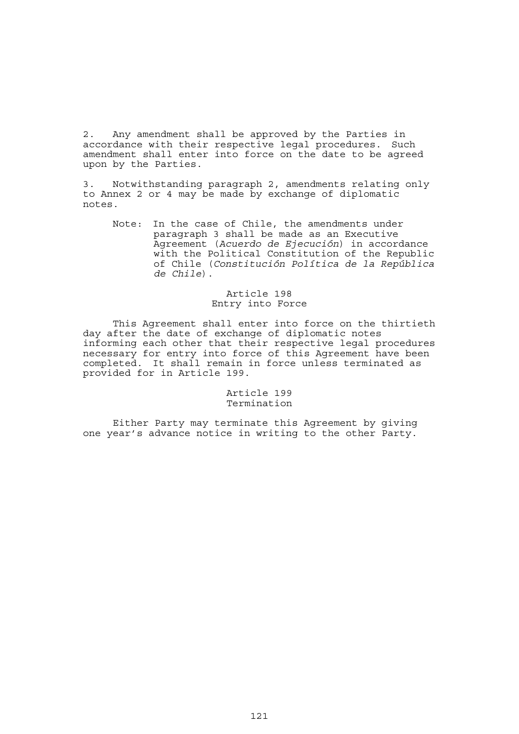2. Any amendment shall be approved by the Parties in accordance with their respective legal procedures. Such amendment shall enter into force on the date to be agreed upon by the Parties.

3. Notwithstanding paragraph 2, amendments relating only to Annex 2 or 4 may be made by exchange of diplomatic notes.

 Note: In the case of Chile, the amendments under paragraph 3 shall be made as an Executive Agreement (*Acuerdo de Ejecución*) in accordance with the Political Constitution of the Republic of Chile (*Constitución Política de la República de Chile*).

## Article 198 Entry into Force

 This Agreement shall enter into force on the thirtieth day after the date of exchange of diplomatic notes informing each other that their respective legal procedures necessary for entry into force of this Agreement have been completed. It shall remain in force unless terminated as provided for in Article 199.

# Article 199 Termination

 Either Party may terminate this Agreement by giving one year's advance notice in writing to the other Party.